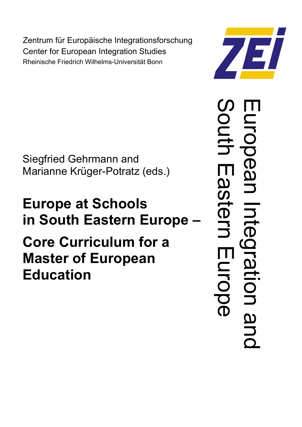Zentrum für Europäische Integrationsforschung Center for European Integration Studies Rheinische Friedrich Wilhelms-Universität Bonn

Siegfried Gehrmann and Marianne Krüger-Potratz (eds.)

# **Europe at Schools in South Eastern Europe – Core Curriculum for a Master of European Education**



 $\overline{\Box}$ u  $\overline{\phantom{a}}$ o  $\overline{\mathbf{C}}$  $\bf O$  $\boldsymbol{\omega}$  $\overline{\mathbf{C}}$  $\overline{\mathbf{J}}$  $\overline{\phantom{a}}$  $\bf{D}$  $\overline{\mathbf{C}}$  $\overline{\phantom{a}}$  $\overline{\boldsymbol{\omega}}$ d:<br>O  $\overline{\mathbf{C}}$  $\mathcal{S}$ o u  $\overline{\phantom{a}}$  $\overline{\phantom{0}}$  $\Box$  $\boldsymbol{\varOmega}$  $\boldsymbol{\mathcal{S}}$  $\overline{\phantom{a}}$  $\bf O$  $\overline{\phantom{0}}$  $\overline{\mathbf{D}}$ **TT** u  $\overline{\phantom{a}}$ o  $\boldsymbol{\varOmega}$  $\overline{\mathbf{C}}$  $\overline{\mathbf{O}}$  $\overline{\mathbf{C}}$  $\bf O$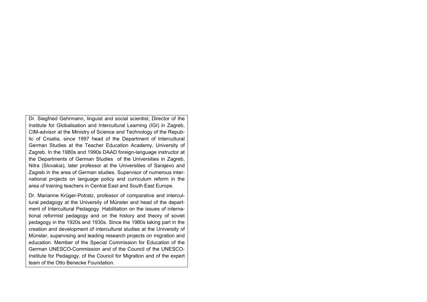Dr. Siegfried Gehrmann, linguist and social scientist, Director of the Institute for Globalisation and Intercultural Learning (IGI) in Zagreb, CIM-advisor at the Ministry of Science and Technology of the Republic of Croatia, since 1997 head of the Department of Intercultural German Studies at the Teacher Education Academy, University of Zagreb. In the 1980s and 1990s DAAD foreign-language instructor at the Departments of German Studies of the Universities in Zagreb, Nitra (Slovakia), later professor at the Universities of Sarajevo and Zagreb in the area of German studies. Supervisor of numerous international projects on language policy and curriculum reform in the area of training teachers in Central East and South East Europe.

Dr. Marianne Krüger-Potratz, professor of comparative and intercultural pedagogy at the University of Münster and head of the department of Intercultural Pedagogy. Habilitation on the issues of international reformist pedagogy and on the history and theory of soviet pedagogy in the 1920s and 1930s. Since the 1980s taking part in the creation and development of intercultural studies at the University of Münster, supervising and leading research projects on migration and education. Member of the Special Commission for Education of the German UNESCO-Commission and of the Council of the UNESCO-Institute for Pedagogy, of the Council for Migration and of the expert team of the Otto Benecke Foundation.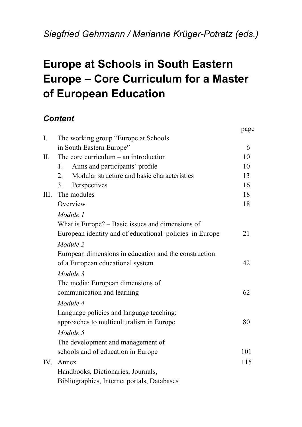# **Europe at Schools in South Eastern Europe – Core Curriculum for a Master of European Education**

# *Content*

|                |                                                         | page |
|----------------|---------------------------------------------------------|------|
| $\mathbf{I}$ . | The working group "Europe at Schools"                   |      |
|                | in South Eastern Europe"                                | 6    |
| II.            | The core curriculum $-$ an introduction                 | 10   |
|                | Aims and participants' profile<br>1.                    | 10   |
|                | Modular structure and basic characteristics<br>2.       | 13   |
|                | Perspectives<br>3.                                      | 16   |
| III.           | The modules                                             | 18   |
|                | Overview                                                | 18   |
|                | Module 1                                                |      |
|                | What is Europe? – Basic issues and dimensions of        |      |
|                | European identity and of educational policies in Europe | 21   |
|                | Module 2                                                |      |
|                | European dimensions in education and the construction   |      |
|                | of a European educational system                        | 42   |
|                | Module 3                                                |      |
|                | The media: European dimensions of                       |      |
|                | communication and learning                              | 62   |
|                | Module 4                                                |      |
|                | Language policies and language teaching:                |      |
|                | approaches to multiculturalism in Europe                | 80   |
|                | Module 5                                                |      |
|                | The development and management of                       |      |
|                | schools and of education in Europe                      | 101  |
| IV.            | Annex                                                   | 115  |
|                | Handbooks, Dictionaries, Journals,                      |      |
|                | Bibliographies, Internet portals, Databases             |      |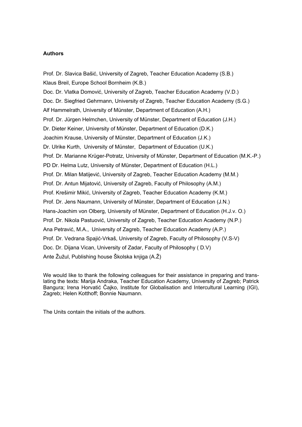#### **Authors**

Prof. Dr. Slavica Bašić, University of Zagreb, Teacher Education Academy (S.B.) Klaus Breil, Europe School Bornheim (K.B.) Doc. Dr. Vlatka Domović, University of Zagreb, Teacher Education Academy (V.D.) Doc. Dr. Siegfried Gehrmann, University of Zagreb, Teacher Education Academy (S.G.) Alf Hammelrath, University of Münster, Department of Education (A.H.) Prof. Dr. Jürgen Helmchen, University of Münster, Department of Education (J.H.) Dr. Dieter Keiner, University of Münster, Department of Education (D.K.) Joachim Krause, University of Münster, Department of Education (J.K.) Dr. Ulrike Kurth, University of Münster, Department of Education (U.K.) Prof. Dr. Marianne Krüger-Potratz, University of Münster, Department of Education (M.K.-P.) PD Dr. Helma Lutz, University of Münster, Department of Education (H.L.) Prof. Dr. Milan Matijević, University of Zagreb, Teacher Education Academy (M.M.) Prof. Dr. Antun Mijatović, University of Zagreb, Faculty of Philosophy (A.M.) Prof. Krešimir Mikić, University of Zagreb, Teacher Education Academy (K.M.) Prof. Dr. Jens Naumann, University of Münster, Department of Education (J.N.) Hans-Joachim von Olberg, University of Münster, Department of Education (H.J.v. O.) Prof. Dr. Nikola Pastuović, University of Zagreb, Teacher Education Academy (N.P.) Ana Petravić, M.A., University of Zagreb, Teacher Education Academy (A.P.) Prof. Dr. Vedrana Spajić-Vrkaš, University of Zagreb, Faculty of Philosophy (V.S-V) Doc. Dr. Dijana Vican, University of Zadar, Faculty of Philosophy ( D.V) Ante Žužul, Publishing house Školska knjiga (A.Ž)

We would like to thank the following colleagues for their assistance in preparing and translating the texts: Marija Andraka, Teacher Education Academy, University of Zagreb; Patrick Bangura; Irena Horvatić Čajko, Institute for Globalisation and Intercultural Learning (IGI), Zagreb; Helen Kotthoff; Bonnie Naumann.

The Units contain the initials of the authors.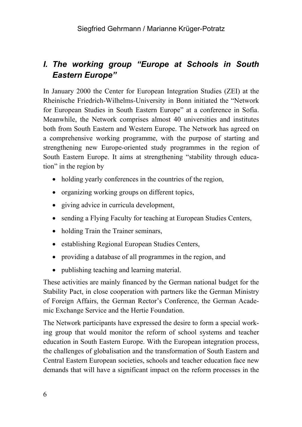# *I. The working group "Europe at Schools in South Eastern Europe"*

In January 2000 the Center for European Integration Studies (ZEI) at the Rheinische Friedrich-Wilhelms-University in Bonn initiated the "Network for European Studies in South Eastern Europe" at a conference in Sofia. Meanwhile, the Network comprises almost 40 universities and institutes both from South Eastern and Western Europe. The Network has agreed on a comprehensive working programme, with the purpose of starting and strengthening new Europe-oriented study programmes in the region of South Eastern Europe. It aims at strengthening "stability through education" in the region by

- holding yearly conferences in the countries of the region,
- organizing working groups on different topics,
- giving advice in curricula development,
- sending a Flying Faculty for teaching at European Studies Centers,
- holding Train the Trainer seminars,
- establishing Regional European Studies Centers,
- providing a database of all programmes in the region, and
- publishing teaching and learning material.

These activities are mainly financed by the German national budget for the Stability Pact, in close cooperation with partners like the German Ministry of Foreign Affairs, the German Rector's Conference, the German Academic Exchange Service and the Hertie Foundation.

The Network participants have expressed the desire to form a special working group that would monitor the reform of school systems and teacher education in South Eastern Europe. With the European integration process, the challenges of globalisation and the transformation of South Eastern and Central Eastern European societies, schools and teacher education face new demands that will have a significant impact on the reform processes in the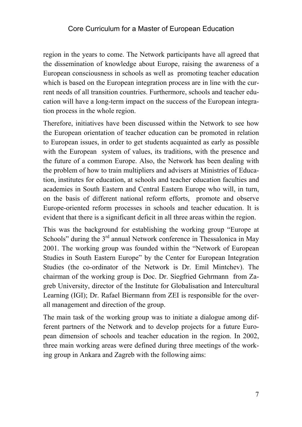region in the years to come. The Network participants have all agreed that the dissemination of knowledge about Europe, raising the awareness of a European consciousness in schools as well as promoting teacher education which is based on the European integration process are in line with the current needs of all transition countries. Furthermore, schools and teacher education will have a long-term impact on the success of the European integration process in the whole region.

Therefore, initiatives have been discussed within the Network to see how the European orientation of teacher education can be promoted in relation to European issues, in order to get students acquainted as early as possible with the European system of values, its traditions, with the presence and the future of a common Europe. Also, the Network has been dealing with the problem of how to train multipliers and advisers at Ministries of Education, institutes for education, at schools and teacher education faculties and academies in South Eastern and Central Eastern Europe who will, in turn, on the basis of different national reform efforts, promote and observe Europe-oriented reform processes in schools and teacher education. It is evident that there is a significant deficit in all three areas within the region.

This was the background for establishing the working group "Europe at Schools" during the  $3<sup>rd</sup>$  annual Network conference in Thessalonica in May 2001. The working group was founded within the "Network of European Studies in South Eastern Europe" by the Center for European Integration Studies (the co-ordinator of the Network is Dr. Emil Mintchev). The chairman of the working group is Doc. Dr. Siegfried Gehrmann from Zagreb University, director of the Institute for Globalisation and Intercultural Learning (IGI); Dr. Rafael Biermann from ZEI is responsible for the overall management and direction of the group.

The main task of the working group was to initiate a dialogue among different partners of the Network and to develop projects for a future European dimension of schools and teacher education in the region. In 2002, three main working areas were defined during three meetings of the working group in Ankara and Zagreb with the following aims: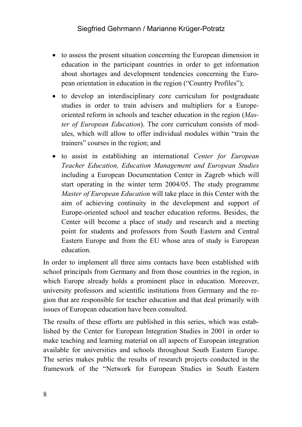- to assess the present situation concerning the European dimension in education in the participant countries in order to get information about shortages and development tendencies concerning the European orientation in education in the region ("Country Profiles");
- to develop an interdisciplinary core curriculum for postgraduate studies in order to train advisers and multipliers for a Europeoriented reform in schools and teacher education in the region (*Master of European Education*). The core curriculum consists of modules, which will allow to offer individual modules within "train the trainers" courses in the region; and
- to assist in establishing an international *Center for European Teacher Education, Education Management and European Studies* including a European Documentation Center in Zagreb which will start operating in the winter term 2004/05. The study programme *Master of European Education* will take place in this Center with the aim of achieving continuity in the development and support of Europe-oriented school and teacher education reforms. Besides, the Center will become a place of study and research and a meeting point for students and professors from South Eastern and Central Eastern Europe and from the EU whose area of study is European education.

In order to implement all three aims contacts have been established with school principals from Germany and from those countries in the region, in which Europe already holds a prominent place in education. Moreover, university professors and scientific institutions from Germany and the region that are responsible for teacher education and that deal primarily with issues of European education have been consulted.

The results of these efforts are published in this series, which was established by the Center for European Integration Studies in 2001 in order to make teaching and learning material on all aspects of European integration available for universities and schools throughout South Eastern Europe. The series makes public the results of research projects conducted in the framework of the "Network for European Studies in South Eastern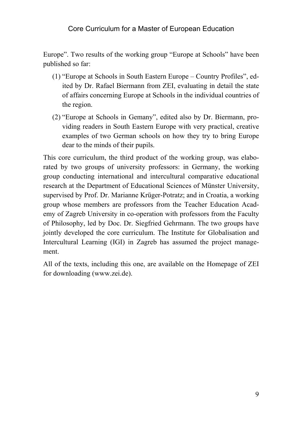Europe". Two results of the working group "Europe at Schools" have been published so far:

- (1) "Europe at Schools in South Eastern Europe Country Profiles", edited by Dr. Rafael Biermann from ZEI, evaluating in detail the state of affairs concerning Europe at Schools in the individual countries of the region.
- (2) "Europe at Schools in Gemany", edited also by Dr. Biermann, providing readers in South Eastern Europe with very practical, creative examples of two German schools on how they try to bring Europe dear to the minds of their pupils.

This core curriculum, the third product of the working group, was elaborated by two groups of university professors: in Germany, the working group conducting international and intercultural comparative educational research at the Department of Educational Sciences of Münster University, supervised by Prof. Dr. Marianne Krüger-Potratz; and in Croatia, a working group whose members are professors from the Teacher Education Academy of Zagreb University in co-operation with professors from the Faculty of Philosophy, led by Doc. Dr. Siegfried Gehrmann. The two groups have jointly developed the core curriculum. The Institute for Globalisation and Intercultural Learning (IGI) in Zagreb has assumed the project management.

All of the texts, including this one, are available on the Homepage of ZEI for downloading (www.zei.de).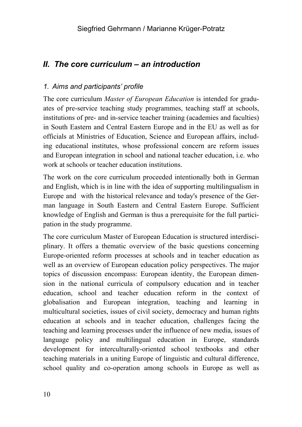# *II. The core curriculum – an introduction*

# *1. Aims and participants' profile*

The core curriculum *Master of European Education* is intended for graduates of pre-service teaching study programmes, teaching staff at schools, institutions of pre- and in-service teacher training (academies and faculties) in South Eastern and Central Eastern Europe and in the EU as well as for officials at Ministries of Education, Science and European affairs, including educational institutes, whose professional concern are reform issues and European integration in school and national teacher education, i.e. who work at schools or teacher education institutions.

The work on the core curriculum proceeded intentionally both in German and English, which is in line with the idea of supporting multilingualism in Europe and with the historical relevance and today's presence of the German language in South Eastern and Central Eastern Europe. Sufficient knowledge of English and German is thus a prerequisite for the full participation in the study programme.

The core curriculum Master of European Education is structured interdisciplinary. It offers a thematic overview of the basic questions concerning Europe-oriented reform processes at schools and in teacher education as well as an overview of European education policy perspectives. The major topics of discussion encompass: European identity, the European dimension in the national curricula of compulsory education and in teacher education, school and teacher education reform in the context of globalisation and European integration, teaching and learning in multicultural societies, issues of civil society, democracy and human rights education at schools and in teacher education, challenges facing the teaching and learning processes under the influence of new media, issues of language policy and multilingual education in Europe, standards development for interculturally-oriented school textbooks and other teaching materials in a uniting Europe of linguistic and cultural difference, school quality and co-operation among schools in Europe as well as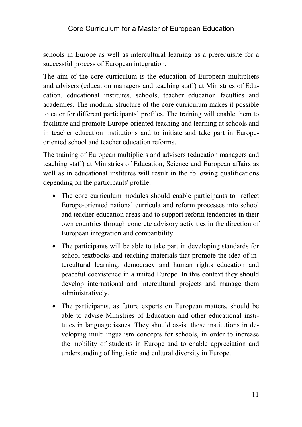schools in Europe as well as intercultural learning as a prerequisite for a successful process of European integration.

The aim of the core curriculum is the education of European multipliers and advisers (education managers and teaching staff) at Ministries of Education, educational institutes, schools, teacher education faculties and academies. The modular structure of the core curriculum makes it possible to cater for different participants' profiles. The training will enable them to facilitate and promote Europe-oriented teaching and learning at schools and in teacher education institutions and to initiate and take part in Europeoriented school and teacher education reforms.

The training of European multipliers and advisers (education managers and teaching staff) at Ministries of Education, Science and European affairs as well as in educational institutes will result in the following qualifications depending on the participants' profile:

- The core curriculum modules should enable participants to reflect Europe-oriented national curricula and reform processes into school and teacher education areas and to support reform tendencies in their own countries through concrete advisory activities in the direction of European integration and compatibility.
- The participants will be able to take part in developing standards for school textbooks and teaching materials that promote the idea of intercultural learning, democracy and human rights education and peaceful coexistence in a united Europe. In this context they should develop international and intercultural projects and manage them administratively.
- The participants, as future experts on European matters, should be able to advise Ministries of Education and other educational institutes in language issues. They should assist those institutions in developing multilingualism concepts for schools, in order to increase the mobility of students in Europe and to enable appreciation and understanding of linguistic and cultural diversity in Europe.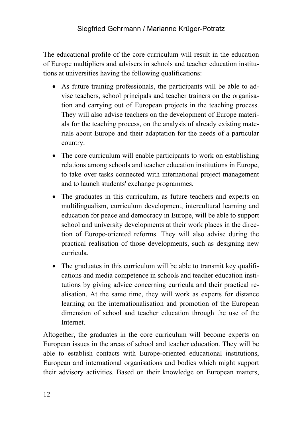The educational profile of the core curriculum will result in the education of Europe multipliers and advisers in schools and teacher education institutions at universities having the following qualifications:

- As future training professionals, the participants will be able to advise teachers, school principals and teacher trainers on the organisation and carrying out of European projects in the teaching process. They will also advise teachers on the development of Europe materials for the teaching process, on the analysis of already existing materials about Europe and their adaptation for the needs of a particular country.
- The core curriculum will enable participants to work on establishing relations among schools and teacher education institutions in Europe, to take over tasks connected with international project management and to launch students' exchange programmes.
- The graduates in this curriculum, as future teachers and experts on multilingualism, curriculum development, intercultural learning and education for peace and democracy in Europe, will be able to support school and university developments at their work places in the direction of Europe-oriented reforms. They will also advise during the practical realisation of those developments, such as designing new curricula.
- The graduates in this curriculum will be able to transmit key qualifications and media competence in schools and teacher education institutions by giving advice concerning curricula and their practical realisation. At the same time, they will work as experts for distance learning on the internationalisation and promotion of the European dimension of school and teacher education through the use of the Internet.

Altogether, the graduates in the core curriculum will become experts on European issues in the areas of school and teacher education. They will be able to establish contacts with Europe-oriented educational institutions, European and international organisations and bodies which might support their advisory activities. Based on their knowledge on European matters,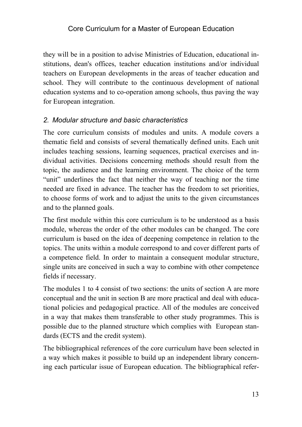they will be in a position to advise Ministries of Education, educational institutions, dean's offices, teacher education institutions and/or individual teachers on European developments in the areas of teacher education and school. They will contribute to the continuous development of national education systems and to co-operation among schools, thus paving the way for European integration.

#### *2. Modular structure and basic characteristics*

The core curriculum consists of modules and units. A module covers a thematic field and consists of several thematically defined units. Each unit includes teaching sessions, learning sequences, practical exercises and individual activities. Decisions concerning methods should result from the topic, the audience and the learning environment. The choice of the term "unit" underlines the fact that neither the way of teaching nor the time needed are fixed in advance. The teacher has the freedom to set priorities, to choose forms of work and to adjust the units to the given circumstances and to the planned goals.

The first module within this core curriculum is to be understood as a basis module, whereas the order of the other modules can be changed. The core curriculum is based on the idea of deepening competence in relation to the topics. The units within a module correspond to and cover different parts of a competence field. In order to maintain a consequent modular structure, single units are conceived in such a way to combine with other competence fields if necessary.

The modules 1 to 4 consist of two sections: the units of section A are more conceptual and the unit in section B are more practical and deal with educational policies and pedagogical practice. All of the modules are conceived in a way that makes them transferable to other study programmes. This is possible due to the planned structure which complies with European standards (ECTS and the credit system).

The bibliographical references of the core curriculum have been selected in a way which makes it possible to build up an independent library concerning each particular issue of European education. The bibliographical refer-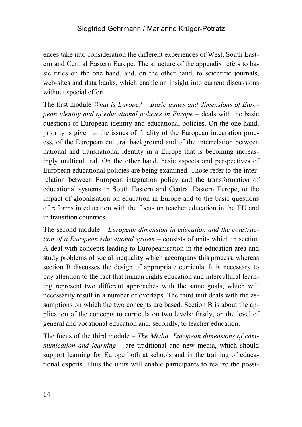ences take into consideration the different experiences of West, South Eastern and Central Eastern Europe. The structure of the appendix refers to basic titles on the one hand, and, on the other hand, to scientific journals, web-sites and data banks, which enable an insight into current discussions without special effort.

The first module *What is Europe? – Basic issues and dimensions of European identity and of educational policies in Europe – deals with the basic* questions of European identity and educational policies. On the one hand, priority is given to the issues of finality of the European integration process, of the European cultural background and of the interrelation between national and transnational identity in a Europe that is becoming increasingly multicultural. On the other hand, basic aspects and perspectives of European educational policies are being examined. Those refer to the interrelation between European integration policy and the transformation of educational systems in South Eastern and Central Eastern Europe, to the impact of globalisation on education in Europe and to the basic questions of reforms in education with the focus on teacher education in the EU and in transition countries.

The second module *– European dimension in education and the construction of a European educational system –* consists of units which in section A deal with concepts leading to Europeanisation in the education area and study problems of social inequality which accompany this process, whereas section B discusses the design of appropriate curricula. It is necessary to pay attention to the fact that human rights education and intercultural learning represent two different approaches with the same goals, which will necessarily result in a number of overlaps. The third unit deals with the assumptions on which the two concepts are based. Section B is about the application of the concepts to curricula on two levels: firstly, on the level of general and vocational education and, secondly, to teacher education.

The focus of the third module *– The Media: European dimensions of communication and learning –* are traditional and new media, which should support learning for Europe both at schools and in the training of educational experts. Thus the units will enable participants to realize the possi-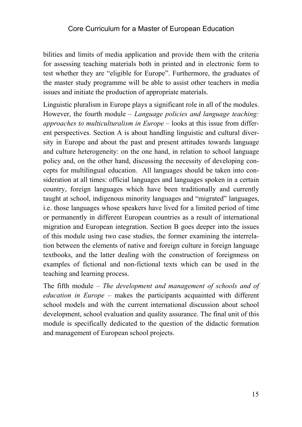bilities and limits of media application and provide them with the criteria for assessing teaching materials both in printed and in electronic form to test whether they are "eligible for Europe". Furthermore, the graduates of the master study programme will be able to assist other teachers in media issues and initiate the production of appropriate materials.

Linguistic pluralism in Europe plays a significant role in all of the modules. However, the fourth module *– Language policies and language teaching: approaches to multiculturalism in Europe –* looks at this issue from different perspectives. Section A is about handling linguistic and cultural diversity in Europe and about the past and present attitudes towards language and culture heterogeneity: on the one hand, in relation to school language policy and, on the other hand, discussing the necessity of developing concepts for multilingual education. All languages should be taken into consideration at all times: official languages and languages spoken in a certain country, foreign languages which have been traditionally and currently taught at school, indigenous minority languages and "migrated" languages, i.e. those languages whose speakers have lived for a limited period of time or permanently in different European countries as a result of international migration and European integration. Section B goes deeper into the issues of this module using two case studies, the former examining the interrelation between the elements of native and foreign culture in foreign language textbooks, and the latter dealing with the construction of foreignness on examples of fictional and non-fictional texts which can be used in the teaching and learning process.

The fifth module *– The development and management of schools and of education in Europe –* makes the participants acquainted with different school models and with the current international discussion about school development, school evaluation and quality assurance. The final unit of this module is specifically dedicated to the question of the didactic formation and management of European school projects.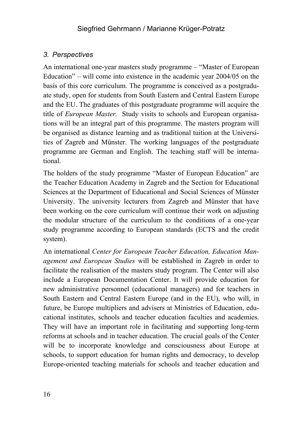# *3. Perspectives*

An international one-year masters study programme *–* "Master of European Education" *–* will come into existence in the academic year 2004/05 on the basis of this core curriculum. The programme is conceived as a postgraduate study, open for students from South Eastern and Central Eastern Europe and the EU. The graduates of this postgraduate programme will acquire the title of *European Master.* Study visits to schools and European organisations will be an integral part of this programme. The masters program will be organised as distance learning and as traditional tuition at the Universities of Zagreb and Münster. The working languages of the postgraduate programme are German and English. The teaching staff will be international.

The holders of the study programme "Master of European Education" are the Teacher Education Academy in Zagreb and the Section for Educational Sciences at the Department of Educational and Social Sciences of Münster University. The university lecturers from Zagreb and Münster that have been working on the core curriculum will continue their work on adjusting the modular structure of the curriculum to the conditions of a one-year study programme according to European standards (ECTS and the credit system).

An international *Center for European Teacher Education, Education Management and European Studies* will be established in Zagreb in order to facilitate the realisation of the masters study program. The Center will also include a European Documentation Center. It will provide education for new administrative personnel (educational managers) and for teachers in South Eastern and Central Eastern Europe (and in the EU), who will, in future, be Europe multipliers and advisers at Ministries of Education, educational institutes, schools and teacher education faculties and academies. They will have an important role in facilitating and supporting long-term reforms at schools and in teacher education. The crucial goals of the Center will be to incorporate knowledge and consciousness about Europe at schools, to support education for human rights and democracy, to develop Europe-oriented teaching materials for schools and teacher education and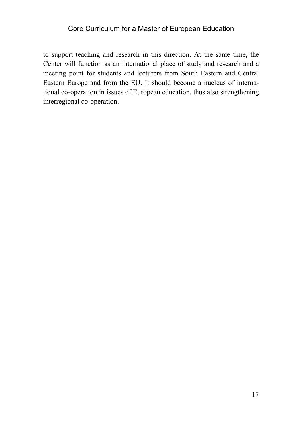to support teaching and research in this direction. At the same time, the Center will function as an international place of study and research and a meeting point for students and lecturers from South Eastern and Central Eastern Europe and from the EU. It should become a nucleus of international co-operation in issues of European education, thus also strengthening interregional co-operation.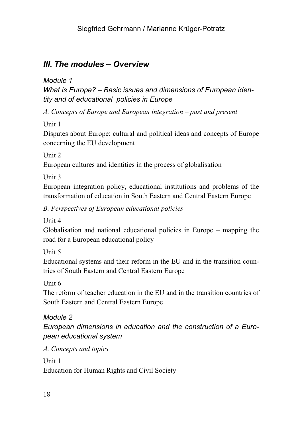# *III. The modules – Overview*

*Module 1* 

*What is Europe? – Basic issues and dimensions of European identity and of educational policies in Europe* 

A. Concepts of Europe and European integration – past and present

Unit 1

Disputes about Europe: cultural and political ideas and concepts of Europe concerning the EU development

Unit 2

European cultures and identities in the process of globalisation

Unit 3

European integration policy, educational institutions and problems of the transformation of education in South Eastern and Central Eastern Europe

*B. Perspectives of European educational policies* 

Unit 4

Globalisation and national educational policies in Europe – mapping the road for a European educational policy

Unit 5

Educational systems and their reform in the EU and in the transition countries of South Eastern and Central Eastern Europe

Unit 6

The reform of teacher education in the EU and in the transition countries of South Eastern and Central Eastern Europe

# *Module 2*

*European dimensions in education and the construction of a European educational system* 

*A. Concepts and topics* 

Unit 1 Education for Human Rights and Civil Society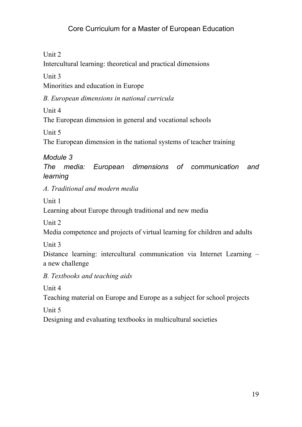Unit 2

Intercultural learning: theoretical and practical dimensions

Unit 3

Minorities and education in Europe

*B. European dimensions in national curricula* 

Unit 4

The European dimension in general and vocational schools

Unit 5

The European dimension in the national systems of teacher training

*Module 3* 

*The media: European dimensions of communication and learning* 

*A. Traditional and modern media* 

Unit 1

Learning about Europe through traditional and new media

Unit 2

Media competence and projects of virtual learning for children and adults

Unit 3

Distance learning: intercultural communication via Internet Learning – a new challenge

*B. Textbooks and teaching aids* 

Unit 4

Teaching material on Europe and Europe as a subject for school projects

Unit 5

Designing and evaluating textbooks in multicultural societies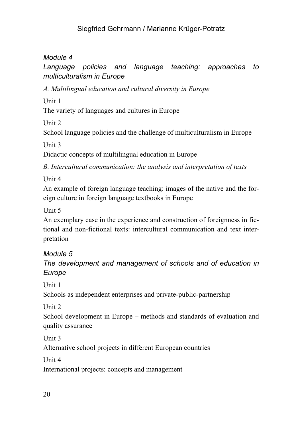# *Module 4*

# *Language policies and language teaching: approaches to multiculturalism in Europe*

*A. Multilingual education and cultural diversity in Europe* 

Unit 1

The variety of languages and cultures in Europe

Unit 2

School language policies and the challenge of multiculturalism in Europe

Unit 3

Didactic concepts of multilingual education in Europe

*B. Intercultural communication: the analysis and interpretation of texts* 

Unit 4

An example of foreign language teaching: images of the native and the foreign culture in foreign language textbooks in Europe

Unit 5

An exemplary case in the experience and construction of foreignness in fictional and non-fictional texts: intercultural communication and text interpretation

*Module 5 The development and management of schools and of education in Europe* 

Unit 1

Schools as independent enterprises and private-public-partnership

Unit 2

School development in Europe – methods and standards of evaluation and quality assurance

Unit 3

Alternative school projects in different European countries

Unit 4

International projects: concepts and management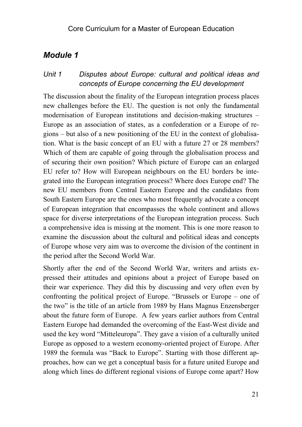# *Module 1*

## *Unit 1 Disputes about Europe: cultural and political ideas and concepts of Europe concerning the EU development*

The discussion about the finality of the European integration process places new challenges before the EU. The question is not only the fundamental modernisation of European institutions and decision-making structures – Europe as an association of states, as a confederation or a Europe of regions – but also of a new positioning of the EU in the context of globalisation. What is the basic concept of an EU with a future 27 or 28 members? Which of them are capable of going through the globalisation process and of securing their own position? Which picture of Europe can an enlarged EU refer to? How will European neighbours on the EU borders be integrated into the European integration process? Where does Europe end? The new EU members from Central Eastern Europe and the candidates from South Eastern Europe are the ones who most frequently advocate a concept of European integration that encompasses the whole continent and allows space for diverse interpretations of the European integration process. Such a comprehensive idea is missing at the moment. This is one more reason to examine the discussion about the cultural and political ideas and concepts of Europe whose very aim was to overcome the division of the continent in the period after the Second World War.

Shortly after the end of the Second World War, writers and artists expressed their attitudes and opinions about a project of Europe based on their war experience. They did this by discussing and very often even by confronting the political project of Europe. "Brussels or Europe – one of the two" is the title of an article from 1989 by Hans Magnus Enzensberger about the future form of Europe. A few years earlier authors from Central Eastern Europe had demanded the overcoming of the East-West divide and used the key word "Mitteleuropa". They gave a vision of a culturally united Europe as opposed to a western economy-oriented project of Europe. After 1989 the formula was "Back to Europe". Starting with those different approaches, how can we get a conceptual basis for a future united Europe and along which lines do different regional visions of Europe come apart? How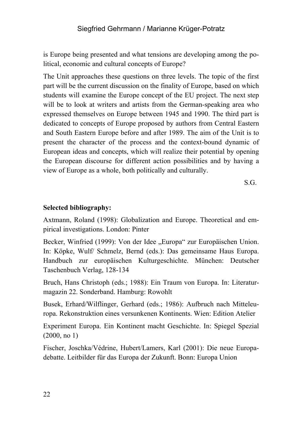is Europe being presented and what tensions are developing among the political, economic and cultural concepts of Europe?

The Unit approaches these questions on three levels. The topic of the first part will be the current discussion on the finality of Europe, based on which students will examine the Europe concept of the EU project. The next step will be to look at writers and artists from the German-speaking area who expressed themselves on Europe between 1945 and 1990. The third part is dedicated to concepts of Europe proposed by authors from Central Eastern and South Eastern Europe before and after 1989. The aim of the Unit is to present the character of the process and the context-bound dynamic of European ideas and concepts, which will realize their potential by opening the European discourse for different action possibilities and by having a view of Europe as a whole, both politically and culturally.

S.G.

#### **Selected bibliography:**

Axtmann, Roland (1998): Globalization and Europe. Theoretical and empirical investigations. London: Pinter

Becker, Winfried (1999): Von der Idee "Europa" zur Europäischen Union. In: Köpke, Wulf/ Schmelz, Bernd (eds.): Das gemeinsame Haus Europa. Handbuch zur europäischen Kulturgeschichte. München: Deutscher Taschenbuch Verlag, 128-134

Bruch, Hans Christoph (eds.; 1988): Ein Traum von Europa. In: Literaturmagazin 22. Sonderband. Hamburg: Rowohlt

Busek, Erhard/Wilflinger, Gerhard (eds.; 1986): Aufbruch nach Mitteleuropa. Rekonstruktion eines versunkenen Kontinents. Wien: Edition Atelier

Experiment Europa. Ein Kontinent macht Geschichte. In: Spiegel Spezial (2000, no 1)

Fischer, Joschka/Védrine, Hubert/Lamers, Karl (2001): Die neue Europadebatte. Leitbilder für das Europa der Zukunft. Bonn: Europa Union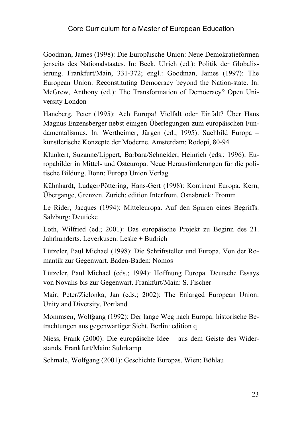Goodman, James (1998): Die Europäische Union: Neue Demokratieformen jenseits des Nationalstaates. In: Beck, Ulrich (ed.): Politik der Globalisierung. Frankfurt/Main, 331-372; engl.: Goodman, James (1997): The European Union: Reconstituting Democracy beyond the Nation-state. In: McGrew, Anthony (ed.): The Transformation of Democracy? Open University London

Haneberg, Peter (1995): Ach Europa! Vielfalt oder Einfalt? Über Hans Magnus Enzensberger nebst einigen Überlegungen zum europäischen Fundamentalismus. In: Wertheimer, Jürgen (ed.; 1995): Suchbild Europa – künstlerische Konzepte der Moderne. Amsterdam: Rodopi, 80-94

Klunkert, Suzanne/Lippert, Barbara/Schneider, Heinrich (eds.; 1996): Europabilder in Mittel- und Osteuropa. Neue Herausforderungen für die politische Bildung. Bonn: Europa Union Verlag

Kühnhardt, Ludger/Pöttering, Hans-Gert (1998): Kontinent Europa. Kern, Übergänge, Grenzen. Zürich: edition Interfrom. Osnabrück: Fromm

Le Rider, Jacques (1994): Mitteleuropa. Auf den Spuren eines Begriffs. Salzburg: Deuticke

Loth, Wilfried (ed.; 2001): Das europäische Projekt zu Beginn des 21. Jahrhunderts. Leverkusen: Leske + Budrich

Lützeler, Paul Michael (1998): Die Schriftsteller und Europa. Von der Romantik zur Gegenwart. Baden-Baden: Nomos

Lützeler, Paul Michael (eds.; 1994): Hoffnung Europa. Deutsche Essays von Novalis bis zur Gegenwart. Frankfurt/Main: S. Fischer

Mair, Peter/Zielonka, Jan (eds.; 2002): The Enlarged European Union: Unity and Diversity. Portland

Mommsen, Wolfgang (1992): Der lange Weg nach Europa: historische Betrachtungen aus gegenwärtiger Sicht. Berlin: edition q

Niess, Frank (2000): Die europäische Idee – aus dem Geiste des Widerstands. Frankfurt/Main: Suhrkamp

Schmale, Wolfgang (2001): Geschichte Europas. Wien: Böhlau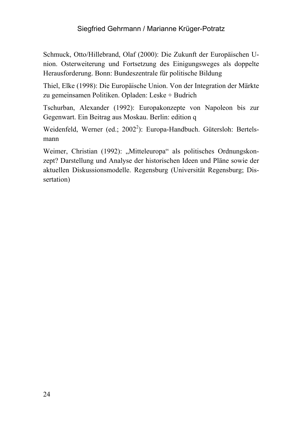Schmuck, Otto/Hillebrand, Olaf (2000): Die Zukunft der Europäischen Union. Osterweiterung und Fortsetzung des Einigungsweges als doppelte Herausforderung. Bonn: Bundeszentrale für politische Bildung

Thiel, Elke (1998): Die Europäische Union. Von der Integration der Märkte zu gemeinsamen Politiken. Opladen: Leske + Budrich

Tschurban, Alexander (1992): Europakonzepte von Napoleon bis zur Gegenwart. Ein Beitrag aus Moskau. Berlin: edition q

Weidenfeld, Werner (ed.; 2002<sup>2</sup>): Europa-Handbuch. Gütersloh: Bertelsmann

Weimer, Christian (1992): "Mitteleuropa" als politisches Ordnungskonzept? Darstellung und Analyse der historischen Ideen und Pläne sowie der aktuellen Diskussionsmodelle. Regensburg (Universität Regensburg; Dissertation)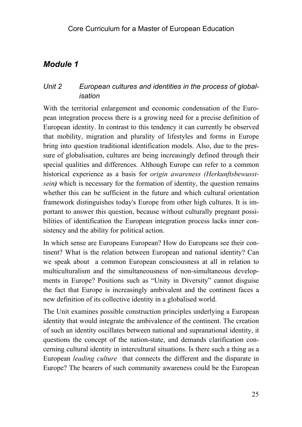# *Module 1*

# *Unit 2 European cultures and identities in the process of globalisation*

With the territorial enlargement and economic condensation of the European integration process there is a growing need for a precise definition of European identity. In contrast to this tendency it can currently be observed that mobility, migration and plurality of lifestyles and forms in Europe bring into question traditional identification models. Also, due to the pressure of globalisation, cultures are being increasingly defined through their special qualities and differences. Although Europe can refer to a common historical experience as a basis for *origin awareness (Herkunftsbewusstsein*) which is necessary for the formation of identity, the question remains whether this can be sufficient in the future and which cultural orientation framework distinguishes today's Europe from other high cultures. It is important to answer this question, because without culturally pregnant possibilities of identification the European integration process lacks inner consistency and the ability for political action.

In which sense are Europeans European? How do Europeans see their continent? What is the relation between European and national identity? Can we speak about a common European consciousness at all in relation to multiculturalism and the simultaneousness of non-simultaneous developments in Europe? Positions such as "Unity in Diversity" cannot disguise the fact that Europe is increasingly ambivalent and the continent faces a new definition of its collective identity in a globalised world.

The Unit examines possible construction principles underlying a European identity that would integrate the ambivalence of the continent. The creation of such an identity oscillates between national and supranational identity, it questions the concept of the nation-state, and demands clarification concerning cultural identity in intercultural situations. Is there such a thing as a European *leading culture* that connects the different and the disparate in Europe? The bearers of such community awareness could be the European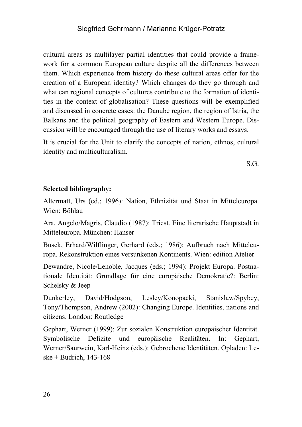cultural areas as multilayer partial identities that could provide a framework for a common European culture despite all the differences between them. Which experience from history do these cultural areas offer for the creation of a European identity? Which changes do they go through and what can regional concepts of cultures contribute to the formation of identities in the context of globalisation? These questions will be exemplified and discussed in concrete cases: the Danube region, the region of Istria, the Balkans and the political geography of Eastern and Western Europe. Discussion will be encouraged through the use of literary works and essays.

It is crucial for the Unit to clarify the concepts of nation, ethnos, cultural identity and multiculturalism.

S.G.

#### **Selected bibliography:**

Altermatt, Urs (ed.; 1996): Nation, Ethnizität und Staat in Mitteleuropa. Wien: Böhlau

Ara, Angelo/Magris, Claudio (1987): Triest. Eine literarische Hauptstadt in Mitteleuropa. München: Hanser

Busek, Erhard/Wilflinger, Gerhard (eds.; 1986): Aufbruch nach Mitteleuropa. Rekonstruktion eines versunkenen Kontinents. Wien: edition Atelier

Dewandre, Nicole/Lenoble, Jacques (eds.; 1994): Projekt Europa. Postnationale Identität: Grundlage für eine europäische Demokratie?: Berlin: Schelsky & Jeep

Dunkerley, David/Hodgson, Lesley/Konopacki, Stanislaw/Spybey, Tony/Thompson, Andrew (2002): Changing Europe. Identities, nations and citizens. London: Routledge

Gephart, Werner (1999): Zur sozialen Konstruktion europäischer Identität. Symbolische Defizite und europäische Realitäten. In: Gephart, Werner/Saurwein, Karl-Heinz (eds.): Gebrochene Identitäten. Opladen: Leske + Budrich, 143-168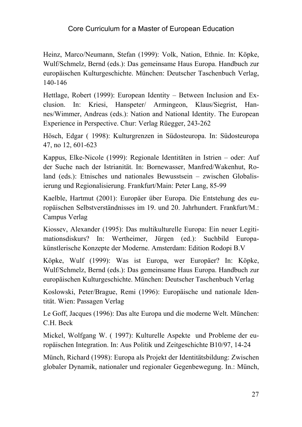Heinz, Marco/Neumann, Stefan (1999): Volk, Nation, Ethnie. In: Köpke, Wulf/Schmelz, Bernd (eds.): Das gemeinsame Haus Europa. Handbuch zur europäischen Kulturgeschichte. München: Deutscher Taschenbuch Verlag, 140-146

Hettlage, Robert (1999): European Identity – Between Inclusion and Exclusion. In: Kriesi, Hanspeter/ Armingeon, Klaus/Siegrist, Hannes/Wimmer, Andreas (eds.): Nation and National Identity. The European Experience in Perspective. Chur: Verlag Rüegger, 243-262

Hösch, Edgar ( 1998): Kulturgrenzen in Südosteuropa. In: Südosteuropa 47, no 12, 601-623

Kappus, Elke-Nicole (1999): Regionale Identitäten in Istrien – oder: Auf der Suche nach der Istrianität. In: Bornewasser, Manfred/Wakenhut, Roland (eds.): Etnisches und nationales Bewusstsein – zwischen Globalisierung und Regionalisierung. Frankfurt/Main: Peter Lang, 85-99

Kaelble, Hartmut (2001): Europäer über Europa. Die Entstehung des europäischen Selbstverständnisses im 19. und 20. Jahrhundert. Frankfurt/M.: Campus Verlag

Kiossev, Alexander (1995): Das multikulturelle Europa: Ein neuer Legitimationsdiskurs? In: Wertheimer, Jürgen (ed.): Suchbild Europakünstlerische Konzepte der Moderne. Amsterdam: Edition Rodopi B.V

Köpke, Wulf (1999): Was ist Europa, wer Europäer? In: Köpke, Wulf/Schmelz, Bernd (eds.): Das gemeinsame Haus Europa. Handbuch zur europäischen Kulturgeschichte. München: Deutscher Taschenbuch Verlag

Koslowski, Peter/Brague, Remi (1996): Europäische und nationale Identität. Wien: Passagen Verlag

Le Goff, Jacques (1996): Das alte Europa und die moderne Welt. München: C.H. Beck

Mickel, Wolfgang W. ( 1997): Kulturelle Aspekte und Probleme der europäischen Integration. In: Aus Politik und Zeitgeschichte B10/97, 14-24

Münch, Richard (1998): Europa als Projekt der Identitätsbildung: Zwischen globaler Dynamik, nationaler und regionaler Gegenbewegung. In.: Münch,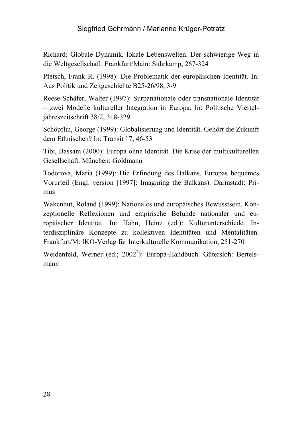Richard: Globale Dynamik, lokale Lebenswelten. Der schwierige Weg in die Weltgesellschaft. Frankfurt/Main: Suhrkamp, 267-324

Pfetsch, Frank R. (1998): Die Problematik der europäischen Identität. In: Aus Politik und Zeitgeschichte B25-26/98, 3-9

Reese-Schäfer, Walter (1997): Surpanationale oder transnationale Identität – zwei Modelle kultureller Integration in Europa. In: Politische Vierteljahreszeitschrift 38/2, 318-329

Schöpflin, George (1999): Globalisierung und Identität. Gehört die Zukunft dem Ethnischen? In: Transit 17, 46-53

Tibi, Bassam (2000): Europa ohne Identität. Die Krise der multikulturellen Gesellschaft. München: Goldmann

Todorova, Maria (1999): Die Erfindung des Balkans. Europas bequemes Vorurteil (Engl. version [1997]: Imagining the Balkans). Darmstadt: Primus

Wakenhut, Roland (1999): Nationales und europäisches Bewusstsein. Konzeptionelle Reflexionen und empirische Befunde nationaler und europäischer Identität. In: Hahn, Heinz (ed.): Kulturunterschiede. Interdisziplinäre Konzepte zu kollektiven Identitäten und Mentalitäten. Frankfurt/M: IKO-Verlag für Interkulturelle Kommunikation, 251-270

Weidenfeld, Werner (ed.; 2002<sup>2</sup>): Europa-Handbuch. Gütersloh: Bertelsmann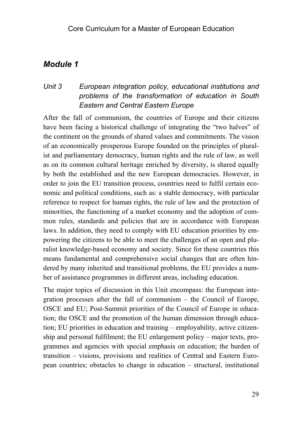# *Module 1*

# *Unit 3 European integration policy, educational institutions and problems of the transformation of education in South Eastern and Central Eastern Europe*

After the fall of communism, the countries of Europe and their citizens have been facing a historical challenge of integrating the "two halves" of the continent on the grounds of shared values and commitments. The vision of an economically prosperous Europe founded on the principles of pluralist and parliamentary democracy, human rights and the rule of law, as well as on its common cultural heritage enriched by diversity, is shared equally by both the established and the new European democracies. However, in order to join the EU transition process, countries need to fulfil certain economic and political conditions, such as: a stable democracy, with particular reference to respect for human rights, the rule of law and the protection of minorities, the functioning of a market economy and the adoption of common rules, standards and policies that are in accordance with European laws. In addition, they need to comply with EU education priorities by empowering the citizens to be able to meet the challenges of an open and pluralist knowledge-based economy and society. Since for these countries this means fundamental and comprehensive social changes that are often hindered by many inherited and transitional problems, the EU provides a number of assistance programmes in different areas, including education.

The major topics of discussion in this Unit encompass: the European integration processes after the fall of communism – the Council of Europe, OSCE and EU; Post-Summit priorities of the Council of Europe in education; the OSCE and the promotion of the human dimension through education; EU priorities in education and training – employability, active citizenship and personal fulfilment; the EU enlargement policy – major texts, programmes and agencies with special emphasis on education; the burden of transition – visions, provisions and realities of Central and Eastern European countries; obstacles to change in education – structural, institutional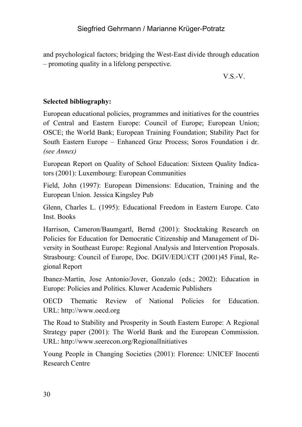and psychological factors; bridging the West-East divide through education – promoting quality in a lifelong perspective.

V.S.-V.

# **Selected bibliography:**

European educational policies, programmes and initiatives for the countries of Central and Eastern Europe: Council of Europe; European Union; OSCE; the World Bank; European Training Foundation; Stability Pact for South Eastern Europe – Enhanced Graz Process; Soros Foundation i dr. *(see Annex)*

European Report on Quality of School Education: Sixteen Quality Indicators (2001): Luxembourg: European Communities

Field, John (1997): European Dimensions: Education, Training and the European Union. Jessica Kingsley Pub

Glenn, Charles L. (1995): Educational Freedom in Eastern Europe. Cato Inst. Books

Harrison, Cameron/Baumgartl, Bernd (2001): Stocktaking Research on Policies for Education for Democratic Citizenship and Management of Diversity in Southeast Europe: Regional Analysis and Intervention Proposals. Strasbourg: Council of Europe, Doc. DGIV/EDU/CIT (2001)45 Final, Regional Report

Ibanez-Martin, Jose Antonio/Jover, Gonzalo (eds.; 2002): Education in Europe: Policies and Politics. Kluwer Academic Publishers

OECD Thematic Review of National Policies for Education. URL: http://www.oecd.org

The Road to Stability and Prosperity in South Eastern Europe: A Regional Strategy paper (2001): The World Bank and the European Commission. URL: http://www.seerecon.org/RegionalInitiatives

Young People in Changing Societies (2001): Florence: UNICEF Inocenti Research Centre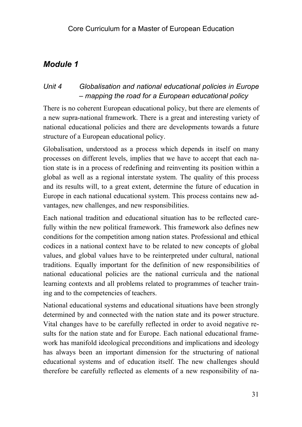# *Module 1*

# *Unit 4 Globalisation and national educational policies in Europe – mapping the road for a European educational policy*

There is no coherent European educational policy, but there are elements of a new supra-national framework. There is a great and interesting variety of national educational policies and there are developments towards a future structure of a European educational policy.

Globalisation, understood as a process which depends in itself on many processes on different levels, implies that we have to accept that each nation state is in a process of redefining and reinventing its position within a global as well as a regional interstate system. The quality of this process and its results will, to a great extent, determine the future of education in Europe in each national educational system. This process contains new advantages, new challenges, and new responsibilities.

Each national tradition and educational situation has to be reflected carefully within the new political framework. This framework also defines new conditions for the competition among nation states. Professional and ethical codices in a national context have to be related to new concepts of global values, and global values have to be reinterpreted under cultural, national traditions. Equally important for the definition of new responsibilities of national educational policies are the national curricula and the national learning contexts and all problems related to programmes of teacher training and to the competencies of teachers.

National educational systems and educational situations have been strongly determined by and connected with the nation state and its power structure. Vital changes have to be carefully reflected in order to avoid negative results for the nation state and for Europe. Each national educational framework has manifold ideological preconditions and implications and ideology has always been an important dimension for the structuring of national educational systems and of education itself. The new challenges should therefore be carefully reflected as elements of a new responsibility of na-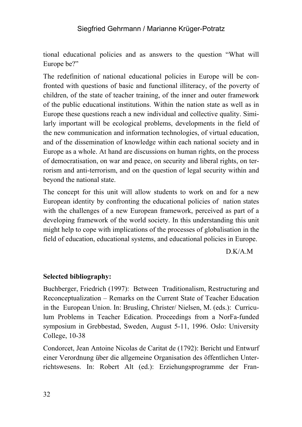tional educational policies and as answers to the question "What will Europe be?"

The redefinition of national educational policies in Europe will be confronted with questions of basic and functional illiteracy, of the poverty of children, of the state of teacher training, of the inner and outer framework of the public educational institutions. Within the nation state as well as in Europe these questions reach a new individual and collective quality. Similarly important will be ecological problems, developments in the field of the new communication and information technologies, of virtual education, and of the dissemination of knowledge within each national society and in Europe as a whole. At hand are discussions on human rights, on the process of democratisation, on war and peace, on security and liberal rights, on terrorism and anti-terrorism, and on the question of legal security within and beyond the national state.

The concept for this unit will allow students to work on and for a new European identity by confronting the educational policies of nation states with the challenges of a new European framework, perceived as part of a developing framework of the world society. In this understanding this unit might help to cope with implications of the processes of globalisation in the field of education, educational systems, and educational policies in Europe.

D.K/A.M

#### **Selected bibliography:**

Buchberger, Friedrich (1997): Between Traditionalism, Restructuring and Reconceptualization – Remarks on the Current State of Teacher Education in the European Union. In: Brusling, Christer/ Nielsen, M. (eds.): Curriculum Problems in Teacher Edication. Proceedings from a NorFa-funded symposium in Grebbestad, Sweden, August 5-11, 1996. Oslo: University College, 10-38

Condorcet, Jean Antoine Nicolas de Caritat de (1792): Bericht und Entwurf einer Verordnung über die allgemeine Organisation des öffentlichen Unterrichtswesens. In: Robert Alt (ed.): Erziehungsprogramme der Fran-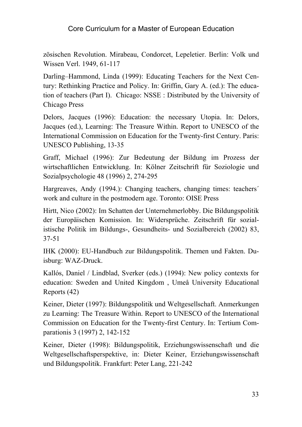zösischen Revolution. Mirabeau, Condorcet, Lepeletier. Berlin: Volk und Wissen Verl. 1949, 61-117

Darling–Hammond, Linda (1999): Educating Teachers for the Next Century: Rethinking Practice and Policy. In: Griffin, Gary A. (ed.): The education of teachers (Part I). Chicago: NSSE : Distributed by the University of Chicago Press

Delors, Jacques (1996): Education: the necessary Utopia. In: Delors, Jacques (ed.), Learning: The Treasure Within. Report to UNESCO of the International Commission on Education for the Twenty-first Century. Paris: UNESCO Publishing, 13-35

Graff, Michael (1996): Zur Bedeutung der Bildung im Prozess der wirtschaftlichen Entwicklung. In: Kölner Zeitschrift für Soziologie und Sozialpsychologie 48 (1996) 2, 274-295

Hargreaves, Andy (1994.): Changing teachers, changing times: teachers' work and culture in the postmodern age. Toronto: OISE Press

Hirtt, Nico (2002): Im Schatten der Unternehmerlobby. Die Bildungspolitik der Europäischen Komission. In: Widersprüche. Zeitschrift für sozialistische Politik im Bildungs-, Gesundheits- und Sozialbereich (2002) 83, 37-51

IHK (2000): EU-Handbuch zur Bildungspolitik. Themen und Fakten. Duisburg: WAZ-Druck.

Kallós, Daniel / Lindblad, Sverker (eds.) (1994): New policy contexts for education: Sweden and United Kingdom , Umeå University Educational Reports (42)

Keiner, Dieter (1997): Bildungspolitik und Weltgesellschaft. Anmerkungen zu Learning: The Treasure Within. Report to UNESCO of the International Commission on Education for the Twenty-first Century. In: Tertium Comparationis 3 (1997) 2, 142-152

Keiner, Dieter (1998): Bildungspolitik, Erziehungswissenschaft und die Weltgesellschaftsperspektive, in: Dieter Keiner, Erziehungswissenschaft und Bildungspolitik. Frankfurt: Peter Lang, 221-242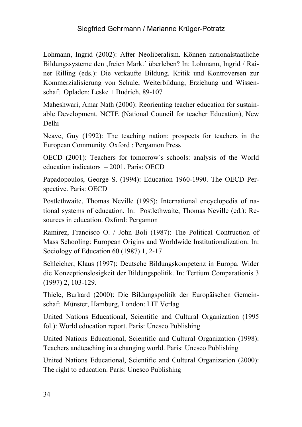Lohmann, Ingrid (2002): After Neoliberalism. Können nationalstaatliche Bildungssysteme den ,freien Markt´ überleben? In: Lohmann, Ingrid / Rainer Rilling (eds.): Die verkaufte Bildung. Kritik und Kontroversen zur Kommerzialisierung von Schule, Weiterbildung, Erziehung und Wissenschaft. Opladen: Leske + Budrich, 89-107

Maheshwari, Amar Nath (2000): Reorienting teacher education for sustainable Development. NCTE (National Council for teacher Education), New Delhi

Neave, Guy (1992): The teaching nation: prospects for teachers in the European Community. Oxford : Pergamon Press

OECD (2001): Teachers for tomorrow´s schools: analysis of the World education indicators – 2001. Paris: OECD

Papadopoulos, George S. (1994): Education 1960-1990. The OECD Perspective. Paris: OECD

Postlethwaite, Thomas Neville (1995): International encyclopedia of national systems of education. In: Postlethwaite, Thomas Neville (ed.): Resources in education. Oxford: Pergamon

Ramirez, Francisco O. / John Boli (1987): The Political Contruction of Mass Schooling: European Origins and Worldwide Institutionalization. In: Sociology of Education 60 (1987) 1, 2-17

Schleicher, Klaus (1997): Deutsche Bildungskompetenz in Europa. Wider die Konzeptionslosigkeit der Bildungspolitik. In: Tertium Comparationis 3 (1997) 2, 103-129.

Thiele, Burkard (2000): Die Bildungspolitik der Europäischen Gemeinschaft. Münster, Hamburg, London: LIT Verlag.

United Nations Educational, Scientific and Cultural Organization (1995 fol.): World education report. Paris: Unesco Publishing

United Nations Educational, Scientific and Cultural Organization (1998): Teachers andteaching in a changing world. Paris: Unesco Publishing

United Nations Educational, Scientific and Cultural Organization (2000): The right to education. Paris: Unesco Publishing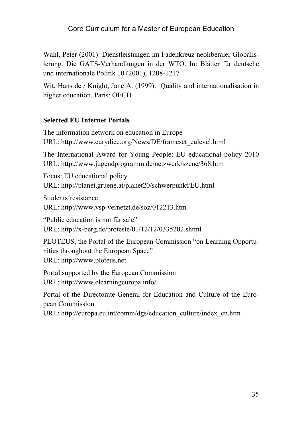Wahl, Peter (2001): Dienstleistungen im Fadenkreuz neoliberaler Globalisierung. Die GATS-Verhandlungen in der WTO. In: Blätter für deutsche und internationale Politik 10 (2001), 1208-1217

Wit, Hans de / Knight, Jane A. (1999): Quality and internationalisation in higher education. Paris: OECD

#### **Selected EU Internet Portals**

The information network on education in Europe URL: http://www.eurydice.org/News/DE/frameset\_eulevel.html

The International Award for Young People: EU educational policy 2010 URL: http://www.jugendprogramm.de/netzwerk/szene/368.htm

Focus: EU educational policy URL: http://planet.gruene.at/planet20/schwerpunkt/EU.html

Students´resistance URL: http://www.vsp-vernetzt.de/soz/012213.htm

"Public education is not für sale"

URL: http://x-berg.de/proteste/01/12/12/0335202.shtml

PLOTEUS, the Portal of the European Commission "on Learning Opportunities throughout the European Space" URL: http://www.ploteus.net

Portal supported by the European Commission

URL: http://www.elearningeuropa.info/

Portal of the Directorate-General for Education and Culture of the European Commission

URL: http://europa.eu.int/comm/dgs/education\_culture/index\_en.htm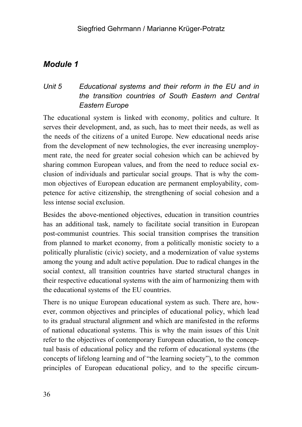# *Module 1*

# *Unit 5 Educational systems and their reform in the EU and in the transition countries of South Eastern and Central Eastern Europe*

The educational system is linked with economy, politics and culture. It serves their development, and, as such, has to meet their needs, as well as the needs of the citizens of a united Europe. New educational needs arise from the development of new technologies, the ever increasing unemployment rate, the need for greater social cohesion which can be achieved by sharing common European values, and from the need to reduce social exclusion of individuals and particular social groups. That is why the common objectives of European education are permanent employability, competence for active citizenship, the strengthening of social cohesion and a less intense social exclusion.

Besides the above-mentioned objectives, education in transition countries has an additional task, namely to facilitate social transition in European post-communist countries. This social transition comprises the transition from planned to market economy, from a politically monistic society to a politically pluralistic (civic) society, and a modernization of value systems among the young and adult active population. Due to radical changes in the social context, all transition countries have started structural changes in their respective educational systems with the aim of harmonizing them with the educational systems of the EU countries.

There is no unique European educational system as such. There are, however, common objectives and principles of educational policy, which lead to its gradual structural alignment and which are manifested in the reforms of national educational systems. This is why the main issues of this Unit refer to the objectives of contemporary European education, to the conceptual basis of educational policy and the reform of educational systems (the concepts of lifelong learning and of "the learning society"), to the common principles of European educational policy, and to the specific circum-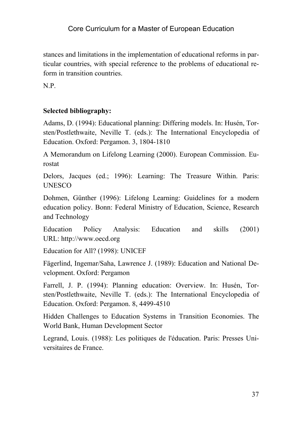stances and limitations in the implementation of educational reforms in particular countries, with special reference to the problems of educational reform in transition countries.

N.P.

# **Selected bibliography:**

Adams, D. (1994): Educational planning: Differing models. In: Husén, Torsten/Postlethwaite, Neville T. (eds.): The International Encyclopedia of Education. Oxford: Pergamon. 3, 1804-1810

A Memorandum on Lifelong Learning (2000). European Commission. Eurostat

Delors, Jacques (ed.; 1996): Learning: The Treasure Within. Paris: **UNESCO** 

Dohmen, Günther (1996): Lifelong Learning: Guidelines for a modern education policy. Bonn: Federal Ministry of Education, Science, Research and Technology

Education Policy Analysis: Education and skills (2001) URL: http://www.oecd.org

Education for All? (1998): UNICEF

Fägerlind, Ingemar/Saha, Lawrence J. (1989): Education and National Development. Oxford: Pergamon

Farrell, J. P. (1994): Planning education: Overview. In: Husén, Torsten/Postlethwaite, Neville T. (eds.): The International Encyclopedia of Education. Oxford: Pergamon. 8, 4499-4510

Hidden Challenges to Education Systems in Transition Economies. The World Bank, Human Development Sector

Legrand, Louis. (1988): Les politiques de l'éducation. Paris: Presses Universitaires de France.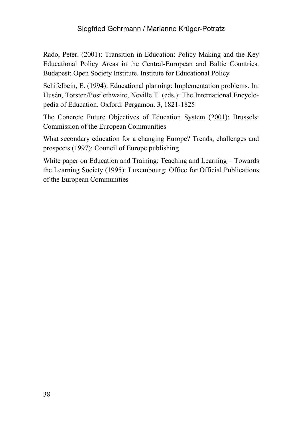Rado, Peter. (2001): Transition in Education: Policy Making and the Key Educational Policy Areas in the Central-European and Baltic Countries. Budapest: Open Society Institute. Institute for Educational Policy

Schifelbein, E. (1994): Educational planning: Implementation problems. In: Husén, Torsten/Postlethwaite, Neville T. (eds.): The International Encyclopedia of Education. Oxford: Pergamon. 3, 1821-1825

The Concrete Future Objectives of Education System (2001): Brussels: Commission of the European Communities

What secondary education for a changing Europe? Trends, challenges and prospects (1997): Council of Europe publishing

White paper on Education and Training: Teaching and Learning – Towards the Learning Society (1995): Luxembourg: Office for Official Publications of the European Communities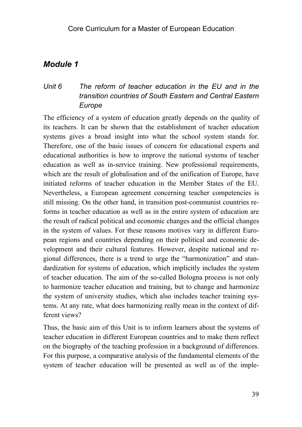# *Unit 6 The reform of teacher education in the EU and in the transition countries of South Eastern and Central Eastern Europe*

The efficiency of a system of education greatly depends on the quality of its teachers. It can be shown that the establishment of teacher education systems gives a broad insight into what the school system stands for. Therefore, one of the basic issues of concern for educational experts and educational authorities is how to improve the national systems of teacher education as well as in-service training. New professional requirements, which are the result of globalisation and of the unification of Europe, have initiated reforms of teacher education in the Member States of the EU. Nevertheless, a European agreement concerning teacher competencies is still missing. On the other hand, in transition post-communist countries reforms in teacher education as well as in the entire system of education are the result of radical political and economic changes and the official changes in the system of values. For these reasons motives vary in different European regions and countries depending on their political and economic development and their cultural features. However, despite national and regional differences, there is a trend to urge the "harmonization" and standardization for systems of education, which implicitly includes the system of teacher education. The aim of the so-called Bologna process is not only to harmonize teacher education and training, but to change and harmonize the system of university studies, which also includes teacher training systems. At any rate, what does harmonizing really mean in the context of different views?

Thus, the basic aim of this Unit is to inform learners about the systems of teacher education in different European countries and to make them reflect on the biography of the teaching profession in a background of differences. For this purpose, a comparative analysis of the fundamental elements of the system of teacher education will be presented as well as of the imple-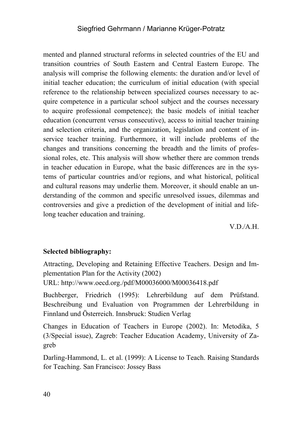mented and planned structural reforms in selected countries of the EU and transition countries of South Eastern and Central Eastern Europe. The analysis will comprise the following elements: the duration and/or level of initial teacher education; the curriculum of initial education (with special reference to the relationship between specialized courses necessary to acquire competence in a particular school subject and the courses necessary to acquire professional competence); the basic models of initial teacher education (concurrent versus consecutive), access to initial teacher training and selection criteria, and the organization, legislation and content of inservice teacher training. Furthermore, it will include problems of the changes and transitions concerning the breadth and the limits of professional roles, etc. This analysis will show whether there are common trends in teacher education in Europe, what the basic differences are in the systems of particular countries and/or regions, and what historical, political and cultural reasons may underlie them. Moreover, it should enable an understanding of the common and specific unresolved issues, dilemmas and controversies and give a prediction of the development of initial and lifelong teacher education and training.

V.D./A.H.

#### **Selected bibliography:**

Attracting, Developing and Retaining Effective Teachers. Design and Implementation Plan for the Activity (2002)

URL: http://www.oecd.org./pdf/M00036000/M00036418.pdf

Buchberger, Friedrich (1995): Lehrerbildung auf dem Prüfstand. Beschreibung und Evaluation von Programmen der Lehrerbildung in Finnland und Österreich. Innsbruck: Studien Verlag

Changes in Education of Teachers in Europe (2002). In: Metodika, 5 (3/Special issue), Zagreb: Teacher Education Academy, University of Zagreb

Darling-Hammond, L. et al. (1999): A License to Teach. Raising Standards for Teaching. San Francisco: Jossey Bass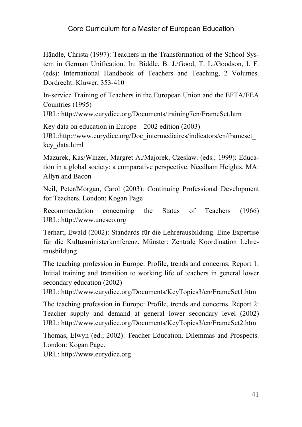Händle, Christa (1997): Teachers in the Transformation of the School System in German Unification. In: Biddle, B. J./Good, T. L./Goodson, I. F. (eds): International Handbook of Teachers and Teaching, 2 Volumes. Dordrecht: Kluwer, 353-410

In-service Training of Teachers in the European Union and the EFTA/EEA Countries (1995)

URL: http://www.eurydice.org/Documents/training7en/FrameSet.htm

Key data on education in Europe – 2002 edition (2003)

URL:http://www.eurydice.org/Doc\_intermediaires/indicators/en/frameset\_ key\_data.html

Mazurek, Kas/Winzer, Margret A./Majorek, Czeslaw. (eds.; 1999): Education in a global society: a comparative perspective. Needham Heights, MA: Allyn and Bacon

Neil, Peter/Morgan, Carol (2003): Continuing Professional Development for Teachers. London: Kogan Page

Recommendation concerning the Status of Teachers (1966) URL: http://www.unesco.org

Terhart, Ewald (2002): Standards für die Lehrerausbildung. Eine Expertise für die Kultusministerkonferenz. Münster: Zentrale Koordination Lehrerausbildung

The teaching profession in Europe: Profile, trends and concerns. Report 1: Initial training and transition to working life of teachers in general lower secondary education (2002)

URL: http://www.eurydice.org/Documents/KeyTopics3/en/FrameSet1.htm

The teaching profession in Europe: Profile, trends and concerns. Report 2: Teacher supply and demand at general lower secondary level (2002) URL: http://www.eurydice.org/Documents/KeyTopics3/en/FrameSet2.htm

Thomas, Elwyn (ed.; 2002): Teacher Education. Dilemmas and Prospects. London: Kogan Page.

URL: http://www.eurydice.org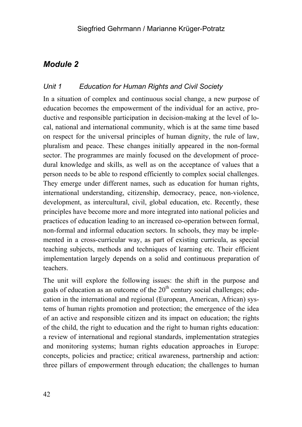### *Unit 1 Education for Human Rights and Civil Society*

In a situation of complex and continuous social change, a new purpose of education becomes the empowerment of the individual for an active, productive and responsible participation in decision-making at the level of local, national and international community, which is at the same time based on respect for the universal principles of human dignity, the rule of law, pluralism and peace. These changes initially appeared in the non-formal sector. The programmes are mainly focused on the development of procedural knowledge and skills, as well as on the acceptance of values that a person needs to be able to respond efficiently to complex social challenges. They emerge under different names, such as education for human rights, international understanding, citizenship, democracy, peace, non-violence, development, as intercultural, civil, global education, etc. Recently, these principles have become more and more integrated into national policies and practices of education leading to an increased co-operation between formal, non-formal and informal education sectors. In schools, they may be implemented in a cross-curricular way, as part of existing curricula, as special teaching subjects, methods and techniques of learning etc. Their efficient implementation largely depends on a solid and continuous preparation of teachers.

The unit will explore the following issues: the shift in the purpose and goals of education as an outcome of the  $20<sup>th</sup>$  century social challenges; education in the international and regional (European, American, African) systems of human rights promotion and protection; the emergence of the idea of an active and responsible citizen and its impact on education; the rights of the child, the right to education and the right to human rights education: a review of international and regional standards, implementation strategies and monitoring systems; human rights education approaches in Europe: concepts, policies and practice; critical awareness, partnership and action: three pillars of empowerment through education; the challenges to human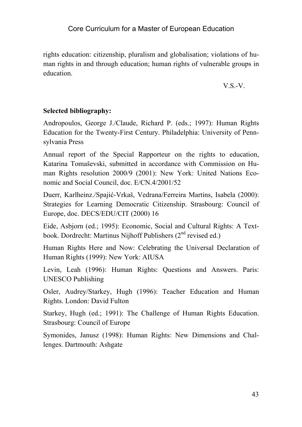rights education: citizenship, pluralism and globalisation; violations of human rights in and through education; human rights of vulnerable groups in education.

V.S.-V.

# **Selected bibliography:**

Andropoulos, George J./Claude, Richard P. (eds.; 1997): Human Rights Education for the Twenty-First Century. Philadelphia: University of Pennsylvania Press

Annual report of the Special Rapporteur on the rights to education, Katarina Tomaševski, submitted in accordance with Commission on Human Rights resolution 2000/9 (2001): New York: United Nations Economic and Social Council, doc. E/CN.4/2001/52

Duerr, Karlheinz./Spajić-Vrkaš, Vedrana/Ferreira Martins, Isabela (2000): Strategies for Learning Democratic Citizenship. Strasbourg: Council of Europe, doc. DECS/EDU/CIT (2000) 16

Eide, Asbjorn (ed.; 1995): Economic, Social and Cultural Rights: A Textbook. Dordrecht: Martinus Nijhoff Publishers  $(2<sup>nd</sup>$  revised ed.)

Human Rights Here and Now: Celebrating the Universal Declaration of Human Rights (1999): New York: AIUSA

Levin, Leah (1996): Human Rights: Questions and Answers. Paris: UNESCO Publishing

Osler, Audrey/Starkey, Hugh (1996): Teacher Education and Human Rights. London: David Fulton

Starkey, Hugh (ed.; 1991): The Challenge of Human Rights Education. Strasbourg: Council of Europe

Symonides, Janusz (1998): Human Rights: New Dimensions and Challenges. Dartmouth: Ashgate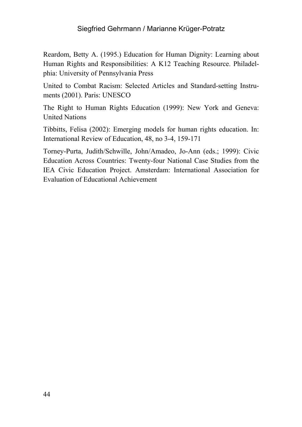Reardom, Betty A. (1995.) Education for Human Dignity: Learning about Human Rights and Responsibilities: A K12 Teaching Resource. Philadelphia: University of Pennsylvania Press

United to Combat Racism: Selected Articles and Standard-setting Instruments (2001). Paris: UNESCO

The Right to Human Rights Education (1999): New York and Geneva: United Nations

Tibbitts, Felisa (2002): Emerging models for human rights education. In: International Review of Education, 48, no 3-4, 159-171

Torney-Purta, Judith/Schwille, John/Amadeo, Jo-Ann (eds.; 1999): Civic Education Across Countries: Twenty-four National Case Studies from the IEA Civic Education Project. Amsterdam: International Association for Evaluation of Educational Achievement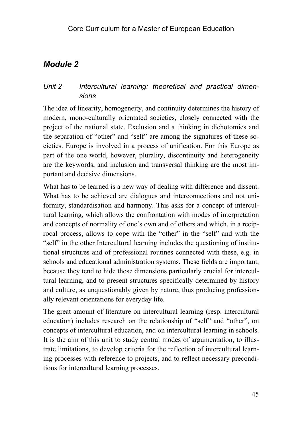# Unit 2 Intercultural learning: theoretical and practical dimen*sions*

The idea of linearity, homogeneity, and continuity determines the history of modern, mono-culturally orientated societies, closely connected with the project of the national state. Exclusion and a thinking in dichotomies and the separation of "other" and "self" are among the signatures of these societies. Europe is involved in a process of unification. For this Europe as part of the one world, however, plurality, discontinuity and heterogeneity are the keywords, and inclusion and transversal thinking are the most important and decisive dimensions.

What has to be learned is a new way of dealing with difference and dissent. What has to be achieved are dialogues and interconnections and not uniformity, standardisation and harmony. This asks for a concept of intercultural learning, which allows the confrontation with modes of interpretation and concepts of normality of one´s own and of others and which, in a reciprocal process, allows to cope with the "other" in the "self" and with the "self" in the other Intercultural learning includes the questioning of institutional structures and of professional routines connected with these, e.g. in schools and educational administration systems. These fields are important, because they tend to hide those dimensions particularly crucial for intercultural learning, and to present structures specifically determined by history and culture, as unquestionably given by nature, thus producing professionally relevant orientations for everyday life.

The great amount of literature on intercultural learning (resp. intercultural education) includes research on the relationship of "self" and "other", on concepts of intercultural education, and on intercultural learning in schools. It is the aim of this unit to study central modes of argumentation, to illustrate limitations, to develop criteria for the reflection of intercultural learning processes with reference to projects, and to reflect necessary preconditions for intercultural learning processes.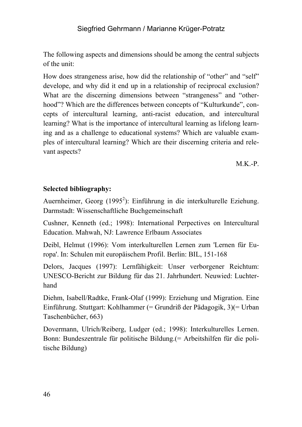The following aspects and dimensions should be among the central subjects of the unit:

How does strangeness arise, how did the relationship of "other" and "self" develope, and why did it end up in a relationship of reciprocal exclusion? What are the discerning dimensions between "strangeness" and "otherhood"? Which are the differences between concepts of "Kulturkunde", concepts of intercultural learning, anti-racist education, and intercultural learning? What is the importance of intercultural learning as lifelong learning and as a challenge to educational systems? Which are valuable examples of intercultural learning? Which are their discerning criteria and relevant aspects?

 $M.K.-P.$ 

# **Selected bibliography:**

Auernheimer, Georg  $(1995^2)$ : Einführung in die interkulturelle Eziehung. Darmstadt: Wissenschaftliche Buchgemeinschaft

Cushner, Kenneth (ed.; 1998): International Perpectives on Intercultural Education. Mahwah, NJ: Lawrence Erlbaum Associates

Deibl, Helmut (1996): Vom interkulturellen Lernen zum 'Lernen für Europa'. In: Schulen mit europäischem Profil. Berlin: BIL, 151-168

Delors, Jacques (1997): Lernfähigkeit: Unser verborgener Reichtum: UNESCO-Bericht zur Bildung für das 21. Jahrhundert. Neuwied: Luchterhand

Diehm, Isabell/Radtke, Frank-Olaf (1999): Erziehung und Migration. Eine Einführung. Stuttgart: Kohlhammer (= Grundriß der Pädagogik, 3)(= Urban Taschenbücher, 663)

Dovermann, Ulrich/Reiberg, Ludger (ed.; 1998): Interkulturelles Lernen. Bonn: Bundeszentrale für politische Bildung.(= Arbeitshilfen für die politische Bildung)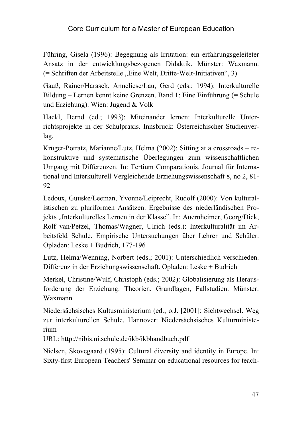Führing, Gisela (1996): Begegnung als Irritation: ein erfahrungsgeleiteter Ansatz in der entwicklungsbezogenen Didaktik. Münster: Waxmann. (= Schriften der Arbeitstelle "Eine Welt, Dritte-Welt-Initiativen", 3)

Gauß, Rainer/Harasek, Anneliese/Lau, Gerd (eds.; 1994): Interkulturelle Bildung – Lernen kennt keine Grenzen. Band 1: Eine Einführung (= Schule und Erziehung). Wien: Jugend & Volk

Hackl, Bernd (ed.; 1993): Miteinander lernen: Interkulturelle Unterrichtsprojekte in der Schulpraxis. Innsbruck: Österreichischer Studienverlag.

Krüger-Potratz, Marianne/Lutz, Helma (2002): Sitting at a crossroads – rekonstruktive und systematische Überlegungen zum wissenschaftlichen Umgang mit Differenzen. In: Tertium Comparationis. Journal für International und Interkulturell Vergleichende Erziehungswissenschaft 8, no 2, 81- 92

Ledoux, Guuske/Leeman, Yvonne/Leiprecht, Rudolf (2000): Von kulturalistischen zu pluriformen Ansätzen. Ergebnisse des niederländischen Projekts "Interkulturelles Lernen in der Klasse". In: Auernheimer, Georg/Dick, Rolf van/Petzel, Thomas/Wagner, Ulrich (eds.): Interkulturalität im Arbeitsfeld Schule. Empirische Untersuchungen über Lehrer und Schüler. Opladen: Leske + Budrich, 177-196

Lutz, Helma/Wenning, Norbert (eds.; 2001): Unterschiedlich verschieden. Differenz in der Erziehungswissenschaft. Opladen: Leske + Budrich

Merkel, Christine/Wulf, Christoph (eds.; 2002): Globalisierung als Herausforderung der Erziehung. Theorien, Grundlagen, Fallstudien. Münster: Waxmann

Niedersächsisches Kultusministerium (ed.; o.J. [2001]: Sichtwechsel. Weg zur interkulturellen Schule. Hannover: Niedersächsisches Kulturministerium

URL: http://nibis.ni.schule.de/ikb/ikbhandbuch.pdf

Nielsen, Skovegaard (1995): Cultural diversity and identity in Europe. In: Sixty-first European Teachers' Seminar on educational resources for teach-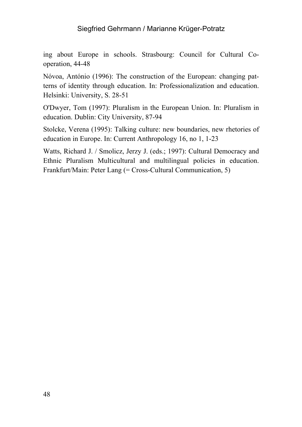ing about Europe in schools. Strasbourg: Council for Cultural Cooperation, 44-48

Nóvoa, António (1996): The construction of the European: changing patterns of identity through education. In: Professionalization and education. Helsinki: University, S. 28-51

O'Dwyer, Tom (1997): Pluralism in the European Union. In: Pluralism in education. Dublin: City University, 87-94

Stolcke, Verena (1995): Talking culture: new boundaries, new rhetories of education in Europe. In: Current Anthropology 16, no 1, 1-23

Watts, Richard J. / Smolicz, Jerzy J. (eds.; 1997): Cultural Democracy and Ethnic Pluralism Multicultural and multilingual policies in education. Frankfurt/Main: Peter Lang (= Cross-Cultural Communication, 5)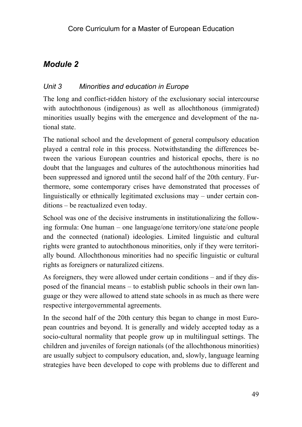# *Unit 3 Minorities and education in Europe*

The long and conflict-ridden history of the exclusionary social intercourse with autochthonous (indigenous) as well as allochthonous (immigrated) minorities usually begins with the emergence and development of the national state.

The national school and the development of general compulsory education played a central role in this process. Notwithstanding the differences between the various European countries and historical epochs, there is no doubt that the languages and cultures of the autochthonous minorities had been suppressed and ignored until the second half of the 20th century. Furthermore, some contemporary crises have demonstrated that processes of linguistically or ethnically legitimated exclusions may – under certain conditions – be reactualized even today.

School was one of the decisive instruments in institutionalizing the following formula: One human – one language/one territory/one state/one people and the connected (national) ideologies. Limited linguistic and cultural rights were granted to autochthonous minorities, only if they were territorially bound. Allochthonous minorities had no specific linguistic or cultural rights as foreigners or naturalized citizens.

As foreigners, they were allowed under certain conditions – and if they disposed of the financial means – to establish public schools in their own language or they were allowed to attend state schools in as much as there were respective intergovernmental agreements.

In the second half of the 20th century this began to change in most European countries and beyond. It is generally and widely accepted today as a socio-cultural normality that people grow up in multilingual settings. The children and juveniles of foreign nationals (of the allochthonous minorities) are usually subject to compulsory education, and, slowly, language learning strategies have been developed to cope with problems due to different and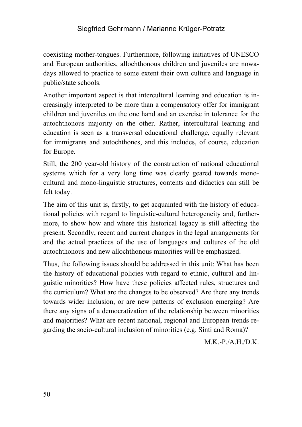coexisting mother-tongues. Furthermore, following initiatives of UNESCO and European authorities, allochthonous children and juveniles are nowadays allowed to practice to some extent their own culture and language in public/state schools.

Another important aspect is that intercultural learning and education is increasingly interpreted to be more than a compensatory offer for immigrant children and juveniles on the one hand and an exercise in tolerance for the autochthonous majority on the other. Rather, intercultural learning and education is seen as a transversal educational challenge, equally relevant for immigrants and autochthones, and this includes, of course, education for Europe.

Still, the 200 year-old history of the construction of national educational systems which for a very long time was clearly geared towards monocultural and mono-linguistic structures, contents and didactics can still be felt today.

The aim of this unit is, firstly, to get acquainted with the history of educational policies with regard to linguistic-cultural heterogeneity and, furthermore, to show how and where this historical legacy is still affecting the present. Secondly, recent and current changes in the legal arrangements for and the actual practices of the use of languages and cultures of the old autochthonous and new allochthonous minorities will be emphasized.

Thus, the following issues should be addressed in this unit: What has been the history of educational policies with regard to ethnic, cultural and linguistic minorities? How have these policies affected rules, structures and the curriculum? What are the changes to be observed? Are there any trends towards wider inclusion, or are new patterns of exclusion emerging? Are there any signs of a democratization of the relationship between minorities and majorities? What are recent national, regional and European trends regarding the socio-cultural inclusion of minorities (e.g. Sinti and Roma)?

M.K.-P./A.H./D.K.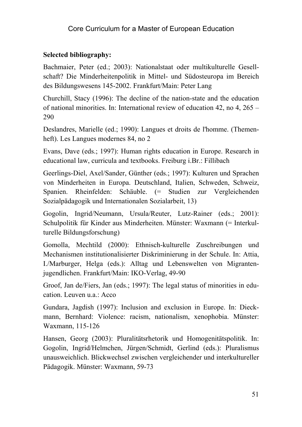# **Selected bibliography:**

Bachmaier, Peter (ed.; 2003): Nationalstaat oder multikulturelle Gesellschaft? Die Minderheitenpolitik in Mittel- und Südosteuropa im Bereich des Bildungswesens 145-2002. Frankfurt/Main: Peter Lang

Churchill, Stacy (1996): The decline of the nation-state and the education of national minorities. In: International review of education 42, no 4, 265 – 290

Deslandres, Marielle (ed.; 1990): Langues et droits de l'homme. (Themenheft). Les Langues modernes 84, no 2

Evans, Dave (eds.; 1997): Human rights education in Europe. Research in educational law, curricula and textbooks. Freiburg i.Br.: Fillibach

Geerlings-Diel, Axel/Sander, Günther (eds.; 1997): Kulturen und Sprachen von Minderheiten in Europa. Deutschland, Italien, Schweden, Schweiz, Spanien. Rheinfelden: Schäuble. (= Studien zur Vergleichenden Sozialpädagogik und Internationalen Sozialarbeit, 13)

Gogolin, Ingrid/Neumann, Ursula/Reuter, Lutz-Rainer (eds.; 2001): Schulpolitik für Kinder aus Minderheiten. Münster: Waxmann (= Interkulturelle Bildungsforschung)

Gomolla, Mechtild (2000): Ethnisch-kulturelle Zuschreibungen und Mechanismen institutionalisierter Diskriminierung in der Schule. In: Attia, I./Marburger, Helga (eds.): Alltag und Lebenswelten von Migrantenjugendlichen. Frankfurt/Main: IKO-Verlag, 49-90

Groof, Jan de/Fiers, Jan (eds.; 1997): The legal status of minorities in education. Leuven u.a.: Acco

Gundara, Jagdish (1997): Inclusion and exclusion in Europe. In: Dieckmann, Bernhard: Violence: racism, nationalism, xenophobia. Münster: Waxmann, 115-126

Hansen, Georg (2003): Pluralitätsrhetorik und Homogenitätspolitik. In: Gogolin, Ingrid/Helmchen, Jürgen/Schmidt, Gerlind (eds.): Pluralismus unausweichlich. Blickwechsel zwischen vergleichender und interkultureller Pädagogik. Münster: Waxmann, 59-73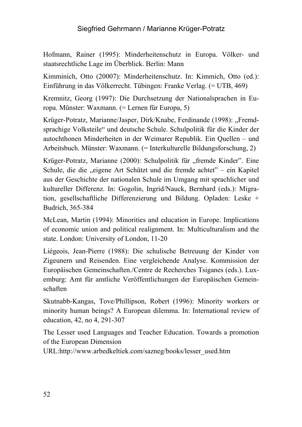Hofmann, Rainer (1995): Minderheitenschutz in Europa. Völker- und staatsrechtliche Lage im Überblick. Berlin: Mann

Kimminich, Otto (20007): Minderheitenschutz. In: Kimmich, Otto (ed.): Einführung in das Völkerrecht. Tübingen: Franke Verlag. (= UTB, 469)

Kremnitz, Georg (1997): Die Durchsetzung der Nationalsprachen in Europa. Münster: Waxmann. (= Lernen für Europa, 5)

Krüger-Potratz, Marianne/Jasper, Dirk/Knabe, Ferdinande (1998): "Fremdsprachige Volksteile" und deutsche Schule. Schulpolitik für die Kinder der autochthonen Minderheiten in der Weimarer Republik. Ein Quellen – und Arbeitsbuch. Münster: Waxmann. (= Interkulturelle Bildungsforschung, 2)

Krüger-Potratz, Marianne (2000): Schulpolitik für "fremde Kinder". Eine Schule, die die "eigene Art Schützt und die fremde achtet" – ein Kapitel aus der Geschichte der nationalen Schule im Umgang mit sprachlicher und kultureller Differenz. In: Gogolin, Ingrid/Nauck, Bernhard (eds.): Migration, gesellschaftliche Differenzierung und Bildung. Opladen: Leske + Budrich, 365-384

McLean, Martin (1994): Minorities and education in Europe. Implications of economic union and political realignment. In: Multiculturalism and the state. London: University of London, 11-20

Liégeois, Jean-Pierre (1988): Die schulische Betreuung der Kinder von Zigeunern und Reisenden. Eine vergleichende Analyse. Kommission der Europäischen Gemeinschaften./Centre de Recherches Tsiganes (eds.). Luxemburg: Amt für amtliche Veröffentlichungen der Europäischen Gemeinschaften

Skutnabb-Kangas, Tove/Phillipson, Robert (1996): Minority workers or minority human beings? A European dilemma. In: International review of education, 42, no 4, 291-307

The Lesser used Languages and Teacher Education. Towards a promotion of the European Dimension

URL:http://www.arbedkeltiek.com/sazneg/books/lesser\_used.htm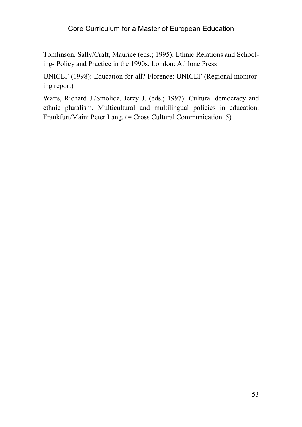Tomlinson, Sally/Craft, Maurice (eds.; 1995): Ethnic Relations and Schooling- Policy and Practice in the 1990s. London: Athlone Press

UNICEF (1998): Education for all? Florence: UNICEF (Regional monitoring report)

Watts, Richard J./Smolicz, Jerzy J. (eds.; 1997): Cultural democracy and ethnic pluralism. Multicultural and multilingual policies in education. Frankfurt/Main: Peter Lang. (= Cross Cultural Communication. 5)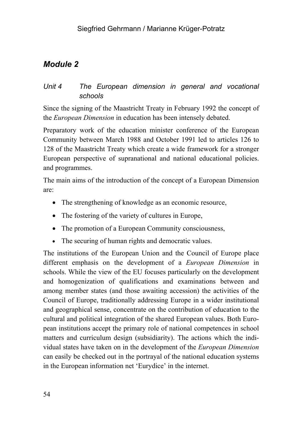# *Unit 4 The European dimension in general and vocational schools*

Since the signing of the Maastricht Treaty in February 1992 the concept of the *European Dimension* in education has been intensely debated.

Preparatory work of the education minister conference of the European Community between March 1988 and October 1991 led to articles 126 to 128 of the Maastricht Treaty which create a wide framework for a stronger European perspective of supranational and national educational policies. and programmes.

The main aims of the introduction of the concept of a European Dimension are:

- The strengthening of knowledge as an economic resource,
- The fostering of the variety of cultures in Europe,
- The promotion of a European Community consciousness,
- The securing of human rights and democratic values.

The institutions of the European Union and the Council of Europe place different emphasis on the development of a *European Dimension* in schools. While the view of the EU focuses particularly on the development and homogenization of qualifications and examinations between and among member states (and those awaiting accession) the activities of the Council of Europe, traditionally addressing Europe in a wider institutional and geographical sense, concentrate on the contribution of education to the cultural and political integration of the shared European values. Both European institutions accept the primary role of national competences in school matters and curriculum design (subsidiarity). The actions which the individual states have taken on in the development of the *European Dimension* can easily be checked out in the portrayal of the national education systems in the European information net 'Eurydice' in the internet.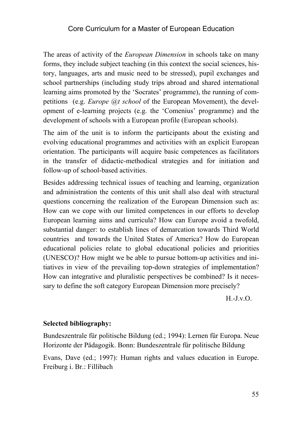The areas of activity of the *European Dimension* in schools take on many forms, they include subject teaching (in this context the social sciences, history, languages, arts and music need to be stressed), pupil exchanges and school partnerships (including study trips abroad and shared international learning aims promoted by the 'Socrates' programme), the running of competitions (e.g. *Europe @t school* of the European Movement), the development of e-learning projects (e.g. the 'Comenius' programme) and the development of schools with a European profile (European schools).

The aim of the unit is to inform the participants about the existing and evolving educational programmes and activities with an explicit European orientation. The participants will acquire basic competences as facilitators in the transfer of didactic-methodical strategies and for initiation and follow-up of school-based activities.

Besides addressing technical issues of teaching and learning, organization and administration the contents of this unit shall also deal with structural questions concerning the realization of the European Dimension such as: How can we cope with our limited competences in our efforts to develop European learning aims and curricula? How can Europe avoid a twofold, substantial danger: to establish lines of demarcation towards Third World countries and towards the United States of America? How do European educational policies relate to global educational policies and priorities (UNESCO)? How might we be able to pursue bottom-up activities and initiatives in view of the prevailing top-down strategies of implementation? How can integrative and pluralistic perspectives be combined? Is it necessary to define the soft category European Dimension more precisely?

 $H.-J.v.$  $O.$ 

#### **Selected bibliography:**

Bundeszentrale für politische Bildung (ed.; 1994): Lernen für Europa. Neue Horizonte der Pädagogik. Bonn: Bundeszentrale für politische Bildung

Evans, Dave (ed.; 1997): Human rights and values education in Europe. Freiburg i. Br.: Fillibach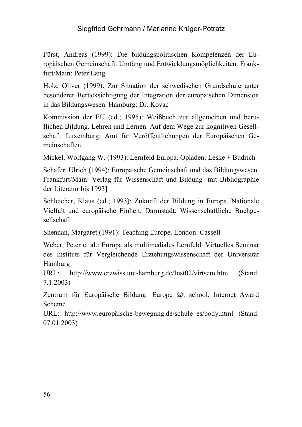Fürst, Andreas (1999): Die bildungspolitischen Kompetenzen der Europäischen Gemeinschaft. Umfang und Entwicklungsmöglichkeiten. Frankfurt/Main: Peter Lang

Holz, Oliver (1999): Zur Situation der schwedischen Grundschule unter besonderer Berücksichtigung der Integration der europäischen Dimension in das Bildungswesen. Hamburg: Dr. Kovac

Kommission der EU (ed.; 1995): Weißbuch zur allgemeinen und beruflichen Bildung. Lehren und Lernen. Auf dem Wege zur kognitiven Gesellschaft. Luxemburg: Amt für Veröffentlichungen der Europäischen Gemeinschaften

Mickel, Wolfgang W. (1993): Lernfeld Europa. Opladen: Leske + Budrich

Schäfer, Ulrich (1994): Europäische Gemeinschaft und das Bildungswesen. Frankfurt/Main: Verlag für Wissenschaft und Bildung [mit Bibliographie der Literatur bis 1993]

Schleicher, Klaus (ed.; 1993): Zukunft der Bildung in Europa. Nationale Vielfalt und europäische Einheit, Darmstadt: Wissenschaftliche Buchgesellschaft

Shennan, Margaret (1991): Teaching Europe. London: Cassell

Weber, Peter et al.: Europa als multimediales Lernfeld. Virtuelles Seminar des Instituts für Vergleichende Erziehungswissenschaft der Universität Hamburg

URL: http://www.erzwiss.uni-hamburg.de/Inst02/virtsem.htm (Stand: 7.1.2003)

Zentrum für Europäische Bildung: Europe @t school. Internet Award Scheme

URL: http://www.europäische-bewegung.de/schule\_es/body.html (Stand: 07.01.2003)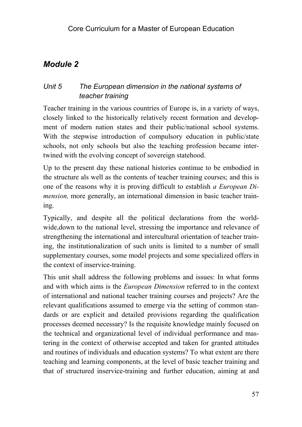# *Unit 5 The European dimension in the national systems of teacher training*

Teacher training in the various countries of Europe is, in a variety of ways, closely linked to the historically relatively recent formation and development of modern nation states and their public/national school systems. With the stepwise introduction of compulsory education in public/state schools, not only schools but also the teaching profession became intertwined with the evolving concept of sovereign statehood.

Up to the present day these national histories continue to be embodied in the structure als well as the contents of teacher training courses; and this is one of the reasons why it is proving difficult to establish *a European Dimension,* more generally, an international dimension in basic teacher training.

Typically, and despite all the political declarations from the worldwide,down to the national level, stressing the importance and relevance of strengthening the international and intercultural orientation of teacher training, the institutionalization of such units is limited to a number of small supplementary courses, some model projects and some specialized offers in the context of inservice-training.

This unit shall address the following problems and issues: In what forms and with which aims is the *European Dimension* referred to in the context of international and national teacher training courses and projects? Are the relevant qualifications assumed to emerge via the setting of common standards or are explicit and detailed provisions regarding the qualification processes deemed necessary? Is the requisite knowledge mainly focused on the technical and organizational level of individual performance and mastering in the context of otherwise accepted and taken for granted attitudes and routines of individuals and education systems? To what extent are there teaching and learning components, at the level of basic teacher training and that of structured inservice-training and further education, aiming at and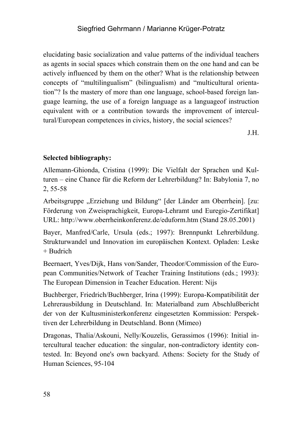elucidating basic socialization and value patterns of the individual teachers as agents in social spaces which constrain them on the one hand and can be actively influenced by them on the other? What is the relationship between concepts of "multilingualism" (bilingualism) and "multicultural orientation"? Is the mastery of more than one language, school-based foreign language learning, the use of a foreign language as a languageof instruction equivalent with or a contribution towards the improvement of intercultural/European competences in civics, history, the social sciences?

J.H.

# **Selected bibliography:**

Allemann-Ghionda, Cristina (1999): Die Vielfalt der Sprachen und Kulturen – eine Chance für die Reform der Lehrerbildung? In: Babylonia 7, no 2, 55-58

Arbeitsgruppe "Erziehung und Bildung" [der Länder am Oberrhein]. [zu: Förderung von Zweisprachigkeit, Europa-Lehramt und Euregio-Zertifikat] URL: http://www.oberrheinkonferenz.de/eduform.htm (Stand 28.05.2001)

Bayer, Manfred/Carle, Ursula (eds.; 1997): Brennpunkt Lehrerbildung. Strukturwandel und Innovation im europäischen Kontext. Opladen: Leske  $+$  Budrich

Beernaert, Yves/Dijk, Hans von/Sander, Theodor/Commission of the European Communities/Network of Teacher Training Institutions (eds.; 1993): The European Dimension in Teacher Education. Herent: Nijs

Buchberger, Friedrich/Buchberger, Irina (1999): Europa-Kompatibilität der Lehrerausbildung in Deutschland. In: Materialband zum Abschlußbericht der von der Kultusministerkonferenz eingesetzten Kommission: Perspektiven der Lehrerbildung in Deutschland. Bonn (Mimeo)

Dragonas, Thalia/Askouni, Nelly/Kouzelis, Gerassimos (1996): Initial intercultural teacher education: the singular, non-contradictory identity contested. In: Beyond one's own backyard. Athens: Society for the Study of Human Sciences, 95-104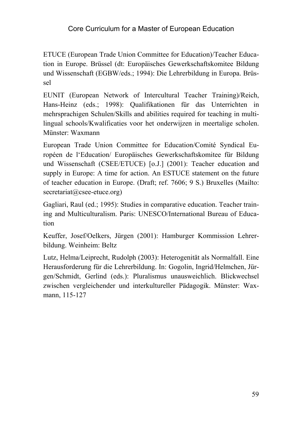ETUCE (European Trade Union Committee for Education)/Teacher Education in Europe. Brüssel (dt: Europäisches Gewerkschaftskomitee Bildung und Wissenschaft (EGBW/eds.; 1994): Die Lehrerbildung in Europa. Brüssel

EUNIT (European Network of Intercultural Teacher Training)/Reich, Hans-Heinz (eds.; 1998): Qualifikationen für das Unterrichten in mehrsprachigen Schulen/Skills and abilities required for teaching in multilingual schools/Kwalificaties voor het onderwijzen in meertalige scholen. Münster: Waxmann

European Trade Union Committee for Education/Comité Syndical Européen de l'Education/ Europäisches Gewerkschaftskomitee für Bildung und Wissenschaft (CSEE/ETUCE) [o.J.] (2001): Teacher education and supply in Europe: A time for action. An ESTUCE statement on the future of teacher education in Europe. (Draft; ref. 7606; 9 S.) Bruxelles (Mailto: secretariat@csee-etuce.org)

Gagliari, Raul (ed.; 1995): Studies in comparative education. Teacher training and Multiculturalism. Paris: UNESCO/International Bureau of Education

Keuffer, Josef/Oelkers, Jürgen (2001): Hamburger Kommission Lehrerbildung. Weinheim: Beltz

Lutz, Helma/Leiprecht, Rudolph (2003): Heterogenität als Normalfall. Eine Herausforderung für die Lehrerbildung. In: Gogolin, Ingrid/Helmchen, Jürgen/Schmidt, Gerlind (eds.): Pluralismus unausweichlich. Blickwechsel zwischen vergleichender und interkultureller Pädagogik. Münster: Waxmann, 115-127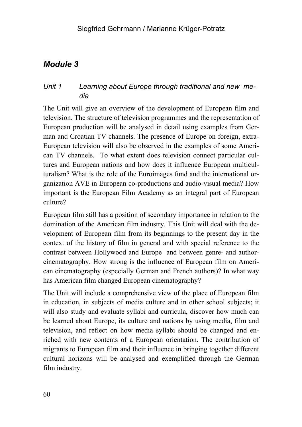# *Unit 1 Learning about Europe through traditional and new media*

The Unit will give an overview of the development of European film and television. The structure of television programmes and the representation of European production will be analysed in detail using examples from German and Croatian TV channels. The presence of Europe on foreign, extra-European television will also be observed in the examples of some American TV channels. To what extent does television connect particular cultures and European nations and how does it influence European multiculturalism? What is the role of the Euroimages fund and the international organization AVE in European co-productions and audio-visual media? How important is the European Film Academy as an integral part of European culture?

European film still has a position of secondary importance in relation to the domination of the American film industry. This Unit will deal with the development of European film from its beginnings to the present day in the context of the history of film in general and with special reference to the contrast between Hollywood and Europe and between genre- and authorcinematography. How strong is the influence of European film on American cinematography (especially German and French authors)? In what way has American film changed European cinematography?

The Unit will include a comprehensive view of the place of European film in education, in subjects of media culture and in other school subjects; it will also study and evaluate syllabi and curricula, discover how much can be learned about Europe, its culture and nations by using media, film and television, and reflect on how media syllabi should be changed and enriched with new contents of a European orientation. The contribution of migrants to European film and their influence in bringing together different cultural horizons will be analysed and exemplified through the German film industry.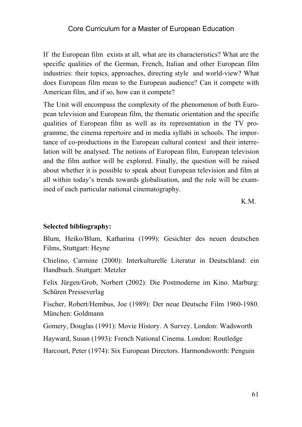If the European film exists at all, what are its characteristics? What are the specific qualities of the German, French, Italian and other European film industries: their topics, approaches, directing style and world-view? What does European film mean to the European audience? Can it compete with American film, and if so, how can it compete?

The Unit will encompass the complexity of the phenomenon of both European television and European film, the thematic orientation and the specific qualities of European film as well as its representation in the TV programme, the cinema repertoire and in media syllabi in schools. The importance of co-productions in the European cultural context and their interrelation will be analysed. The notions of European film, European television and the film author will be explored. Finally, the question will be raised about whether it is possible to speak about European television and film at all within today's trends towards globalisation, and the role will be examined of each particular national cinematography.

K.M.

#### **Selected bibliography:**

Blum, Heiko/Blum, Katharina (1999): Gesichter des neuen deutschen Films, Stuttgart: Heyne

Chielino, Carmine (2000): Interkulturelle Literatur in Deutschland: ein Handbuch. Stuttgart: Metzler

Felix Jürgen/Grob, Norbert (2002): Die Postmoderne im Kino. Marburg: Schüren Presseverlag

Fischer, Robert/Hembus, Joe (1989): Der neue Deutsche Film 1960-1980. München: Goldmann

Gomery, Douglas (1991): Movie History. A Survey. London: Wadsworth

Hayward, Susan (1993): French National Cinema. London: Routledge

Harcourt, Peter (1974): Six European Directors. Harmondsworth: Penguin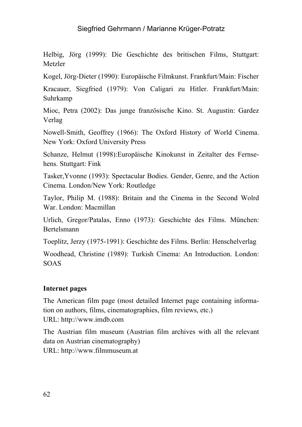Helbig, Jörg (1999): Die Geschichte des britischen Films, Stuttgart: Metzler

Kogel, Jörg-Dieter (1990): Europäische Filmkunst. Frankfurt/Main: Fischer

Kracauer, Siegfried (1979): Von Caligari zu Hitler. Frankfurt/Main: Suhrkamp

Mioc, Petra (2002): Das junge französische Kino. St. Augustin: Gardez Verlag

Nowell-Smith, Geoffrey (1966): The Oxford History of World Cinema. New York: Oxford University Press

Schanze, Helmut (1998):Europäische Kinokunst in Zeitalter des Fernsehens. Stuttgart: Fink

Tasker,Yvonne (1993): Spectacular Bodies. Gender, Genre, and the Action Cinema. London/New York: Routledge

Taylor, Philip M. (1988): Britain and the Cinema in the Second Wolrd War. London: Macmillan

Urlich, Gregor/Patalas, Enno (1973): Geschichte des Films. München: Bertelsmann

Toeplitz, Jerzy (1975-1991): Geschichte des Films. Berlin: Henschelverlag

Woodhead, Christine (1989): Turkish Cinema: An Introduction. London: SOAS

#### **Internet pages**

The American film page (most detailed Internet page containing information on authors, films, cinematographies, film reviews, etc.) URL: http://www.imdb.com

The Austrian film museum (Austrian film archives with all the relevant data on Austrian cinematography) URL: http://www.filmmuseum.at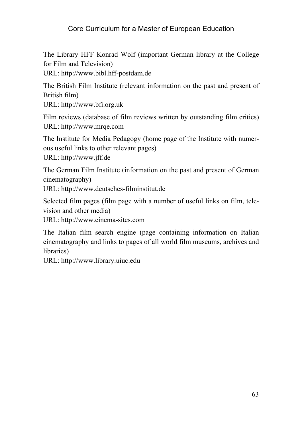The Library HFF Konrad Wolf (important German library at the College for Film and Television)

URL: http://www.bibl.hff-postdam.de

The British Film Institute (relevant information on the past and present of British film)

URL: http://www.bfi.org.uk

Film reviews (database of film reviews written by outstanding film critics) URL: http://www.mrqe.com

The Institute for Media Pedagogy (home page of the Institute with numerous useful links to other relevant pages)

URL: http://www.jff.de

The German Film Institute (information on the past and present of German cinematography)

URL: http://www.deutsches-filminstitut.de

Selected film pages (film page with a number of useful links on film, television and other media)

URL: http://www.cinema-sites.com

The Italian film search engine (page containing information on Italian cinematography and links to pages of all world film museums, archives and libraries)

URL: http://www.library.uiuc.edu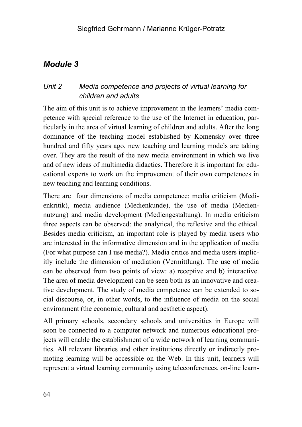# *Unit 2 Media competence and projects of virtual learning for children and adults*

The aim of this unit is to achieve improvement in the learners' media competence with special reference to the use of the Internet in education, particularly in the area of virtual learning of children and adults. After the long dominance of the teaching model established by Komensky over three hundred and fifty years ago, new teaching and learning models are taking over. They are the result of the new media environment in which we live and of new ideas of multimedia didactics. Therefore it is important for educational experts to work on the improvement of their own competences in new teaching and learning conditions.

There are four dimensions of media competence: media criticism (Medienkritik), media audience (Medienkunde), the use of media (Mediennutzung) and media development (Mediengestaltung). In media criticism three aspects can be observed: the analytical, the reflexive and the ethical. Besides media criticism, an important role is played by media users who are interested in the informative dimension and in the application of media (For what purpose can I use media?). Media critics and media users implicitly include the dimension of mediation (Vermittlung). The use of media can be observed from two points of view: a) receptive and b) interactive. The area of media development can be seen both as an innovative and creative development. The study of media competence can be extended to social discourse, or, in other words, to the influence of media on the social environment (the economic, cultural and aesthetic aspect).

All primary schools, secondary schools and universities in Europe will soon be connected to a computer network and numerous educational projects will enable the establishment of a wide network of learning communities. All relevant libraries and other institutions directly or indirectly promoting learning will be accessible on the Web. In this unit, learners will represent a virtual learning community using teleconferences, on-line learn-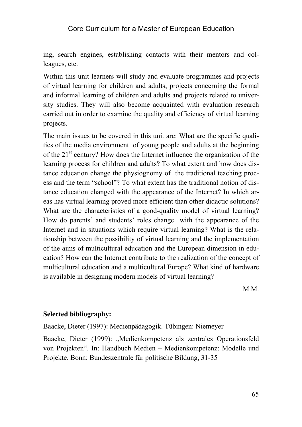ing, search engines, establishing contacts with their mentors and colleagues, etc.

Within this unit learners will study and evaluate programmes and projects of virtual learning for children and adults, projects concerning the formal and informal learning of children and adults and projects related to university studies. They will also become acquainted with evaluation research carried out in order to examine the quality and efficiency of virtual learning projects.

The main issues to be covered in this unit are: What are the specific qualities of the media environment of young people and adults at the beginning of the  $21<sup>st</sup>$  century? How does the Internet influence the organization of the learning process for children and adults? To what extent and how does distance education change the physiognomy of the traditional teaching process and the term "school"? To what extent has the traditional notion of distance education changed with the appearance of the Internet? In which areas has virtual learning proved more efficient than other didactic solutions? What are the characteristics of a good-quality model of virtual learning? How do parents' and students' roles change with the appearance of the Internet and in situations which require virtual learning? What is the relationship between the possibility of virtual learning and the implementation of the aims of multicultural education and the European dimension in education? How can the Internet contribute to the realization of the concept of multicultural education and a multicultural Europe? What kind of hardware is available in designing modern models of virtual learning?

M.M.

#### **Selected bibliography:**

Baacke, Dieter (1997): Medienpädagogik. Tübingen: Niemeyer

Baacke, Dieter (1999): "Medienkompetenz als zentrales Operationsfeld von Projekten". In: Handbuch Medien – Medienkompetenz: Modelle und Projekte. Bonn: Bundeszentrale für politische Bildung, 31-35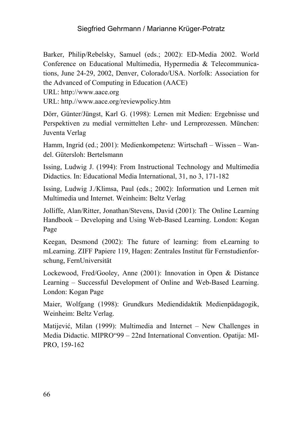Barker, Philip/Rebelsky, Samuel (eds.; 2002): ED-Media 2002. World Conference on Educational Multimedia, Hypermedia & Telecommunications, June 24-29, 2002, Denver, Colorado/USA. Norfolk: Association for the Advanced of Computing in Education (AACE)

URL: http://www.aace.org

URL: http.//www.aace.org/reviewpolicy.htm

Dörr, Günter/Jüngst, Karl G. (1998): Lernen mit Medien: Ergebnisse und Perspektiven zu medial vermittelten Lehr- und Lernprozessen. München: Juventa Verlag

Hamm, Ingrid (ed.; 2001): Medienkompetenz: Wirtschaft – Wissen – Wandel. Gütersloh: Bertelsmann

Issing, Ludwig J. (1994): From Instructional Technology and Multimedia Didactics. In: Educational Media International, 31, no 3, 171-182

Issing, Ludwig J./Klimsa, Paul (eds.; 2002): Information und Lernen mit Multimedia und Internet. Weinheim: Beltz Verlag

Jolliffe, Alan/Ritter, Jonathan/Stevens, David (2001): The Online Learning Handbook – Developing and Using Web-Based Learning. London: Kogan Page

Keegan, Desmond (2002): The future of learning: from eLearning to mLearning. ZIFF Papiere 119, Hagen: Zentrales Institut für Fernstudienforschung, FernUniversität

Lockewood, Fred/Gooley, Anne (2001): Innovation in Open & Distance Learning – Successful Development of Online and Web-Based Learning. London: Kogan Page

Maier, Wolfgang (1998): Grundkurs Mediendidaktik Medienpädagogik, Weinheim: Beltz Verlag.

Matijević, Milan (1999): Multimedia and Internet – New Challenges in Media Didactic. MIPRO"99 – 22nd International Convention. Opatija: MI-PRO, 159-162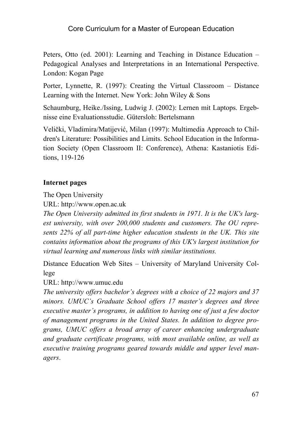Peters, Otto (ed. 2001): Learning and Teaching in Distance Education – Pedagogical Analyses and Interpretations in an International Perspective. London: Kogan Page

Porter, Lynnette, R. (1997): Creating the Virtual Classroom – Distance Learning with the Internet. New York: John Wiley & Sons

Schaumburg, Heike./Issing, Ludwig J. (2002): Lernen mit Laptops. Ergebnisse eine Evaluationsstudie. Gütersloh: Bertelsmann

Velički, Vladimira/Matijević, Milan (1997): Multimedia Approach to Children's Literature: Possibilities and Limits. School Education in the Information Society (Open Classroom II: Conference), Athena: Kastaniotis Editions, 119-126

#### **Internet pages**

The Open University

URL: http://www.open.ac.uk

*The Open University admitted its first students in 1971. It is the UK's largest university, with over 200,000 students and customers. The OU represents 22% of all part-time higher education students in the UK. This site contains information about the programs of this UK's largest institution for virtual learning and numerous links with similar institutions.* 

Distance Education Web Sites *–* University of Maryland University College

URL: http://www.umuc.edu

*The university offers bachelor's degrees with a choice of 22 majors and 37 minors. UMUC's Graduate School offers 17 master's degrees and three executive master's programs, in addition to having one of just a few doctor of management programs in the United States. In addition to degree programs, UMUC offers a broad array of career enhancing undergraduate and graduate certificate programs, with most available online, as well as executive training programs geared towards middle and upper level managers*.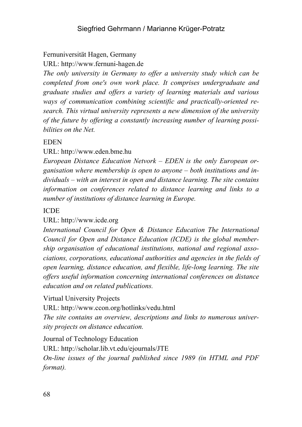### Fernuniversität Hagen, Germany

URL: http://www.fernuni-hagen.de

*The only university in Germany to offer a university study which can be completed from one's own work place. It comprises undergraduate and graduate studies and offers a variety of learning materials and various ways of communication combining scientific and practically-oriented research. This virtual university represents a new dimension of the university of the future by offering a constantly increasing number of learning possibilities on the Net.* 

### EDEN

#### URL: http://www.eden.bme.hu

*European Distance Education Netvork – EDEN is the only European organisation where membership is open to anyone – both institutions and individuals – with an interest in open and distance learning. The site contains information on conferences related to distance learning and links to a number of institutions of distance learning in Europe.* 

#### ICDE

#### URL: http://www.icde.org

*International Council for Open & Distance Education The International Council for Open and Distance Education (ICDE) is the global membership organisation of educational institutions, national and regional associations, corporations, educational authorities and agencies in the fields of open learning, distance education, and flexible, life-long learning. The site offers useful information concerning international conferences on distance education and on related publications.* 

Virtual University Projects

URL: http://www.ccon.org/hotlinks/vedu.html *The site contains an overview, descriptions and links to numerous university projects on distance education.*

Journal of Technology Education

URL: http://scholar.lib.vt.edu/ejournals/JTE

*On-line issues of the journal published since 1989 (in HTML and PDF format).*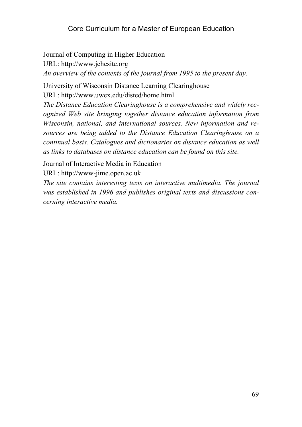Journal of Computing in Higher Education URL: http://www.jchesite.org *An overview of the contents of the journal from 1995 to the present day.* 

University of Wisconsin Distance Learning Clearinghouse URL: http://www.uwex.edu/disted/home.html

*The Distance Education Clearinghouse is a comprehensive and widely recognized Web site bringing together distance education information from Wisconsin, national, and international sources. New information and resources are being added to the Distance Education Clearinghouse on a continual basis. Catalogues and dictionaries on distance education as well as links to databases on distance education can be found on this site.* 

Journal of Interactive Media in Education

URL: http://www-jime.open.ac.uk

*The site contains interesting texts on interactive multimedia. The journal was established in 1996 and publishes original texts and discussions concerning interactive media.*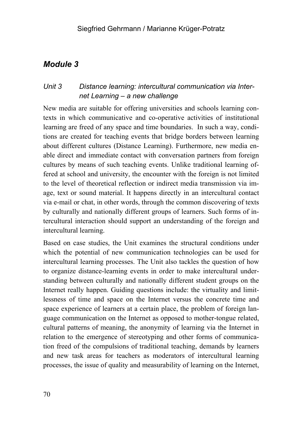# *Unit 3 Distance learning: intercultural communication via Internet Learning – a new challenge*

New media are suitable for offering universities and schools learning contexts in which communicative and co-operative activities of institutional learning are freed of any space and time boundaries. In such a way, conditions are created for teaching events that bridge borders between learning about different cultures (Distance Learning). Furthermore, new media enable direct and immediate contact with conversation partners from foreign cultures by means of such teaching events. Unlike traditional learning offered at school and university, the encounter with the foreign is not limited to the level of theoretical reflection or indirect media transmission via image, text or sound material. It happens directly in an intercultural contact via e-mail or chat, in other words, through the common discovering of texts by culturally and nationally different groups of learners. Such forms of intercultural interaction should support an understanding of the foreign and intercultural learning.

Based on case studies, the Unit examines the structural conditions under which the potential of new communication technologies can be used for intercultural learning processes. The Unit also tackles the question of how to organize distance-learning events in order to make intercultural understanding between culturally and nationally different student groups on the Internet really happen. Guiding questions include: the virtuality and limitlessness of time and space on the Internet versus the concrete time and space experience of learners at a certain place, the problem of foreign language communication on the Internet as opposed to mother-tongue related, cultural patterns of meaning, the anonymity of learning via the Internet in relation to the emergence of stereotyping and other forms of communication freed of the compulsions of traditional teaching, demands by learners and new task areas for teachers as moderators of intercultural learning processes, the issue of quality and measurability of learning on the Internet,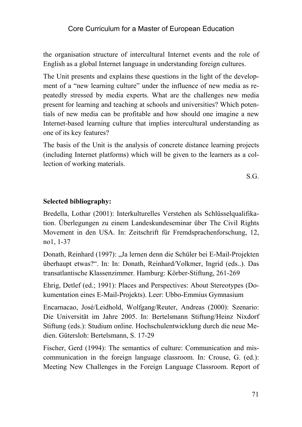the organisation structure of intercultural Internet events and the role of English as a global Internet language in understanding foreign cultures.

The Unit presents and explains these questions in the light of the development of a "new learning culture" under the influence of new media as repeatedly stressed by media experts. What are the challenges new media present for learning and teaching at schools and universities? Which potentials of new media can be profitable and how should one imagine a new Internet-based learning culture that implies intercultural understanding as one of its key features?

The basis of the Unit is the analysis of concrete distance learning projects (including Internet platforms) which will be given to the learners as a collection of working materials.

S.G.

#### **Selected bibliography:**

Bredella, Lothar (2001): Interkulturelles Verstehen als Schlüsselqualifikation. Überlegungen zu einem Landeskundeseminar über The Civil Rights Movement in den USA. In: Zeitschrift für Fremdsprachenforschung, 12, no1, 1-37

Donath, Reinhard (1997): "Ja lernen denn die Schüler bei E-Mail-Projekten überhaupt etwas?". In: In: Donath, Reinhard/Volkmer, Ingrid (eds..). Das transatlantische Klassenzimmer. Hamburg: Körber-Stiftung, 261-269

Ehrig, Detlef (ed.; 1991): Places and Perspectives: About Stereotypes (Dokumentation eines E-Mail-Projekts). Leer: Ubbo-Emmius Gymnasium

Encarnacao, José/Leidhold, Wolfgang/Reuter, Andreas (2000): Szenario: Die Universität im Jahre 2005. In: Bertelsmann Stiftung/Heinz Nixdorf Stiftung (eds.): Studium online. Hochschulentwicklung durch die neue Medien. Gütersloh: Bertelsmann, S. 17-29

Fischer, Gerd (1994): The semantics of culture: Communication and miscommunication in the foreign language classroom. In: Crouse, G. (ed.): Meeting New Challenges in the Foreign Language Classroom. Report of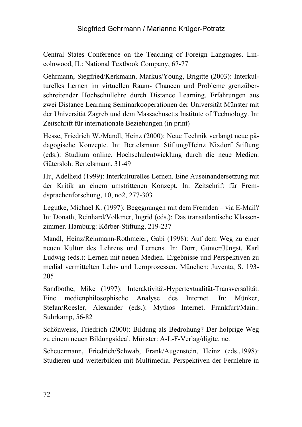Central States Conference on the Teaching of Foreign Languages. Lincolnwood, IL: National Textbook Company, 67-77

Gehrmann, Siegfried/Kerkmann, Markus/Young, Brigitte (2003): Interkulturelles Lernen im virtuellen Raum- Chancen und Probleme grenzüberschreitender Hochschullehre durch Distance Learning. Erfahrungen aus zwei Distance Learning Seminarkooperationen der Universität Münster mit der Universität Zagreb und dem Massachusetts Institute of Technology. In: Zeitschrift für internationale Beziehungen (in print)

Hesse, Friedrich W./Mandl, Heinz (2000): Neue Technik verlangt neue pädagogische Konzepte. In: Bertelsmann Stiftung/Heinz Nixdorf Stiftung (eds.): Studium online. Hochschulentwicklung durch die neue Medien. Gütersloh: Bertelsmann, 31-49

Hu, Adelheid (1999): Interkulturelles Lernen. Eine Auseinandersetzung mit der Kritik an einem umstrittenen Konzept. In: Zeitschrift für Fremdsprachenforschung, 10, no2, 277-303

Legutke, Michael K. (1997): Begegnungen mit dem Fremden – via E-Mail? In: Donath, Reinhard/Volkmer, Ingrid (eds.): Das transatlantische Klassenzimmer. Hamburg: Körber-Stiftung, 219-237

Mandl, Heinz/Reinmann-Rothmeier, Gabi (1998): Auf dem Weg zu einer neuen Kultur des Lehrens und Lernens. In: Dörr, Günter/Jüngst, Karl Ludwig (eds.): Lernen mit neuen Medien. Ergebnisse und Perspektiven zu medial vermittelten Lehr- und Lernprozessen. München: Juventa, S. 193- 205

Sandbothe, Mike (1997): Interaktivität-Hypertextualität-Transversalität. Eine medienphilosophische Analyse des Internet. In: Münker, Stefan/Roesler, Alexander (eds.): Mythos Internet. Frankfurt/Main.: Suhrkamp, 56-82

Schönweiss, Friedrich (2000): Bildung als Bedrohung? Der holprige Weg zu einem neuen Bildungsideal. Münster: A-L-F-Verlag/digite. net

Scheuermann, Friedrich/Schwab, Frank/Augenstein, Heinz (eds.,1998): Studieren und weiterbilden mit Multimedia. Perspektiven der Fernlehre in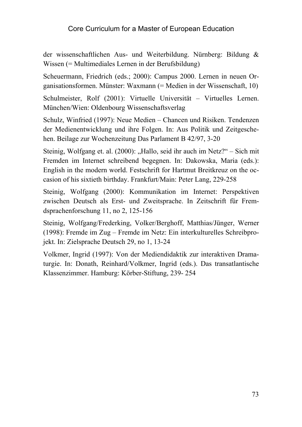der wissenschaftlichen Aus- und Weiterbildung. Nürnberg: Bildung & Wissen (= Multimediales Lernen in der Berufsbildung)

Scheuermann, Friedrich (eds.; 2000): Campus 2000. Lernen in neuen Organisationsformen. Münster: Waxmann (= Medien in der Wissenschaft, 10)

Schulmeister, Rolf (2001): Virtuelle Universität – Virtuelles Lernen. München/Wien: Oldenbourg Wissenschaftsverlag

Schulz, Winfried (1997): Neue Medien – Chancen und Risiken. Tendenzen der Medienentwicklung und ihre Folgen. In: Aus Politik und Zeitgeschehen. Beilage zur Wochenzeitung Das Parlament B 42/97, 3-20

Steinig, Wolfgang et. al. (2000): "Hallo, seid ihr auch im Netz?" – Sich mit Fremden im Internet schreibend begegnen. In: Dakowska, Maria (eds.): English in the modern world. Festschrift for Hartmut Breitkreuz on the occasion of his sixtieth birthday. Frankfurt/Main: Peter Lang, 229-258

Steinig, Wolfgang (2000): Kommunikation im Internet: Perspektiven zwischen Deutsch als Erst- und Zweitsprache. In Zeitschrift für Fremdsprachenforschung 11, no 2, 125-156

Steinig, Wolfgang/Frederking, Volker/Berghoff, Matthias/Jünger, Werner (1998): Fremde im Zug – Fremde im Netz: Ein interkulturelles Schreibprojekt. In: Zielsprache Deutsch 29, no 1, 13-24

Volkmer, Ingrid (1997): Von der Mediendidaktik zur interaktiven Dramaturgie. In: Donath, Reinhard/Volkmer, Ingrid (eds.). Das transatlantische Klassenzimmer. Hamburg: Körber-Stiftung, 239- 254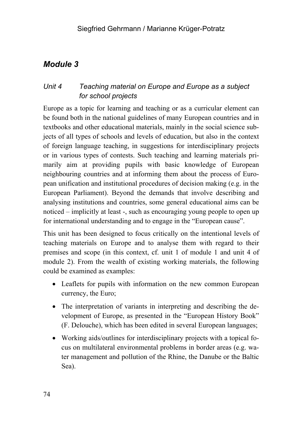## *Unit 4 Teaching material on Europe and Europe as a subject for school projects*

Europe as a topic for learning and teaching or as a curricular element can be found both in the national guidelines of many European countries and in textbooks and other educational materials, mainly in the social science subjects of all types of schools and levels of education, but also in the context of foreign language teaching, in suggestions for interdisciplinary projects or in various types of contests. Such teaching and learning materials primarily aim at providing pupils with basic knowledge of European neighbouring countries and at informing them about the process of European unification and institutional procedures of decision making (e.g. in the European Parliament). Beyond the demands that involve describing and analysing institutions and countries, some general educational aims can be noticed – implicitly at least -, such as encouraging young people to open up for international understanding and to engage in the "European cause".

This unit has been designed to focus critically on the intentional levels of teaching materials on Europe and to analyse them with regard to their premises and scope (in this context, cf. unit 1 of module 1 and unit 4 of module 2). From the wealth of existing working materials, the following could be examined as examples:

- Leaflets for pupils with information on the new common European currency, the Euro;
- The interpretation of variants in interpreting and describing the development of Europe, as presented in the "European History Book" (F. Delouche), which has been edited in several European languages;
- Working aids/outlines for interdisciplinary projects with a topical focus on multilateral environmental problems in border areas (e.g. water management and pollution of the Rhine, the Danube or the Baltic Sea).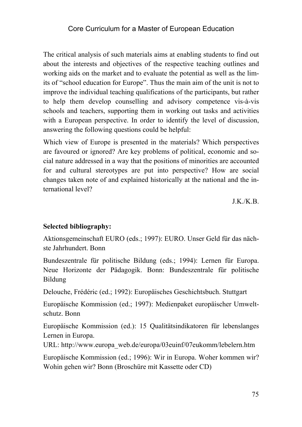The critical analysis of such materials aims at enabling students to find out about the interests and objectives of the respective teaching outlines and working aids on the market and to evaluate the potential as well as the limits of "school education for Europe". Thus the main aim of the unit is not to improve the individual teaching qualifications of the participants, but rather to help them develop counselling and advisory competence vis-à-vis schools and teachers, supporting them in working out tasks and activities with a European perspective. In order to identify the level of discussion, answering the following questions could be helpful:

Which view of Europe is presented in the materials? Which perspectives are favoured or ignored? Are key problems of political, economic and social nature addressed in a way that the positions of minorities are accounted for and cultural stereotypes are put into perspective? How are social changes taken note of and explained historically at the national and the international level?

J.K./K.B.

#### **Selected bibliography:**

Aktionsgemeinschaft EURO (eds.; 1997): EURO. Unser Geld für das nächste Jahrhundert. Bonn

Bundeszentrale für politische Bildung (eds.; 1994): Lernen für Europa. Neue Horizonte der Pädagogik. Bonn: Bundeszentrale für politische Bildung

Delouche, Frédéric (ed.; 1992): Europäisches Geschichtsbuch. Stuttgart

Europäische Kommission (ed.; 1997): Medienpaket europäischer Umweltschutz. Bonn

Europäische Kommission (ed.): 15 Qualitätsindikatoren für lebenslanges Lernen in Europa.

URL: http://www.europa\_web.de/europa/03euinf/07eukomm/lebelern.htm

Europäische Kommission (ed.; 1996): Wir in Europa. Woher kommen wir? Wohin gehen wir? Bonn (Broschüre mit Kassette oder CD)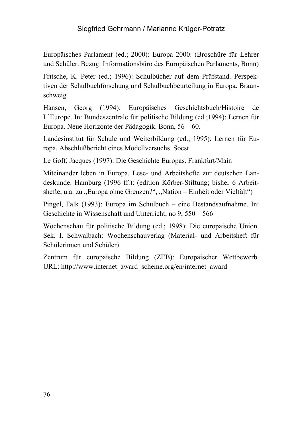Europäisches Parlament (ed.; 2000): Europa 2000. (Broschüre für Lehrer und Schüler. Bezug: Informationsbüro des Europäischen Parlaments, Bonn)

Fritsche, K. Peter (ed.; 1996): Schulbücher auf dem Prüfstand. Perspektiven der Schulbuchforschung und Schulbuchbeurteilung in Europa. Braunschweig

Hansen, Georg (1994): Europäisches Geschichtsbuch/Histoire de L`Europe. In: Bundeszentrale für politische Bildung (ed.;1994): Lernen für Europa. Neue Horizonte der Pädagogik. Bonn, 56 – 60.

Landesinstitut für Schule und Weiterbildung (ed.; 1995): Lernen für Europa. Abschlußbericht eines Modellversuchs. Soest

Le Goff, Jacques (1997): Die Geschichte Europas. Frankfurt/Main

Miteinander leben in Europa. Lese- und Arbeitshefte zur deutschen Landeskunde. Hamburg (1996 ff.): (edition Körber-Stiftung; bisher 6 Arbeitshefte, u.a. zu "Europa ohne Grenzen?", "Nation – Einheit oder Vielfalt")

Pingel, Falk (1993): Europa im Schulbuch – eine Bestandsaufnahme. In: Geschichte in Wissenschaft und Unterricht, no 9, 550 – 566

Wochenschau für politische Bildung (ed.; 1998): Die europäische Union. Sek. I. Schwalbach: Wochenschauverlag (Material- und Arbeitsheft für Schülerinnen und Schüler)

Zentrum für europäische Bildung (ZEB): Europäischer Wettbewerb. URL: http://www.internet\_award\_scheme.org/en/internet\_award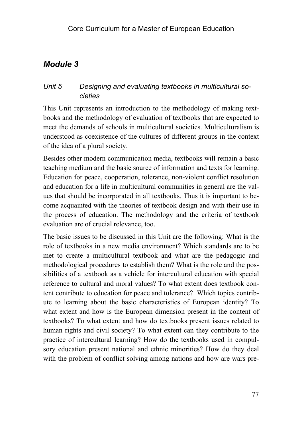## *Unit 5 Designing and evaluating textbooks in multicultural societies*

This Unit represents an introduction to the methodology of making textbooks and the methodology of evaluation of textbooks that are expected to meet the demands of schools in multicultural societies. Multiculturalism is understood as coexistence of the cultures of different groups in the context of the idea of a plural society.

Besides other modern communication media, textbooks will remain a basic teaching medium and the basic source of information and texts for learning. Education for peace, cooperation, tolerance, non-violent conflict resolution and education for a life in multicultural communities in general are the values that should be incorporated in all textbooks. Thus it is important to become acquainted with the theories of textbook design and with their use in the process of education. The methodology and the criteria of textbook evaluation are of crucial relevance, too.

The basic issues to be discussed in this Unit are the following: What is the role of textbooks in a new media environment? Which standards are to be met to create a multicultural textbook and what are the pedagogic and methodological procedures to establish them? What is the role and the possibilities of a textbook as a vehicle for intercultural education with special reference to cultural and moral values? To what extent does textbook content contribute to education for peace and tolerance? Which topics contribute to learning about the basic characteristics of European identity? To what extent and how is the European dimension present in the content of textbooks? To what extent and how do textbooks present issues related to human rights and civil society? To what extent can they contribute to the practice of intercultural learning? How do the textbooks used in compulsory education present national and ethnic minorities? How do they deal with the problem of conflict solving among nations and how are wars pre-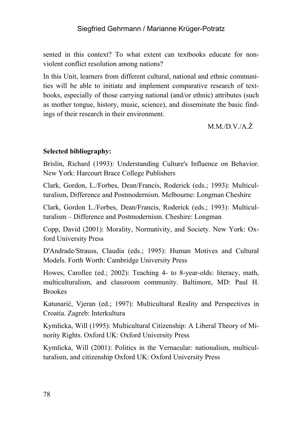sented in this context? To what extent can textbooks educate for nonviolent conflict resolution among nations?

In this Unit, learners from different cultural, national and ethnic communities will be able to initiate and implement comparative research of textbooks, especially of those carrying national (and/or ethnic) attributes (such as mother tongue, history, music, science), and disseminate the basic findings of their research in their environment.

 $M$  $M$  $D$  $V$  $A$  $\check{Z}$ .

### **Selected bibliography:**

Brislin, Richard (1993): Understanding Culture's Influence on Behavior. New York: Harcourt Brace College Publishers

Clark, Gordon, L./Forbes, Dean/Francis, Roderick (eds.; 1993): Multiculturalism, Difference and Postmodernism. Melbourne: Longman Cheshire

Clark, Gordon L./Forbes, Dean/Francis, Roderick (eds.; 1993): Multiculturalism – Difference and Postmodernism. Cheshire: Longman

Copp, David (2001): Morality, Normativity, and Society. New York: Oxford University Press

D'Andrade/Strauss, Claudia (eds.; 1995): Human Motives and Cultural Models. Forth Worth: Cambridge University Press

Howes, Carollee (ed.; 2002): Teaching 4- to 8-year-olds: literacy, math, multiculturalism, and classroom community. Baltimore, MD: Paul H. **Brookes** 

Katunarić, Vjeran (ed.; 1997): Multicultural Reality and Perspectives in Croatia. Zagreb: Interkultura

Kymlicka, Will (1995): Multicultural Citizenship: A Liberal Theory of Minority Rights. Oxford UK: Oxford University Press

Kymlicka, Will (2001): Politics in the Vernacular: nationalism, multiculturalism, and citizenship Oxford UK: Oxford University Press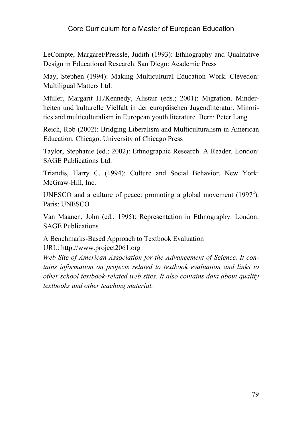LeCompte, Margaret/Preissle, Judith (1993): Ethnography and Qualitative Design in Educational Research. San Diego: Academic Press

May, Stephen (1994): Making Multicultural Education Work. Clevedon: Multiligual Matters Ltd.

Müller, Margarit H./Kennedy, Alistair (eds.; 2001): Migration, Minderheiten und kulturelle Vielfalt in der europäischen Jugendliteratur. Minorities and multiculturalism in European youth literature. Bern: Peter Lang

Reich, Rob (2002): Bridging Liberalism and Multiculturalism in American Education. Chicago: University of Chicago Press

Taylor, Stephanie (ed.; 2002): Ethnographic Research. A Reader. London: SAGE Publications Ltd.

Triandis, Harry C. (1994): Culture and Social Behavior. New York: McGraw-Hill, Inc.

UNESCO and a culture of peace: promoting a global movement  $(1997<sup>2</sup>)$ . Paris: UNESCO

Van Maanen, John (ed.; 1995): Representation in Ethnography. London: SAGE Publications

A Benchmarks-Based Approach to Textbook Evaluation URL: http://www.project2061.org

*Web Site of American Association for the Advancement of Science. It contains information on projects related to textbook evaluation and links to other school textbook-related web sites. It also contains data about quality textbooks and other teaching material.*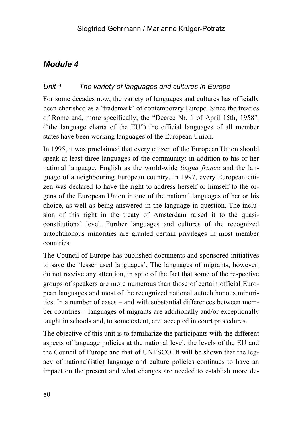## *Unit 1 The variety of languages and cultures in Europe*

For some decades now, the variety of languages and cultures has officially been cherished as a 'trademark' of contemporary Europe. Since the treaties of Rome and, more specifically, the "Decree Nr. 1 of April 15th, 1958", ("the language charta of the EU") the official languages of all member states have been working languages of the European Union.

In 1995, it was proclaimed that every citizen of the European Union should speak at least three languages of the community: in addition to his or her national language, English as the world-wide *lingua franca* and the language of a neighbouring European country. In 1997, every European citizen was declared to have the right to address herself or himself to the organs of the European Union in one of the national languages of her or his choice, as well as being answered in the language in question. The inclusion of this right in the treaty of Amsterdam raised it to the quasiconstitutional level. Further languages and cultures of the recognized autochthonous minorities are granted certain privileges in most member countries.

The Council of Europe has published documents and sponsored initiatives to save the 'lesser used languages'. The languages of migrants, however, do not receive any attention, in spite of the fact that some of the respective groups of speakers are more numerous than those of certain official European languages and most of the recognized national autochthonous minorities. In a number of cases – and with substantial differences between member countries – languages of migrants are additionally and/or exceptionally taught in schools and, to some extent, are accepted in court procedures.

The objective of this unit is to familiarize the participants with the different aspects of language policies at the national level, the levels of the EU and the Council of Europe and that of UNESCO. It will be shown that the legacy of national(istic) language and culture policies continues to have an impact on the present and what changes are needed to establish more de-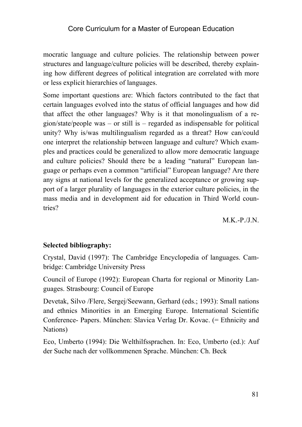mocratic language and culture policies. The relationship between power structures and language/culture policies will be described, thereby explaining how different degrees of political integration are correlated with more or less explicit hierarchies of languages.

Some important questions are: Which factors contributed to the fact that certain languages evolved into the status of official languages and how did that affect the other languages? Why is it that monolingualism of a region/state/people was – or still is – regarded as indispensable for political unity? Why is/was multilingualism regarded as a threat? How can/could one interpret the relationship between language and culture? Which examples and practices could be generalized to allow more democratic language and culture policies? Should there be a leading "natural" European language or perhaps even a common "artificial" European language? Are there any signs at national levels for the generalized acceptance or growing support of a larger plurality of languages in the exterior culture policies, in the mass media and in development aid for education in Third World countries?

 $M.K.-P/J.N.$ 

#### **Selected bibliography:**

Crystal, David (1997): The Cambridge Encyclopedia of languages. Cambridge: Cambridge University Press

Council of Europe (1992): European Charta for regional or Minority Languages. Strasbourg: Council of Europe

Devetak, Silvo /Flere, Sergej/Seewann, Gerhard (eds.; 1993): Small nations and ethnics Minorities in an Emerging Europe. International Scientific Conference- Papers. München: Slavica Verlag Dr. Kovac. (= Ethnicity and Nations)

Eco, Umberto (1994): Die Welthilfssprachen. In: Eco, Umberto (ed.): Auf der Suche nach der vollkommenen Sprache. München: Ch. Beck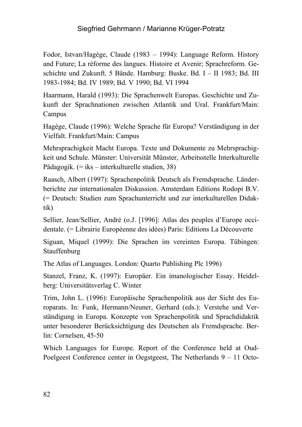Fodor, Istvan/Hagège, Claude (1983 – 1994): Language Reform. History and Future; La réforme des langues. Histoire et Avenir; Sprachreform. Geschichte und Zukunft. 5 Bände. Hamburg: Buske. Bd. I – II 1983; Bd. III 1983-1984; Bd. IV 1989; Bd. V 1990; Bd. VI 1994

Haarmann, Harald (1993): Die Sprachenwelt Europas. Geschichte und Zukunft der Sprachnationen zwischen Atlantik und Ural. Frankfurt/Main: Campus

Hagège, Claude (1996): Welche Sprache für Europa? Verständigung in der Vielfalt. Frankfurt/Main: Campus

Mehrsprachigkeit Macht Europa. Texte und Dokumente zu Mehrsprachigkeit und Schule. Münster: Universität Münster, Arbeitsstelle Interkulturelle Pädagogik. (= iks – interkulturelle studien, 38)

Raasch, Albert (1997): Sprachenpolitik Deutsch als Fremdsprache. Länderberichte zur internationalen Diskussion. Amsterdam Editions Rodopi B.V. (= Deutsch: Studien zum Sprachunterricht und zur interkulturellen Didaktik)

Sellier, Jean/Sellier, André (o.J. [1996]: Atlas des peuples d'Europe occidentale. (= Librairie Européenne des idées) Paris: Editions La Découverte

Siguan, Miquel (1999): Die Sprachen im vereinten Europa. Tübingen: **Stauffenburg** 

The Atlas of Languages. London: Quarto Publishing Plc 1996)

Stanzel, Franz, K. (1997): Europäer. Ein imanologischer Essay. Heidelberg: Universitätsverlag C. Winter

Trim, John L. (1996): Europäische Sprachenpolitik aus der Sicht des Europarats. In: Funk, Hermann/Neuner, Gerhard (eds.): Verstehe und Verständigung in Europa. Konzepte von Sprachenpolitik und Sprachdidaktik unter besonderer Berücksichtigung des Deutschen als Fremdsprache. Berlin: Cornelsen, 45-50

Which Languages for Europe. Report of the Conference held at Oud-Poelgeest Conference center in Oegstgeest, The Netherlands 9 – 11 Octo-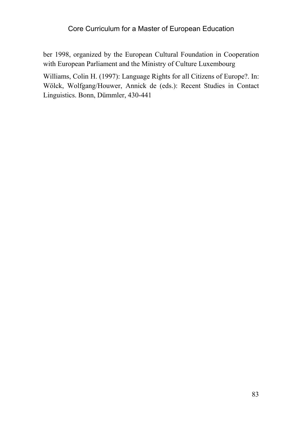ber 1998, organized by the European Cultural Foundation in Cooperation with European Parliament and the Ministry of Culture Luxembourg

Williams, Colin H. (1997): Language Rights for all Citizens of Europe?. In: Wölck, Wolfgang/Houwer, Annick de (eds.): Recent Studies in Contact Linguistics. Bonn, Dümmler, 430-441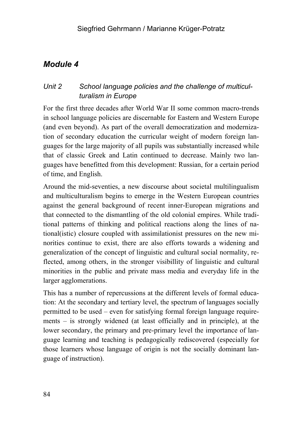# *Unit 2 School language policies and the challenge of multiculturalism in Europe*

For the first three decades after World War II some common macro-trends in school language policies are discernable for Eastern and Western Europe (and even beyond). As part of the overall democratization and modernization of secondary education the curricular weight of modern foreign languages for the large majority of all pupils was substantially increased while that of classic Greek and Latin continued to decrease. Mainly two languages have benefitted from this development: Russian, for a certain period of time, and English.

Around the mid-seventies, a new discourse about societal multilingualism and multiculturalism begins to emerge in the Western European countries against the general background of recent inner-European migrations and that connected to the dismantling of the old colonial empires. While traditional patterns of thinking and political reactions along the lines of national(istic) closure coupled with assimilationist pressures on the new minorities continue to exist, there are also efforts towards a widening and generalization of the concept of linguistic and cultural social normality, reflected, among others, in the stronger visibillity of linguistic and cultural minorities in the public and private mass media and everyday life in the larger agglomerations.

This has a number of repercussions at the different levels of formal education: At the secondary and tertiary level, the spectrum of languages socially permitted to be used – even for satisfying formal foreign language requirements – is strongly widened (at least officially and in principle), at the lower secondary, the primary and pre-primary level the importance of language learning and teaching is pedagogically rediscovered (especially for those learners whose language of origin is not the socially dominant language of instruction).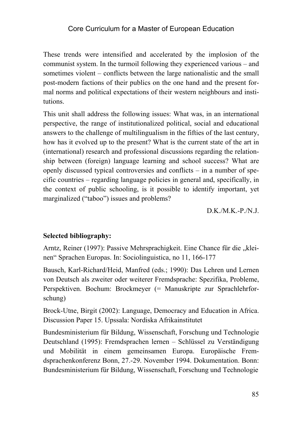These trends were intensified and accelerated by the implosion of the communist system. In the turmoil following they experienced various – and sometimes violent – conflicts between the large nationalistic and the small post-modern factions of their publics on the one hand and the present formal norms and political expectations of their western neighbours and institutions.

This unit shall address the following issues: What was, in an international perspective, the range of institutionalized political, social and educational answers to the challenge of multilingualism in the fifties of the last century, how has it evolved up to the present? What is the current state of the art in (international) research and professional discussions regarding the relationship between (foreign) language learning and school success? What are openly discussed typical controversies and conflicts – in a number of specific countries – regarding language policies in general and, specifically, in the context of public schooling, is it possible to identify important, yet marginalized ("taboo") issues and problems?

 $D.K./M.K.-P./N.J.$ 

#### **Selected bibliography:**

Arntz, Reiner (1997): Passive Mehrsprachigkeit. Eine Chance für die "kleinen" Sprachen Europas. In: Sociolinguistica, no 11, 166-177

Bausch, Karl-Richard/Heid, Manfred (eds.; 1990): Das Lehren und Lernen von Deutsch als zweiter oder weiterer Fremdsprache: Spezifika, Probleme, Perspektiven. Bochum: Brockmeyer (= Manuskripte zur Sprachlehrforschung)

Brock-Utne, Birgit (2002): Language, Democracy and Education in Africa. Discussion Paper 15. Upssala: Nordiska Afrikainstitutet

Bundesministerium für Bildung, Wissenschaft, Forschung und Technologie Deutschland (1995): Fremdsprachen lernen – Schlüssel zu Verständigung und Mobilität in einem gemeinsamen Europa. Europäische Fremdsprachenkonferenz Bonn, 27.-29. November 1994. Dokumentation. Bonn: Bundesministerium für Bildung, Wissenschaft, Forschung und Technologie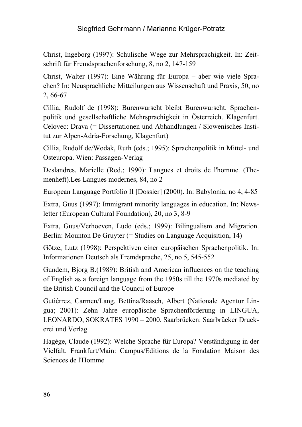Christ, Ingeborg (1997): Schulische Wege zur Mehrsprachigkeit. In: Zeitschrift für Fremdsprachenforschung, 8, no 2, 147-159

Christ, Walter (1997): Eine Währung für Europa – aber wie viele Sprachen? In: Neusprachliche Mitteilungen aus Wissenschaft und Praxis, 50, no 2, 66-67

Cillia, Rudolf de (1998): Burenwurscht bleibt Burenwurscht. Sprachenpolitik und gesellschaftliche Mehrsprachigkeit in Österreich. Klagenfurt. Celovec: Drava (= Dissertationen und Abhandlungen / Slowenisches Institut zur Alpen-Adria-Forschung, Klagenfurt)

Cillia, Rudolf de/Wodak, Ruth (eds.; 1995): Sprachenpolitik in Mittel- und Osteuropa. Wien: Passagen-Verlag

Deslandres, Marielle (Red.; 1990): Langues et droits de l'homme. (Themenheft).Les Langues modernes, 84, no 2

European Language Portfolio II [Dossier] (2000). In: Babylonia, no 4, 4-85

Extra, Guus (1997): Immigrant minority languages in education. In: Newsletter (European Cultural Foundation), 20, no 3, 8-9

Extra, Guus/Verhoeven, Ludo (eds.; 1999): Bilingualism and Migration. Berlin: Mounton De Gruyter (= Studies on Language Acquisition, 14)

Götze, Lutz (1998): Perspektiven einer europäischen Sprachenpolitik. In: Informationen Deutsch als Fremdsprache, 25, no 5, 545-552

Gundem, Bjorg B.(1989): British and American influences on the teaching of English as a foreign language from the 1950s till the 1970s mediated by the British Council and the Council of Europe

Gutiérrez, Carmen/Lang, Bettina/Raasch, Albert (Nationale Agentur Lingua; 2001): Zehn Jahre europäische Sprachenförderung in LINGUA, LEONARDO, SOKRATES 1990 – 2000. Saarbrücken: Saarbrücker Druckerei und Verlag

Hagège, Claude (1992): Welche Sprache für Europa? Verständigung in der Vielfalt. Frankfurt/Main: Campus/Editions de la Fondation Maison des Sciences de l'Homme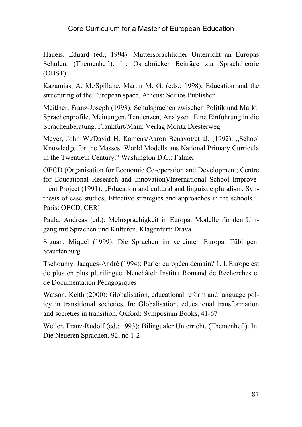Haueis, Eduard (ed.; 1994): Muttersprachlicher Unterricht an Europas Schulen. (Themenheft). In: Osnabrücker Beiträge zur Sprachtheorie (OBST).

Kazamias, A. M./Spillane, Martin M. G. (eds.; 1998): Education and the structuring of the European space. Athens: Seirios Publisher

Meißner, Franz-Joseph (1993): Schulsprachen zwischen Politik und Markt: Sprachenprofile, Meinungen, Tendenzen, Analysen. Eine Einführung in die Sprachenberatung. Frankfurt/Main: Verlag Moritz Diesterweg

Meyer, John W./David H. Kamens/Aaron Benavot/et al. (1992): "School Knowledge for the Masses: World Modells ans National Primary Curricula in the Twentieth Century." Washington D.C.: Falmer

OECD (Organisation for Economic Co-operation and Development; Centre for Educational Research and Innovation)/International School Improvement Project (1991): "Education and cultural and linguistic pluralism. Synthesis of case studies; Effective strategies and approaches in the schools.". Paris: OECD, CERI

Paula, Andreas (ed.): Mehrsprachigkeit in Europa. Modelle für den Umgang mit Sprachen und Kulturen. Klagenfurt: Drava

Siguan, Miquel (1999): Die Sprachen im vereinten Europa. Tübingen: **Stauffenburg** 

Tschoumy, Jacques-André (1994): Parler européen demain? 1. L'Europe est de plus en plus plurilingue. Neuchâtel: Institut Romand de Recherches et de Documentation Pédagogiques

Watson, Keith (2000): Globalisation, educational reform and language policy in transitional societies. In: Globalisation, educational transformation and societies in transition. Oxford: Symposium Books, 41-67

Weller, Franz-Rudolf (ed.; 1993): Bilingualer Unterricht. (Themenheft). In: Die Neueren Sprachen, 92, no 1-2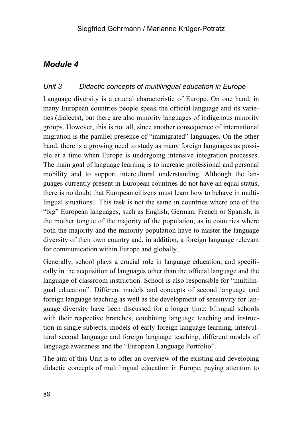### *Unit 3 Didactic concepts of multilingual education in Europe*

Language diversity is a crucial characteristic of Europe. On one hand, in many European countries people speak the official language and its varieties (dialects), but there are also minority languages of indigenous minority groups. However, this is not all, since another consequence of international migration is the parallel presence of "immigrated" languages. On the other hand, there is a growing need to study as many foreign languages as possible at a time when Europe is undergoing intensive integration processes. The main goal of language learning is to increase professional and personal mobility and to support intercultural understanding. Although the languages currently present in European countries do not have an equal status, there is no doubt that European citizens must learn how to behave in multilingual situations. This task is not the same in countries where one of the "big" European languages, such as English, German, French or Spanish, is the mother tongue of the majority of the population, as in countries where both the majority and the minority population have to master the language diversity of their own country and, in addition, a foreign language relevant for communication within Europe and globally.

Generally, school plays a crucial role in language education, and specifically in the acquisition of languages other than the official language and the language of classroom instruction. School is also responsible for "multilingual education". Different models and concepts of second language and foreign language teaching as well as the development of sensitivity for language diversity have been discussed for a longer time: bilingual schools with their respective branches, combining language teaching and instruction in single subjects, models of early foreign language learning, intercultural second language and foreign language teaching, different models of language awareness and the "European Language Portfolio".

The aim of this Unit is to offer an overview of the existing and developing didactic concepts of multilingual education in Europe, paying attention to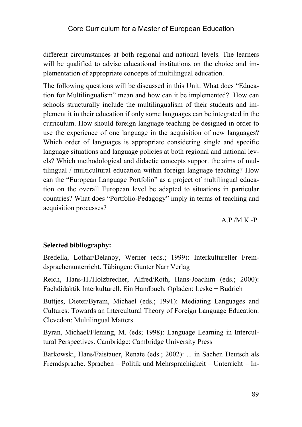different circumstances at both regional and national levels. The learners will be qualified to advise educational institutions on the choice and implementation of appropriate concepts of multilingual education.

The following questions will be discussed in this Unit: What does "Education for Multilingualism" mean and how can it be implemented? How can schools structurally include the multilingualism of their students and implement it in their education if only some languages can be integrated in the curriculum. How should foreign language teaching be designed in order to use the experience of one language in the acquisition of new languages? Which order of languages is appropriate considering single and specific language situations and language policies at both regional and national levels? Which methodological and didactic concepts support the aims of multilingual / multicultural education within foreign language teaching? How can the "European Language Portfolio" as a project of multilingual education on the overall European level be adapted to situations in particular countries? What does "Portfolio-Pedagogy" imply in terms of teaching and acquisition processes?

 $A.P/M.K.-P.$ 

#### **Selected bibliography:**

Bredella, Lothar/Delanoy, Werner (eds.; 1999): Interkultureller Fremdsprachenunterricht. Tübingen: Gunter Narr Verlag

Reich, Hans-H./Holzbrecher, Alfred/Roth, Hans-Joachim (eds.; 2000): Fachdidaktik Interkulturell. Ein Handbuch. Opladen: Leske + Budrich

Buttjes, Dieter/Byram, Michael (eds.; 1991): Mediating Languages and Cultures: Towards an Intercultural Theory of Foreign Language Education. Clevedon: Multilingual Matters

Byran, Michael/Fleming, M. (eds; 1998): Language Learning in Intercultural Perspectives. Cambridge: Cambridge University Press

Barkowski, Hans/Faistauer, Renate (eds.; 2002): ... in Sachen Deutsch als Fremdsprache. Sprachen – Politik und Mehrsprachigkeit – Unterricht – In-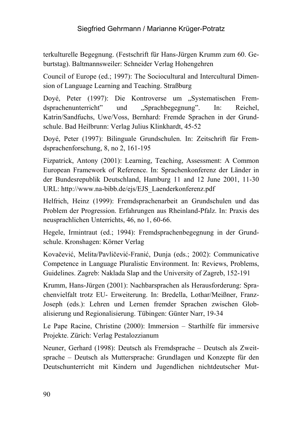terkulturelle Begegnung. (Festschrift für Hans-Jürgen Krumm zum 60. Geburtstag). Baltmannsweiler: Schneider Verlag Hohengehren

Council of Europe (ed.; 1997): The Sociocultural and Intercultural Dimension of Language Learning and Teaching. Straßburg

Doyé, Peter (1997): Die Kontroverse um "Systematischen Fremdsprachenunterricht" und "Sprachbegegnung". In: Reichel, Katrin/Sandfuchs, Uwe/Voss, Bernhard: Fremde Sprachen in der Grundschule. Bad Heilbrunn: Verlag Julius Klinkhardt, 45-52

Doyé, Peter (1997): Bilinguale Grundschulen. In: Zeitschrift für Fremdsprachenforschung, 8, no 2, 161-195

Fizpatrick, Antony (2001): Learning, Teaching, Assessment: A Common European Framework of Reference. In: Sprachenkonferenz der Länder in der Bundesrepublik Deutschland, Hamburg 11 and 12 June 2001, 11-30 URL: http://www.na-bibb.de/ejs/EJS\_Laenderkonferenz.pdf

Helfrich, Heinz (1999): Fremdsprachenarbeit an Grundschulen und das Problem der Progression. Erfahrungen aus Rheinland-Pfalz. In: Praxis des neusprachlichen Unterrichts, 46, no 1, 60-66.

Hegele, Irmintraut (ed.; 1994): Fremdsprachenbegegnung in der Grundschule. Kronshagen: Körner Verlag

Kovačević, Melita/Pavličević-Franić, Dunja (eds.; 2002): Communicative Competence in Language Pluralistic Environment. In: Reviews, Problems, Guidelines. Zagreb: Naklada Slap and the University of Zagreb, 152-191

Krumm, Hans-Jürgen (2001): Nachbarsprachen als Herausforderung: Sprachenvielfalt trotz EU- Erweiterung. In: Bredella, Lothar/Meißner, Franz-Joseph (eds.): Lehren und Lernen fremder Sprachen zwischen Globalisierung und Regionalisierung. Tübingen: Günter Narr, 19-34

Le Pape Racine, Christine (2000): Immersion – Starthilfe für immersive Projekte. Zürich: Verlag Pestalozzianum

Neuner, Gerhard (1998): Deutsch als Fremdsprache – Deutsch als Zweitsprache – Deutsch als Muttersprache: Grundlagen und Konzepte für den Deutschunterricht mit Kindern und Jugendlichen nichtdeutscher Mut-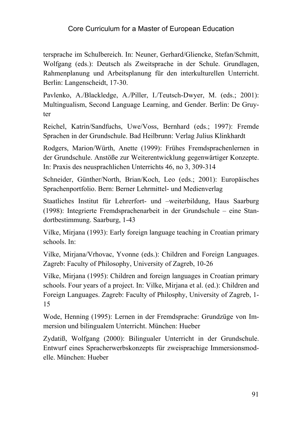tersprache im Schulbereich. In: Neuner, Gerhard/Gliencke, Stefan/Schmitt, Wolfgang (eds.): Deutsch als Zweitsprache in der Schule. Grundlagen, Rahmenplanung und Arbeitsplanung für den interkulturellen Unterricht. Berlin: Langenscheidt, 17-30.

Pavlenko, A./Blackledge, A./Piller, I./Teutsch-Dwyer, M. (eds.; 2001): Multingualism, Second Language Learning, and Gender. Berlin: De Gruyter

Reichel, Katrin/Sandfuchs, Uwe/Voss, Bernhard (eds.; 1997): Fremde Sprachen in der Grundschule. Bad Heilbrunn: Verlag Julius Klinkhardt

Rodgers, Marion/Würth, Anette (1999): Frühes Fremdsprachenlernen in der Grundschule. Anstöße zur Weiterentwicklung gegenwärtiger Konzepte. In: Praxis des neusprachlichen Unterrichts 46, no 3, 309-314

Schneider, Günther/North, Brian/Koch, Leo (eds.; 2001): Europäisches Sprachenportfolio. Bern: Berner Lehrmittel- und Medienverlag

Staatliches Institut für Lehrerfort- und –weiterbildung, Haus Saarburg (1998): Integrierte Fremdsprachenarbeit in der Grundschule – eine Standortbestimmung. Saarburg, 1-43

Vilke, Mirjana (1993): Early foreign language teaching in Croatian primary schools. In:

Vilke, Mirjana/Vrhovac, Yvonne (eds.): Children and Foreign Languages. Zagreb: Faculty of Philosophy, University of Zagreb, 10-26

Vilke, Mirjana (1995): Children and foreign languages in Croatian primary schools. Four years of a project. In: Vilke, Mirjana et al. (ed.): Children and Foreign Languages. Zagreb: Faculty of Philosphy, University of Zagreb, 1- 15

Wode, Henning (1995): Lernen in der Fremdsprache: Grundzüge von Immersion und bilingualem Unterricht. München: Hueber

Zydatiß, Wolfgang (2000): Bilingualer Unterricht in der Grundschule. Entwurf eines Spracherwerbskonzepts für zweisprachige Immersionsmodelle. München: Hueber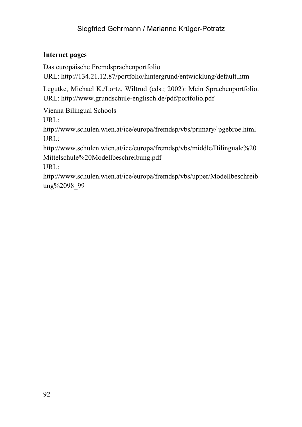#### **Internet pages**

Das europäische Fremdsprachenportfolio URL: http://134.21.12.87/portfolio/hintergrund/entwicklung/default.htm

Legutke, Michael K./Lortz, Wiltrud (eds.; 2002): Mein Sprachenportfolio.

URL: http://www.grundschule-englisch.de/pdf/portfolio.pdf

Vienna Bilingual Schools

URL:

http://www.schulen.wien.at/ice/europa/fremdsp/vbs/primary/ pgebroe.html URL:

http://www.schulen.wien.at/ice/europa/fremdsp/vbs/middle/Bilinguale%20 Mittelschule%20Modellbeschreibung.pdf

URL:

http://www.schulen.wien.at/ice/europa/fremdsp/vbs/upper/Modellbeschreib ung%2098 99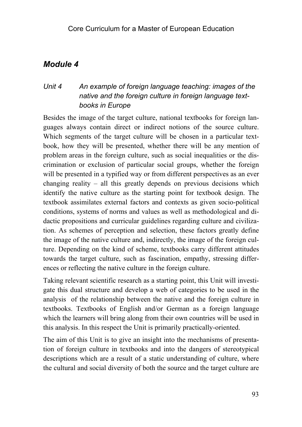## *Unit 4 An example of foreign language teaching: images of the native and the foreign culture in foreign language textbooks in Europe*

Besides the image of the target culture, national textbooks for foreign languages always contain direct or indirect notions of the source culture. Which segments of the target culture will be chosen in a particular textbook, how they will be presented, whether there will be any mention of problem areas in the foreign culture, such as social inequalities or the discrimination or exclusion of particular social groups, whether the foreign will be presented in a typified way or from different perspectives as an ever changing reality – all this greatly depends on previous decisions which identify the native culture as the starting point for textbook design. The textbook assimilates external factors and contexts as given socio-political conditions, systems of norms and values as well as methodological and didactic propositions and curricular guidelines regarding culture and civilization. As schemes of perception and selection, these factors greatly define the image of the native culture and, indirectly, the image of the foreign culture. Depending on the kind of scheme, textbooks carry different attitudes towards the target culture, such as fascination, empathy, stressing differences or reflecting the native culture in the foreign culture.

Taking relevant scientific research as a starting point, this Unit will investigate this dual structure and develop a web of categories to be used in the analysis of the relationship between the native and the foreign culture in textbooks. Textbooks of English and/or German as a foreign language which the learners will bring along from their own countries will be used in this analysis. In this respect the Unit is primarily practically-oriented.

The aim of this Unit is to give an insight into the mechanisms of presentation of foreign culture in textbooks and into the dangers of stereotypical descriptions which are a result of a static understanding of culture, where the cultural and social diversity of both the source and the target culture are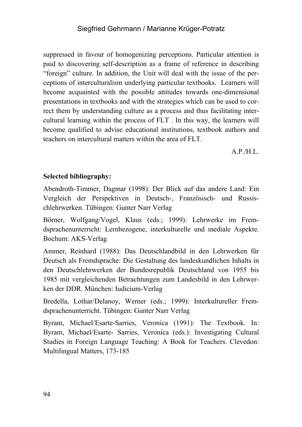suppressed in favour of homogenizing perceptions. Particular attention is paid to discovering self-description as a frame of reference in describing "foreign" culture. In addition, the Unit will deal with the issue of the perceptions of interculturalism underlying particular textbooks. Learners will become acquainted with the possible attitudes towards one-dimensional presentations in textbooks and with the strategies which can be used to correct them by understanding culture as a process and thus facilitating intercultural learning within the process of FLT . In this way, the learners will become qualified to advise educational institutions, textbook authors and teachers on intercultural matters within the area of FLT.

 $A.P.H.L.$ 

### **Selected bibliography:**

Abendroth-Timmer, Dagmar (1998): Der Blick auf das andere Land: Ein Vergleich der Perspektiven in Deutsch-, Französisch- und Russischlehrwerken. Tübingen: Gunter Narr Verlag

Börner, Wolfgang/Vogel, Klaus (eds.; 1999): Lehrwerke im Fremdsprachenunterricht: Lernbezogene, interkulturelle und mediale Aspekte. Bochum: AKS-Verlag

Ammer, Reinhard (1988): Das Deutschlandbild in den Lehrwerken für Deutsch als Fremdsprache: Die Gestaltung des landeskundlichen Inhalts in den Deutschlehrwerken der Bundesrepublik Deutschland von 1955 bis 1985 mit vergleichenden Betrachtungen zum Landesbild in den Lehrwerken der DDR. München: Iudicium-Verlag

Bredella, Lothar/Delanoy, Werner (eds.; 1999): Interkultureller Fremdsprachenunterricht. Tübingen: Gunter Narr Verlag

Byram, Michael/Esarte-Sarries, Veronica (1991): The Textbook. In: Byram, Michael/Esarte- Sarries, Veronica (eds.): Investigating Cultural Studies in Foreign Language Teaching: A Book for Teachers. Clevedon: Multilingual Matters, 173-185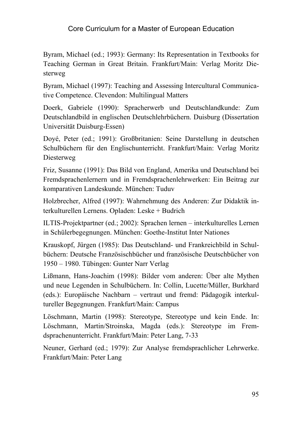Byram, Michael (ed.; 1993): Germany: Its Representation in Textbooks for Teaching German in Great Britain. Frankfurt/Main: Verlag Moritz Diesterweg

Byram, Michael (1997): Teaching and Assessing Intercultural Communicative Competence. Clevendon: Multilingual Matters

Doerk, Gabriele (1990): Spracherwerb und Deutschlandkunde: Zum Deutschlandbild in englischen Deutschlehrbüchern. Duisburg (Dissertation Universität Duisburg-Essen)

Doyé, Peter (ed.; 1991): Großbritanien: Seine Darstellung in deutschen Schulbüchern für den Englischunterricht. Frankfurt/Main: Verlag Moritz Diesterweg

Friz, Susanne (1991): Das Bild von England, Amerika und Deutschland bei Fremdsprachenlernern und in Fremdsprachenlehrwerken: Ein Beitrag zur komparativen Landeskunde. München: Tuduv

Holzbrecher, Alfred (1997): Wahrnehmung des Anderen: Zur Didaktik interkulturellen Lernens. Opladen: Leske + Budrich

ILTIS-Projektpartner (ed.; 2002): Sprachen lernen – interkulturelles Lernen in Schülerbegegnungen. München: Goethe-Institut Inter Nationes

Krauskopf, Jürgen (1985): Das Deutschland- und Frankreichbild in Schulbüchern: Deutsche Französischbücher und französische Deutschbücher von 1950 – 1980. Tübingen: Gunter Narr Verlag

Lißmann, Hans-Joachim (1998): Bilder vom anderen: Über alte Mythen und neue Legenden in Schulbüchern. In: Collin, Lucette/Müller, Burkhard (eds.): Europäische Nachbarn – vertraut und fremd: Pädagogik interkultureller Begegnungen. Frankfurt/Main: Campus

Löschmann, Martin (1998): Stereotype, Stereotype und kein Ende. In: Löschmann, Martin/Stroinska, Magda (eds.): Stereotype im Fremdsprachenunterricht. Frankfurt/Main: Peter Lang, 7-33

Neuner, Gerhard (ed.; 1979): Zur Analyse fremdsprachlicher Lehrwerke. Frankfurt/Main: Peter Lang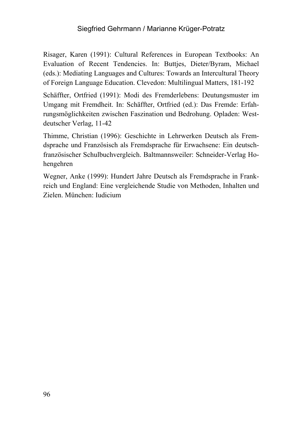Risager, Karen (1991): Cultural References in European Textbooks: An Evaluation of Recent Tendencies. In: Buttjes, Dieter/Byram, Michael (eds.): Mediating Languages and Cultures: Towards an Intercultural Theory of Foreign Language Education. Clevedon: Multilingual Matters, 181-192

Schäffter, Ortfried (1991): Modi des Fremderlebens: Deutungsmuster im Umgang mit Fremdheit. In: Schäffter, Ortfried (ed.): Das Fremde: Erfahrungsmöglichkeiten zwischen Faszination und Bedrohung. Opladen: Westdeutscher Verlag, 11-42

Thimme, Christian (1996): Geschichte in Lehrwerken Deutsch als Fremdsprache und Französisch als Fremdsprache für Erwachsene: Ein deutschfranzösischer Schulbuchvergleich. Baltmannsweiler: Schneider-Verlag Hohengehren

Wegner, Anke (1999): Hundert Jahre Deutsch als Fremdsprache in Frankreich und England: Eine vergleichende Studie von Methoden, Inhalten und Zielen. München: Iudicium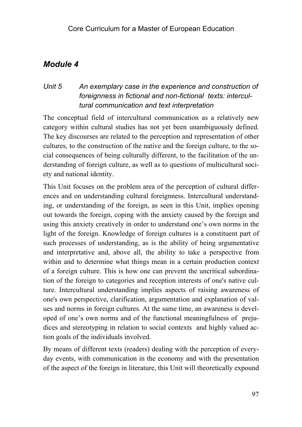### *Unit 5 An exemplary case in the experience and construction of foreignness in fictional and non-fictional texts: intercultural communication and text interpretation*

The conceptual field of intercultural communication as a relatively new category within cultural studies has not yet been unambiguously defined. The key discourses are related to the perception and representation of other cultures, to the construction of the native and the foreign culture, to the social consequences of being culturally different, to the facilitation of the understanding of foreign culture, as well as to questions of multicultural society and national identity.

This Unit focuses on the problem area of the perception of cultural differences and on understanding cultural foreignness. Intercultural understanding, or understanding of the foreign, as seen in this Unit, implies opening out towards the foreign, coping with the anxiety caused by the foreign and using this anxiety creatively in order to understand one's own norms in the light of the foreign. Knowledge of foreign cultures is a constituent part of such processes of understanding, as is the ability of being argumentative and interpretative and, above all, the ability to take a perspective from within and to determine what things mean in a certain production context of a foreign culture. This is how one can prevent the uncritical subordination of the foreign to categories and reception interests of one's native culture. Intercultural understanding implies aspects of raising awareness of one's own perspective, clarification, argumentation and explanation of values and norms in foreign cultures. At the same time, an awareness is developed of one's own norms and of the functional meaningfulness of prejudices and stereotyping in relation to social contexts and highly valued action goals of the individuals involved.

By means of different texts (readers) dealing with the perception of everyday events, with communication in the economy and with the presentation of the aspect of the foreign in literature, this Unit will theoretically expound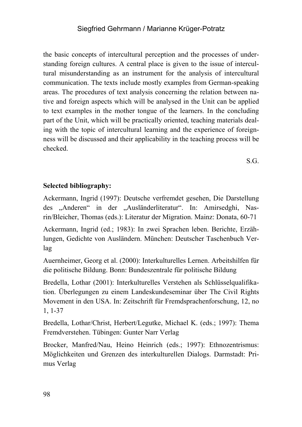the basic concepts of intercultural perception and the processes of understanding foreign cultures. A central place is given to the issue of intercultural misunderstanding as an instrument for the analysis of intercultural communication. The texts include mostly examples from German-speaking areas. The procedures of text analysis concerning the relation between native and foreign aspects which will be analysed in the Unit can be applied to text examples in the mother tongue of the learners. In the concluding part of the Unit, which will be practically oriented, teaching materials dealing with the topic of intercultural learning and the experience of foreignness will be discussed and their applicability in the teaching process will be checked.

S.G.

#### **Selected bibliography:**

Ackermann, Ingrid (1997): Deutsche verfremdet gesehen, Die Darstellung des "Anderen" in der "Ausländerliteratur". In: Amirsedghi, Nasrin/Bleicher, Thomas (eds.): Literatur der Migration. Mainz: Donata, 60-71

Ackermann, Ingrid (ed.; 1983): In zwei Sprachen leben. Berichte, Erzählungen, Gedichte von Ausländern. München: Deutscher Taschenbuch Verlag

Auernheimer, Georg et al. (2000): Interkulturelles Lernen. Arbeitshilfen für die politische Bildung. Bonn: Bundeszentrale für politische Bildung

Bredella, Lothar (2001): Interkulturelles Verstehen als Schlüsselqualifikation. Überlegungen zu einem Landeskundeseminar über The Civil Rights Movement in den USA. In: Zeitschrift für Fremdsprachenforschung, 12, no 1, 1-37

Bredella, Lothar/Christ, Herbert/Legutke, Michael K. (eds.; 1997): Thema Fremdverstehen. Tübingen: Gunter Narr Verlag

Brocker, Manfred/Nau, Heino Heinrich (eds.; 1997): Ethnozentrismus: Möglichkeiten und Grenzen des interkulturellen Dialogs. Darmstadt: Primus Verlag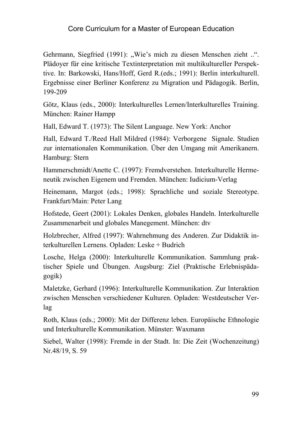Gehrmann, Siegfried (1991): "Wie's mich zu diesen Menschen zieht ..". Plädoyer für eine kritische Textinterpretation mit multikultureller Perspektive. In: Barkowski, Hans/Hoff, Gerd R.(eds.; 1991): Berlin interkulturell. Ergebnisse einer Berliner Konferenz zu Migration und Pädagogik. Berlin, 199-209

Götz, Klaus (eds., 2000): Interkulturelles Lernen/Interkulturelles Training. München: Rainer Hampp

Hall, Edward T. (1973): The Silent Language. New York: Anchor

Hall, Edward T./Reed Hall Mildred (1984): Verborgene Signale. Studien zur internationalen Kommunikation. Über den Umgang mit Amerikanern. Hamburg: Stern

Hammerschmidt/Anette C. (1997): Fremdverstehen. Interkulturelle Hermeneutik zwischen Eigenem und Fremden. München: Iudicium-Verlag

Heinemann, Margot (eds.; 1998): Sprachliche und soziale Stereotype. Frankfurt/Main: Peter Lang

Hofstede, Geert (2001): Lokales Denken, globales Handeln. Interkulturelle Zusammenarbeit und globales Manegement. München: dtv

Holzbrecher, Alfred (1997): Wahrnehmung des Anderen. Zur Didaktik interkulturellen Lernens. Opladen: Leske + Budrich

Losche, Helga (2000): Interkulturelle Kommunikation. Sammlung praktischer Spiele und Übungen. Augsburg: Ziel (Praktische Erlebnispädagogik)

Maletzke, Gerhard (1996): Interkulturelle Kommunikation. Zur Interaktion zwischen Menschen verschiedener Kulturen. Opladen: Westdeutscher Verlag

Roth, Klaus (eds.; 2000): Mit der Differenz leben. Europäische Ethnologie und Interkulturelle Kommunikation. Münster: Waxmann

Siebel, Walter (1998): Fremde in der Stadt. In: Die Zeit (Wochenzeitung) Nr.48/19, S. 59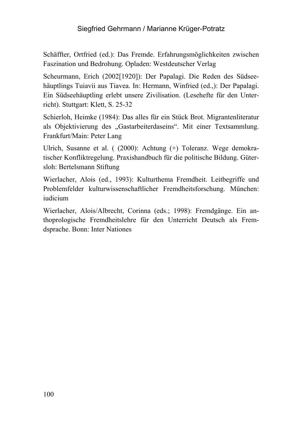Schäffter, Ortfried (ed.): Das Fremde. Erfahrungsmöglichkeiten zwischen Faszination und Bedrohung. Opladen: Westdeutscher Verlag

Scheurmann, Erich (2002[1920]): Der Papalagi. Die Reden des Südseehäuptlings Tuiavii aus Tiavea. In: Hermann, Winfried (ed.,): Der Papalagi. Ein Südseehäuptling erlebt unsere Zivilisation. (Lesehefte für den Unterricht). Stuttgart: Klett, S. 25-32

Schierloh, Heimke (1984): Das alles für ein Stück Brot. Migrantenliteratur als Obiektivierung des "Gastarbeiterdaseins". Mit einer Textsammlung. Frankfurt/Main: Peter Lang

Ulrich, Susanne et al. ( (2000): Achtung (+) Toleranz. Wege demokratischer Konfliktregelung. Praxishandbuch für die politische Bildung. Gütersloh: Bertelsmann Stiftung

Wierlacher, Alois (ed., 1993): Kulturthema Fremdheit. Leitbegriffe und Problemfelder kulturwissenschaftlicher Fremdheitsforschung. München: iudicium

Wierlacher, Alois/Albrecht, Corinna (eds.; 1998): Fremdgänge. Ein anthoprologische Fremdheitslehre für den Unterricht Deutsch als Fremdsprache. Bonn: Inter Nationes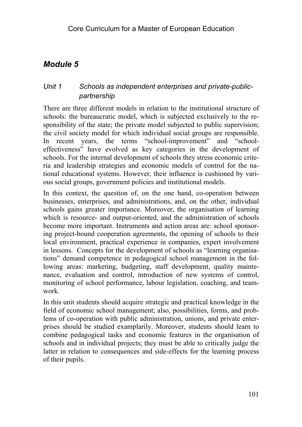## *Unit 1 Schools as independent enterprises and private-publicpartnership*

There are three different models in relation to the institutional structure of schools: the bureaucratic model, which is subjected exclusively to the responsibility of the state; the private model subjected to public supervision; the civil society model for which individual social groups are responsible. In recent years, the terms "school-improvement" and "schooleffectiveness" have evolved as key categories in the development of schools. For the internal development of schools they stress economic criteria and leadership strategies and economic models of control for the national educational systems. However, their influence is cushioned by various social groups, government policies and institutional models.

In this context, the question of, on the one hand, co-operation between businesses, enterprises, and administrations, and, on the other, individual schools gains greater importance. Moreover, the organisation of learning which is resource- and output-oriented, and the administration of schools become more important. Instruments and action areas are: school sponsoring project-bound cooperation agreements, the opening of schools to their local environment, practical experience in companies, expert involvement in lessons. Concepts for the development of schools as "learning organisations" demand competence in pedagogical school management in the following areas: marketing, budgeting, staff development, quality maintenance, evaluation and control, introduction of new systems of control, monitoring of school performance, labour legislation, coaching, and teamwork.

In this unit students should acquire strategic and practical knowledge in the field of economic school management; also, possibilities, forms, and problems of co-operation with public administration, unions, and private enterprises should be studied examplarily. Moreover, students should learn to combine pedagogical tasks and economic features in the organisation of schools and in individual projects; they must be able to critically judge the latter in relation to consequences and side-effects for the learning process of their pupils.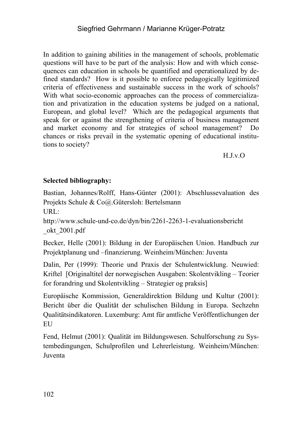In addition to gaining abilities in the management of schools, problematic questions will have to be part of the analysis: How and with which consequences can education in schools be quantified and operationalized by defined standards? How is it possible to enforce pedagogically legitimized criteria of effectiveness and sustainable success in the work of schools? With what socio-economic approaches can the process of commercialization and privatization in the education systems be judged on a national, European, and global level? Which are the pedagogical arguments that speak for or against the strengthening of criteria of business management and market economy and for strategies of school management? Do chances or risks prevail in the systematic opening of educational institutions to society?

H.J.v.O

### **Selected bibliography:**

Bastian, Johannes/Rolff, Hans-Günter (2001): Abschlussevaluation des Projekts Schule & Co@.Gütersloh: Bertelsmann

URL:

http://www.schule-und-co.de/dyn/bin/2261-2263-1-evaluationsbericht \_okt\_2001.pdf

Becker, Helle (2001): Bildung in der Europäischen Union. Handbuch zur Projektplanung und –finanzierung. Weinheim/München: Juventa

Dalin, Per (1999): Theorie und Praxis der Schulentwicklung. Neuwied: Kriftel [Originaltitel der norwegischen Ausgaben: Skolentvikling – Teorier for forandring und Skolentvikling – Strategier og praksis]

Europäische Kommission, Generaldirektion Bildung und Kultur (2001): Bericht über die Qualität der schulischen Bildung in Europa. Sechzehn Qualitätsindikatoren. Luxemburg: Amt für amtliche Veröffentlichungen der **EU** 

Fend, Helmut (2001): Qualität im Bildungswesen. Schulforschung zu Systembedingungen, Schulprofilen und Lehrerleistung. Weinheim/München: Juventa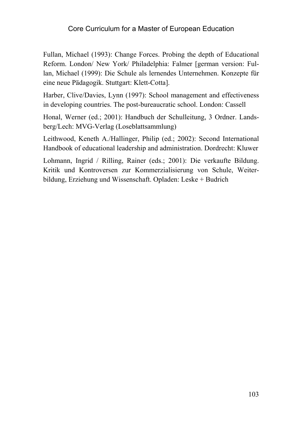Fullan, Michael (1993): Change Forces. Probing the depth of Educational Reform. London/ New York/ Philadelphia: Falmer [german version: Fullan, Michael (1999): Die Schule als lernendes Unternehmen. Konzepte für eine neue Pädagogik. Stuttgart: Klett-Cotta].

Harber, Clive/Davies, Lynn (1997): School management and effectiveness in developing countries. The post-bureaucratic school. London: Cassell

Honal, Werner (ed.; 2001): Handbuch der Schulleitung, 3 Ordner. Landsberg/Lech: MVG-Verlag (Loseblattsammlung)

Leithwood, Keneth A./Hallinger, Philip (ed.; 2002): Second International Handbook of educational leadership and administration. Dordrecht: Kluwer

Lohmann, Ingrid / Rilling, Rainer (eds.; 2001): Die verkaufte Bildung. Kritik und Kontroversen zur Kommerzialisierung von Schule, Weiterbildung, Erziehung und Wissenschaft. Opladen: Leske + Budrich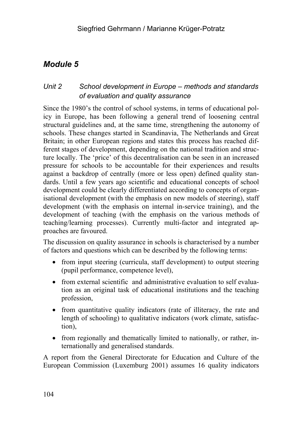## *Unit 2 School development in Europe – methods and standards of evaluation and quality assurance*

Since the 1980's the control of school systems, in terms of educational policy in Europe, has been following a general trend of loosening central structural guidelines and, at the same time, strengthening the autonomy of schools. These changes started in Scandinavia, The Netherlands and Great Britain; in other European regions and states this process has reached different stages of development, depending on the national tradition and structure locally. The 'price' of this decentralisation can be seen in an increased pressure for schools to be accountable for their experiences and results against a backdrop of centrally (more or less open) defined quality standards. Until a few years ago scientific and educational concepts of school development could be clearly differentiated according to concepts of organisational development (with the emphasis on new models of steering), staff development (with the emphasis on internal in-service training), and the development of teaching (with the emphasis on the various methods of teaching/learning processes). Currently multi-factor and integrated approaches are favoured.

The discussion on quality assurance in schools is characterised by a number of factors and questions which can be described by the following terms:

- from input steering (curricula, staff development) to output steering (pupil performance, competence level),
- from external scientific and administrative evaluation to self evaluation as an original task of educational institutions and the teaching profession,
- from quantitative quality indicators (rate of illiteracy, the rate and length of schooling) to qualitative indicators (work climate, satisfaction),
- from regionally and thematically limited to nationally, or rather, internationally and generalised standards.

A report from the General Directorate for Education and Culture of the European Commission (Luxemburg 2001) assumes 16 quality indicators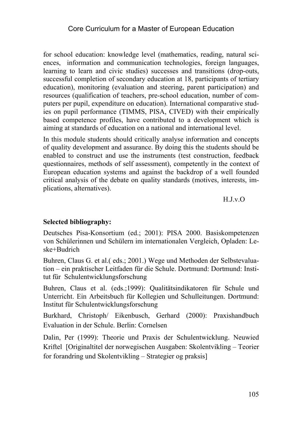for school education: knowledge level (mathematics, reading, natural sciences, information and communication technologies, foreign languages, learning to learn and civic studies) successes and transitions (drop-outs, successful completion of secondary education at 18, participants of tertiary education), monitoring (evaluation and steering, parent participation) and resources (qualification of teachers, pre-school education, number of computers per pupil, expenditure on education). International comparative studies on pupil performance (TIMMS, PISA, CIVED) with their empirically based competence profiles, have contributed to a development which is aiming at standards of education on a national and international level.

In this module students should critically analyse information and concepts of quality development and assurance. By doing this the students should be enabled to construct and use the instruments (test construction, feedback questionnaires, methods of self assessment), competently in the context of European education systems and against the backdrop of a well founded critical analysis of the debate on quality standards (motives, interests, implications, alternatives).

H.J.v.O

#### **Selected bibliography:**

Deutsches Pisa-Konsortium (ed.; 2001): PISA 2000. Basiskompetenzen von Schülerinnen und Schülern im internationalen Vergleich, Opladen: Leske+Budrich

Buhren, Claus G. et al.( eds.; 2001.) Wege und Methoden der Selbstevaluation – ein praktischer Leitfaden für die Schule. Dortmund: Dortmund: Institut für Schulentwicklungsforschung

Buhren, Claus et al. (eds.;1999): Qualitätsindikatoren für Schule und Unterricht. Ein Arbeitsbuch für Kollegien und Schulleitungen. Dortmund: Institut für Schulentwicklungsforschung

Burkhard, Christoph/ Eikenbusch, Gerhard (2000): Praxishandbuch Evaluation in der Schule. Berlin: Cornelsen

Dalin, Per (1999): Theorie und Praxis der Schulentwicklung. Neuwied Kriftel [Originaltitel der norwegischen Ausgaben: Skolentvikling – Teorier for forandring und Skolentvikling – Strategier og praksis]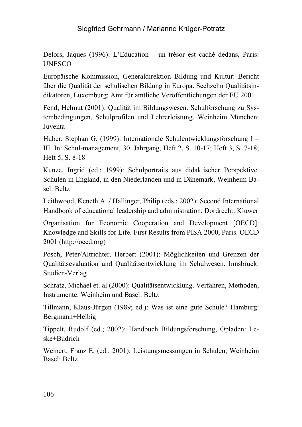Delors, Jaques (1996): L'Education – un trésor est caché dedans, Paris: UNESCO

Europäische Kommission, Generaldirektion Bildung und Kultur: Bericht über die Qualität der schulischen Bildung in Europa. Sechzehn Qualitätsindikatoren, Luxemburg: Amt für amtliche Veröffentlichungen der EU 2001

Fend, Helmut (2001): Qualität im Bildungswesen. Schulforschung zu Systembedingungen, Schulprofilen und Lehrerleistung, Weinheim München: Juventa

Huber, Stephan G. (1999): Internationale Schulentwicklungsforschung I – III. In: Schul-management, 30. Jahrgang, Heft 2, S. 10-17; Heft 3, S. 7-18; Heft 5, S. 8-18

Kunze, Ingrid (ed.; 1999): Schulportraits aus didaktischer Perspektive. Schulen in England, in den Niederlanden und in Dänemark, Weinheim Basel: Beltz

Leithwood, Keneth A. / Hallinger, Philip (eds.; 2002): Second International Handbook of educational leadership and administration, Dordrecht: Kluwer

Organisation for Economic Cooperation and Development [OECD]: Knowledge and Skills for Life. First Results from PISA 2000, Paris. OECD 2001 (http://oecd.org)

Posch, Peter/Altrichter, Herbert (2001): Möglichkeiten und Grenzen der Qualitätsevaluation und Qualitätsentwicklung im Schulwesen. Innsbruck: Studien-Verlag

Schratz, Michael et. al (2000): Qualitätsentwicklung. Verfahren, Methoden, Instrumente. Weinheim und Basel: Beltz

Tillmann, Klaus-Jürgen (1989; ed.): Was ist eine gute Schule? Hamburg: Bergmann+Helbig

Tippelt, Rudolf (ed.; 2002): Handbuch Bildungsforschung, Opladen: Leske+Budrich

Weinert, Franz E. (ed.; 2001): Leistungsmessungen in Schulen, Weinheim Basel: Beltz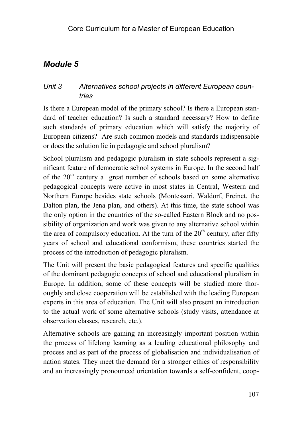## *Unit 3 Alternatives school projects in different European countries*

Is there a European model of the primary school? Is there a European standard of teacher education? Is such a standard necessary? How to define such standards of primary education which will satisfy the majority of European citizens? Are such common models and standards indispensable or does the solution lie in pedagogic and school pluralism?

School pluralism and pedagogic pluralism in state schools represent a significant feature of democratic school systems in Europe. In the second half of the  $20<sup>th</sup>$  century a great number of schools based on some alternative pedagogical concepts were active in most states in Central, Western and Northern Europe besides state schools (Montessori, Waldorf, Freinet, the Dalton plan, the Jena plan, and others). At this time, the state school was the only option in the countries of the so-called Eastern Block and no possibility of organization and work was given to any alternative school within the area of compulsory education. At the turn of the  $20<sup>th</sup>$  century, after fifty years of school and educational conformism, these countries started the process of the introduction of pedagogic pluralism.

The Unit will present the basic pedagogical features and specific qualities of the dominant pedagogic concepts of school and educational pluralism in Europe. In addition, some of these concepts will be studied more thoroughly and close cooperation will be established with the leading European experts in this area of education. The Unit will also present an introduction to the actual work of some alternative schools (study visits, attendance at observation classes, research, etc.).

Alternative schools are gaining an increasingly important position within the process of lifelong learning as a leading educational philosophy and process and as part of the process of globalisation and individualisation of nation states. They meet the demand for a stronger ethics of responsibility and an increasingly pronounced orientation towards a self-confident, coop-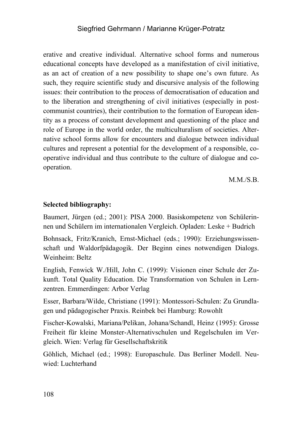erative and creative individual. Alternative school forms and numerous educational concepts have developed as a manifestation of civil initiative, as an act of creation of a new possibility to shape one's own future. As such, they require scientific study and discursive analysis of the following issues: their contribution to the process of democratisation of education and to the liberation and strengthening of civil initiatives (especially in postcommunist countries), their contribution to the formation of European identity as a process of constant development and questioning of the place and role of Europe in the world order, the multiculturalism of societies. Alternative school forms allow for encounters and dialogue between individual cultures and represent a potential for the development of a responsible, cooperative individual and thus contribute to the culture of dialogue and cooperation.

 $M.M.S.B.$ 

#### **Selected bibliography:**

Baumert, Jürgen (ed.; 2001): PISA 2000. Basiskompetenz von Schülerinnen und Schülern im internationalen Vergleich. Opladen: Leske + Budrich

Bohnsack, Fritz/Kranich, Ernst-Michael (eds.; 1990): Erziehungswissenschaft und Waldorfpädagogik. Der Beginn eines notwendigen Dialogs. Weinheim: Beltz

English, Fenwick W./Hill, John C. (1999): Visionen einer Schule der Zukunft. Total Quality Education. Die Transformation von Schulen in Lernzentren. Emmerdingen: Arbor Verlag

Esser, Barbara/Wilde, Christiane (1991): Montessori-Schulen: Zu Grundlagen und pädagogischer Praxis. Reinbek bei Hamburg: Rowohlt

Fischer-Kowalski, Mariana/Pelikan, Johana/Schandl, Heinz (1995): Grosse Freiheit für kleine Monster-Alternativschulen und Regelschulen im Vergleich. Wien: Verlag für Gesellschaftskritik

Göhlich, Michael (ed.; 1998): Europaschule. Das Berliner Modell. Neuwied: Luchterhand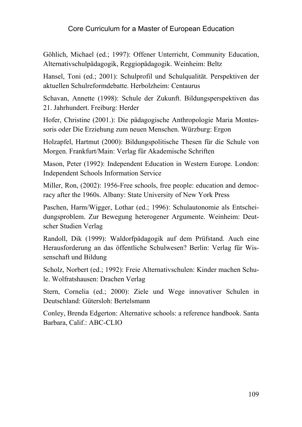Göhlich, Michael (ed.; 1997): Offener Unterricht, Community Education, Alternativschulpädagogik, Reggiopädagogik. Weinheim: Beltz

Hansel, Toni (ed.; 2001): Schulprofil und Schulqualität. Perspektiven der aktuellen Schulreformdebatte. Herbolzheim: Centaurus

Schavan, Annette (1998): Schule der Zukunft. Bildungsperspektiven das 21. Jahrhundert. Freiburg: Herder

Hofer, Christine (2001.): Die pädagogische Anthropologie Maria Montessoris oder Die Erziehung zum neuen Menschen. Würzburg: Ergon

Holzapfel, Hartmut (2000): Bildungspolitische Thesen für die Schule von Morgen. Frankfurt/Main: Verlag für Akademische Schriften

Mason, Peter (1992): Independent Education in Western Europe. London: Independent Schools Information Service

Miller, Ron, (2002): 1956-Free schools, free people: education and democracy after the 1960s. Albany: State University of New York Press

Paschen, Harm/Wigger, Lothar (ed.; 1996): Schulautonomie als Entscheidungsproblem. Zur Bewegung heterogener Argumente. Weinheim: Deutscher Studien Verlag

Randoll, Dik (1999): Waldorfpädagogik auf dem Prüfstand. Auch eine Herausforderung an das öffentliche Schulwesen? Berlin: Verlag für Wissenschaft und Bildung

Scholz, Norbert (ed.; 1992): Freie Alternativschulen: Kinder machen Schule. Wolfratshausen: Drachen Verlag

Stern, Cornelia (ed.; 2000): Ziele und Wege innovativer Schulen in Deutschland: Gütersloh: Bertelsmann

Conley, Brenda Edgerton: Alternative schools: a reference handbook. Santa Barbara, Calif.: ABC-CLIO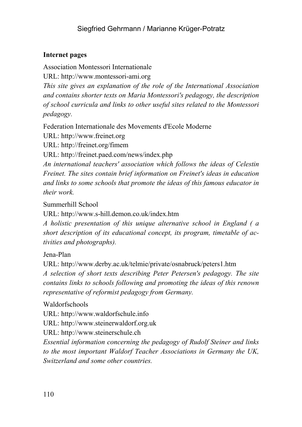# **Internet pages**

Association Montessori Internationale

URL: http://www.montessori-ami.org

*This site gives an explanation of the role of the International Association and contains shorter texts on Maria Montessori's pedagogy, the description of school curricula and links to other useful sites related to the Montessori pedagogy.* 

Federation Internationale des Movements d'Ecole Moderne

URL: http://www.freinet.org

URL: http://freinet.org/fimem

URL: http://freinet.paed.com/news/index.php

*An international teachers' association which follows the ideas of Celestin Freinet. The sites contain brief information on Freinet's ideas in education and links to some schools that promote the ideas of this famous educator in their work.*

Summerhill School

URL: http://www.s-hill.demon.co.uk/index.htm

*A holistic presentation of this unique alternative school in England ( a short description of its educational concept, its program, timetable of activities and photographs).* 

Jena-Plan

URL: http://www.derby.ac.uk/telmie/private/osnabruck/peters1.htm

*A selection of short texts describing Peter Petersen's pedagogy. The site contains links to schools following and promoting the ideas of this renown representative of reformist pedagogy from Germany.*

Waldorfschools

URL: http://www.waldorfschule.info

URL: http://www.steinerwaldorf.org.uk

URL: http://www.steinerschule.ch

*Essential information concerning the pedagogy of Rudolf Steiner and links to the most important Waldorf Teacher Associations in Germany the UK, Switzerland and some other countries.*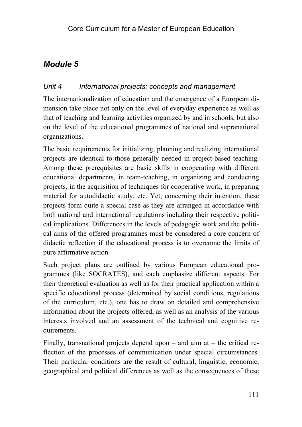# *Module 5*

# *Unit 4 International projects: concepts and management*

The internationalization of education and the emergence of a European dimension take place not only on the level of everyday experience as well as that of teaching and learning activities organized by and in schools, but also on the level of the educational programmes of national and supranational organizations.

The basic requirements for initializing, planning and realizing international projects are identical to those generally needed in project-based teaching. Among these prerequisites are basic skills in cooperating with different educational departments, in team-teaching, in organizing and conducting projects, in the acquisition of techniques for cooperative work, in preparing material for autodidactic study, etc. Yet, concerning their intention, these projects form quite a special case as they are arranged in accordance with both national and international regulations including their respective political implications. Differences in the levels of pedagogic work and the political aims of the offered programmes must be considered a core concern of didactic reflection if the educational process is to overcome the limits of pure affirmative action.

Such project plans are outlined by various European educational programmes (like SOCRATES), and each emphasize different aspects. For their theoretical evaluation as well as for their practical application within a specific educational process (determined by social conditions, regulations of the curriculum, etc.), one has to draw on detailed and comprehensive information about the projects offered, as well as an analysis of the various interests involved and an assessment of the technical and cognitive requirements.

Finally, transnational projects depend upon – and aim at – the critical reflection of the processes of communication under special circumstances. Their particular conditions are the result of cultural, linguistic, economic, geographical and political differences as well as the consequences of these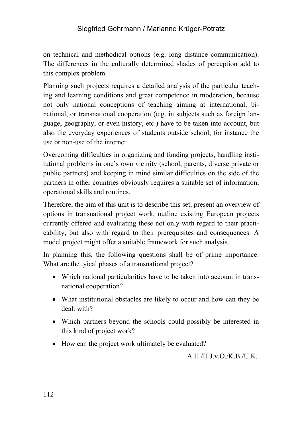on technical and methodical options (e.g. long distance communication). The differences in the culturally determined shades of perception add to this complex problem.

Planning such projects requires a detailed analysis of the particular teaching and learning conditions and great competence in moderation, because not only national conceptions of teaching aiming at international, binational, or transnational cooperation (e.g. in subjects such as foreign language, geography, or even history, etc.) have to be taken into account, but also the everyday experiences of students outside school, for instance the use or non-use of the internet.

Overcoming difficulties in organizing and funding projects, handling institutional problems in one's own vicinity (school, parents, diverse private or public partners) and keeping in mind similar difficulties on the side of the partners in other countries obviously requires a suitable set of information, operational skills and routines.

Therefore, the aim of this unit is to describe this set, present an overview of options in transnational project work, outline existing European projects currently offered and evaluating these not only with regard to their practicability, but also with regard to their prerequisites and consequences. A model project might offer a suitable framework for such analysis.

In planning this, the following questions shall be of prime importance: What are the tyical phases of a transnational project?

- Which national particularities have to be taken into account in transnational cooperation?
- What institutional obstacles are likely to occur and how can they be dealt with?
- Which partners beyond the schools could possibly be interested in this kind of project work?
- How can the project work ultimately be evaluated?

A.H./H.J.v.O./K.B./U.K.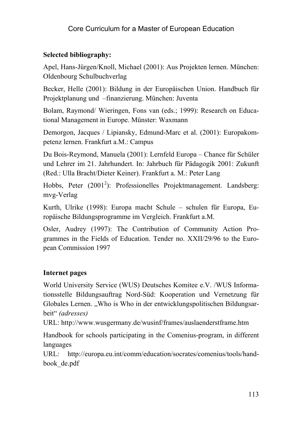#### **Selected bibliography:**

Apel, Hans-Jürgen/Knoll, Michael (2001): Aus Projekten lernen. München: Oldenbourg Schulbuchverlag

Becker, Helle (2001): Bildung in der Europäischen Union. Handbuch für Projektplanung und –finanzierung. München: Juventa

Bolam, Raymond/ Wieringen, Fons van (eds.; 1999): Research on Educational Management in Europe. Münster: Waxmann

Demorgon, Jacques / Lipiansky, Edmund-Marc et al. (2001): Europakompetenz lernen. Frankfurt a.M.: Campus

Du Bois-Reymond, Manuela (2001): Lernfeld Europa – Chance für Schüler und Lehrer im 21. Jahrhundert. In: Jahrbuch für Pädagogik 2001: Zukunft (Red.: Ulla Bracht/Dieter Keiner). Frankfurt a. M.: Peter Lang

Hobbs, Peter (2001<sup>2</sup>): Professionelles Projektmanagement. Landsberg: mvg-Verlag

Kurth, Ulrike (1998): Europa macht Schule – schulen für Europa, Europäische Bildungsprogramme im Vergleich. Frankfurt a.M.

Osler, Audrey (1997): The Contribution of Community Action Programmes in the Fields of Education. Tender no. XXII/29/96 to the European Commission 1997

#### **Internet pages**

World University Service (WUS) Deutsches Komitee e.V. /WUS Informationsstelle Bildungsauftrag Nord-Süd: Kooperation und Vernetzung für Globales Lernen. "Who is Who in der entwicklungspolitischen Bildungsarbeit" *(adresses)* 

URL: http://www.wusgermany.de/wusinf/frames/auslaenderstframe.htm

Handbook for schools participating in the Comenius-program, in different languages

URL: http://europa.eu.int/comm/education/socrates/comenius/tools/handbook\_de.pdf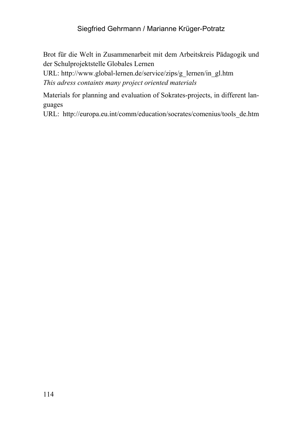Brot für die Welt in Zusammenarbeit mit dem Arbeitskreis Pädagogik und der Schulprojektstelle Globales Lernen

URL: http://www.global-lernen.de/service/zips/g\_lernen/in\_gl.htm *This adress containts many project oriented materials* 

Materials for planning and evaluation of Sokrates-projects, in different languages

URL: http://europa.eu.int/comm/education/socrates/comenius/tools\_de.htm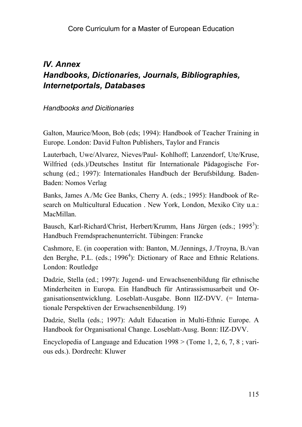# *IV. Annex Handbooks, Dictionaries, Journals, Bibliographies, Internetportals, Databases*

#### *Handbooks and Dicitionaries*

Galton, Maurice/Moon, Bob (eds; 1994): Handbook of Teacher Training in Europe. London: David Fulton Publishers, Taylor and Francis

Lauterbach, Uwe/Alvarez, Nieves/Paul- Kohlhoff; Lanzendorf, Ute/Kruse, Wilfried (eds.)/Deutsches Institut für Internationale Pädagogische Forschung (ed.; 1997): Internationales Handbuch der Berufsbildung. Baden-Baden: Nomos Verlag

Banks, James A./Mc Gee Banks, Cherry A. (eds.; 1995): Handbook of Research on Multicultural Education . New York, London, Mexiko City u.a.: MacMillan.

Bausch, Karl-Richard/Christ, Herbert/Krumm, Hans Jürgen (eds.; 1995<sup>3</sup>): Handbuch Fremdsprachenunterricht. Tübingen: Francke

Cashmore, E. (in cooperation with: Banton, M./Jennings, J./Troyna, B./van den Berghe, P.L. (eds.; 1996<sup>4</sup>): Dictionary of Race and Ethnic Relations. London: Routledge

Dadzie, Stella (ed.; 1997): Jugend- und Erwachsenenbildung für ethnische Minderheiten in Europa. Ein Handbuch für Antirassismusarbeit und Organisationsentwicklung. Loseblatt-Ausgabe. Bonn IIZ-DVV. (= Internationale Perspektiven der Erwachsenenbildung. 19)

Dadzie, Stella (eds.; 1997): Adult Education in Multi-Ethnic Europe. A Handbook for Organisational Change. Loseblatt-Ausg. Bonn: IIZ-DVV.

Encyclopedia of Language and Education 1998 > (Tome 1, 2, 6, 7, 8 ; various eds.). Dordrecht: Kluwer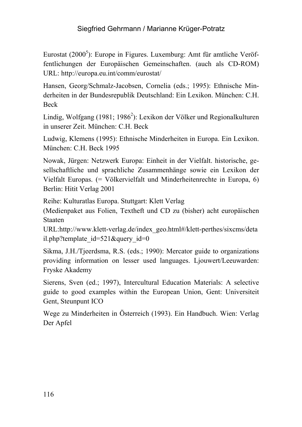Eurostat (2000<sup>5</sup>): Europe in Figures. Luxemburg: Amt für amtliche Veröffentlichungen der Europäischen Gemeinschaften. (auch als CD-ROM) URL: http://europa.eu.int/comm/eurostat/

Hansen, Georg/Schmalz-Jacobsen, Cornelia (eds.; 1995): Ethnische Minderheiten in der Bundesrepublik Deutschland: Ein Lexikon. München: C.H. Beck

Lindig, Wolfgang (1981; 1986<sup>2</sup>): Lexikon der Völker und Regionalkulturen in unserer Zeit. München: C.H. Beck

Ludwig, Klemens (1995): Ethnische Minderheiten in Europa. Ein Lexikon. München: C.H. Beck 1995

Nowak, Jürgen: Netzwerk Europa: Einheit in der Vielfalt. historische, gesellschaftliche und sprachliche Zusammenhänge sowie ein Lexikon der Vielfalt Europas. (= Völkervielfalt und Minderheitenrechte in Europa, 6) Berlin: Hitit Verlag 2001

Reihe: Kulturatlas Europa. Stuttgart: Klett Verlag

(Medienpaket aus Folien, Textheft und CD zu (bisher) acht europäischen Staaten

URL:http://www.klett-verlag.de/index\_geo.html#/klett-perthes/sixcms/deta il.php?template\_id=521&query\_id=0

Sikma, J.H./Tjeerdsma, R.S. (eds.; 1990): Mercator guide to organizations providing information on lesser used languages. Ljouwert/Leeuwarden: Fryske Akademy

Sierens, Sven (ed.; 1997), Intercultural Education Materials: A selective guide to good examples within the European Union, Gent: Universiteit Gent, Steunpunt ICO

Wege zu Minderheiten in Österreich (1993). Ein Handbuch. Wien: Verlag Der Apfel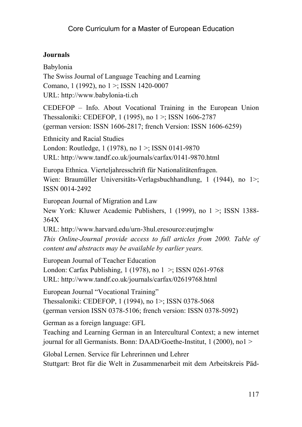# **Journals**

Babylonia The Swiss Journal of Language Teaching and Learning Comano, 1 (1992), no 1 >; ISSN 1420-0007 URL: http://www.babylonia-ti.ch

CEDEFOP – Info. About Vocational Training in the European Union Thessaloniki: CEDEFOP, 1 (1995), no 1 >; ISSN 1606-2787 (german version: ISSN 1606-2817; french Version: ISSN 1606-6259)

Ethnicity and Racial Studies London: Routledge, 1 (1978), no 1 >; ISSN 0141-9870 URL: http://www.tandf.co.uk/journals/carfax/0141-9870.html

Europa Ethnica. Vierteljahresschrift für Nationalitätenfragen. Wien: Braumüller Universitäts-Verlagsbuchhandlung, 1 (1944), no 1>; ISSN 0014-2492

European Journal of Migration and Law New York: Kluwer Academic Publishers, 1 (1999), no 1 >; ISSN 1388- 364X

URL: http://www.harvard.edu/urn-3hul.eresource:eurjmglw *This Online-Journal provide access to full articles from 2000. Table of content and abstracts may be available by earlier years.* 

European Journal of Teacher Education

London: Carfax Publishing, 1 (1978), no 1 >; ISSN 0261-9768 URL: http://www.tandf.co.uk/journals/carfax/02619768.html

European Journal "Vocational Training" Thessaloniki: CEDEFOP, 1 (1994), no 1>; ISSN 0378-5068 (german version ISSN 0378-5106; french version: ISSN 0378-5092)

German as a foreign language: GFL

Teaching and Learning German in an Intercultural Context; a new internet journal for all Germanists. Bonn: DAAD/Goethe-Institut, 1 (2000), no1 >

Global Lernen. Service für Lehrerinnen und Lehrer Stuttgart: Brot für die Welt in Zusammenarbeit mit dem Arbeitskreis Päd-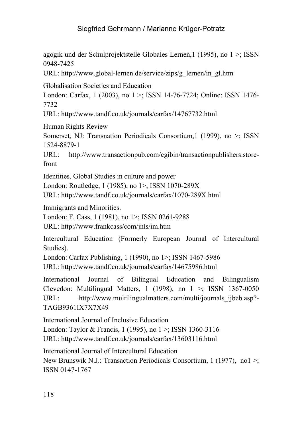agogik und der Schulprojektstelle Globales Lernen,1 (1995), no 1 >; ISSN 0948-7425

URL: http://www.global-lernen.de/service/zips/g\_lernen/in\_gl.htm

Globalisation Societies and Education

London: Carfax, 1 (2003), no 1 >; ISSN 14-76-7724; Online: ISSN 1476-7732

URL: http://www.tandf.co.uk/journals/carfax/14767732.html

Human Rights Review

Somerset, NJ: Transnation Periodicals Consortium,1 (1999), no >; ISSN 1524-8879-1

URL: http://www.transactionpub.com/cgibin/transactionpublishers.storefront

Identities. Global Studies in culture and power

London: Routledge, 1 (1985), no 1>; ISSN 1070-289X

URL: http://www.tandf.co.uk/journals/carfax/1070-289X.html

Immigrants and Minorities.

London: F. Cass, 1 (1981), no 1>; ISSN 0261-9288

URL: http://www.frankcass/com/jnls/im.htm

Intercultural Education (Formerly European Journal of Intercultural Studies).

London: Carfax Publishing, 1 (1990), no 1>; ISSN 1467-5986 URL: http://www.tandf.co.uk/journals/carfax/14675986.html

International Journal of Bilingual Education and Bilingualism Clevedon: Multilingual Matters, 1 (1998), no  $1 \ge$ ; ISSN 1367-0050 URL: http://www.multilingualmatters.com/multi/journals\_ijbeb.asp?-TAGB9361IX7X7X49

International Journal of Inclusive Education London: Taylor & Francis, 1 (1995), no  $1 \times$ ; ISSN 1360-3116 URL: http://www.tandf.co.uk/journals/carfax/13603116.html

International Journal of Intercultural Education New Brunswik N.J.: Transaction Periodicals Consortium, 1 (1977), no1 >; ISSN 0147-1767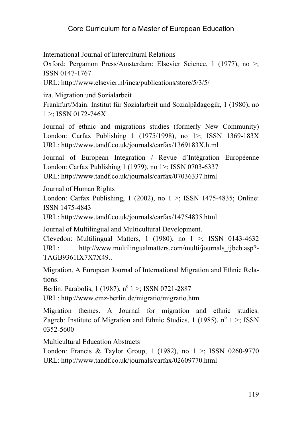International Journal of Intercultural Relations

Oxford: Pergamon Press/Amsterdam: Elsevier Science, 1 (1977), no >; ISSN 0147-1767

URL: http://www.elsevier.nl/inca/publications/store/5/3/5/

iza. Migration und Sozialarbeit

Frankfurt/Main: Institut für Sozialarbeit und Sozialpädagogik, 1 (1980), no  $1 >$ : ISSN 0172-746X

Journal of ethnic and migrations studies (formerly New Community) London: Carfax Publishing 1 (1975/1998), no 1>; ISSN 1369-183X URL: http://www.tandf.co.uk/journals/carfax/1369183X.html

Journal of European Integration / Revue d'Intégration Européenne London: Carfax Publishing 1 (1979), no 1>; ISSN 0703-6337 URL: http://www.tandf.co.uk/journals/carfax/07036337.html

Journal of Human Rights

London: Carfax Publishing,  $1$  (2002), no  $1 \geq$ ; ISSN 1475-4835; Online: ISSN 1475-4843

URL: http://www.tandf.co.uk/journals/carfax/14754835.html

Journal of Multilingual and Multicultural Development.

Clevedon: Multilingual Matters, 1 (1980), no  $1 \ge$ ; ISSN 0143-4632 URL: http://www.multilingualmatters.com/multi/journals\_ijbeb.asp?-TAGB9361IX7X7X49..

Migration. A European Journal of International Migration and Ethnic Relations.

Berlin: Parabolis, 1 (1987), n<sup>o</sup> 1 >; ISSN 0721-2887

URL: http://www.emz-berlin.de/migratio/migratio.htm

Migration themes. A Journal for migration and ethnic studies. Zagreb: Institute of Migration and Ethnic Studies, 1 (1985),  $n^{\circ}$  1 >; ISSN 0352-5600

Multicultural Education Abstracts

London: Francis & Taylor Group, 1 (1982), no  $1 \ge$ ; ISSN 0260-9770 URL: http://www.tandf.co.uk/journals/carfax/02609770.html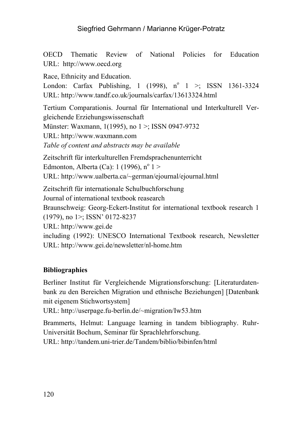OECD Thematic Review of National Policies for Education URL: http://www.oecd.org

Race, Ethnicity and Education.

London: Carfax Publishing,  $1(1998)$ ,  $n^{\circ}$   $1 >$ ; ISSN 1361-3324 URL: http://www.tandf.co.uk/journals/carfax/13613324.html

Tertium Comparationis. Journal für International und Interkulturell Vergleichende Erziehungswissenschaft

Münster: Waxmann, 1(1995), no 1 >; ISSN 0947-9732

URL: http://www.waxmann.com

*Table of content and abstracts may be available*

Zeitschrift für interkulturellen Fremdsprachenunterricht Edmonton, Alberta (Ca):  $1(1996)$ ,  $n^{\circ}$  1 > URL: http://www.ualberta.ca/~german/ejournal/ejournal.html

Zeitschrift für internationale Schulbuchforschung Journal of international textbook reasearch Braunschweig: Georg-Eckert-Institut for international textbook research 1 (1979), no 1>; ISSN' 0172-8237 URL: http://www.gei.de including (1992): UNESCO International Textbook research, Newsletter URL: http://www.gei.de/newsletter/nl-home.htm

#### **Bibliographies**

Berliner Institut für Vergleichende Migrationsforschung: [Literaturdatenbank zu den Bereichen Migration und ethnische Beziehungen] [Datenbank mit eigenem Stichwortsystem]

URL: http://userpage.fu-berlin.de/~migration/Iw53.htm

Brammerts, Helmut: Language learning in tandem bibliography. Ruhr-Universität Bochum, Seminar für Sprachlehrforschung.

URL: http://tandem.uni-trier.de/Tandem/biblio/bibinfen/html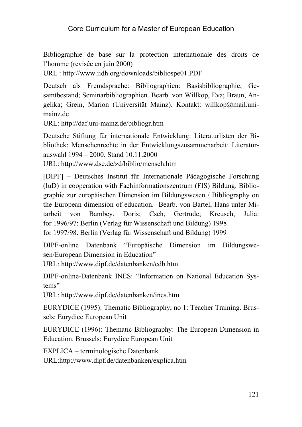Bibliographie de base sur la protection internationale des droits de l'homme (revisée en juin 2000)

URL : http://www.iidh.org/downloads/bibliospe01.PDF

Deutsch als Fremdsprache: Bibliographien: Basisbibliographie; Gesamtbestand; Seminarbibliographien. Bearb. von Willkop, Eva; Braun, Angelika; Grein, Marion (Universität Mainz). Kontakt: willkop@mail.unimainz.de

URL: http://daf.uni-mainz.de/bibliogr.htm

Deutsche Stiftung für internationale Entwicklung: Literaturlisten der Bibliothek: Menschenrechte in der Entwicklungszusammenarbeit: Literaturauswahl 1994 – 2000. Stand 10.11.2000

URL: http://www.dse.de/zd/biblio/mensch.htm

[DIPF] – Deutsches Institut für Internationale Pädagogische Forschung (IuD) in cooperation with Fachinformationszentrum (FIS) Bildung. Bibliographie zur europäischen Dimension im Bildungswesen / Bibliography on the European dimension of education. Bearb. von Bartel, Hans unter Mitarbeit von Bambey, Doris; Cseh, Gertrude; Kreusch, Julia: for 1996/97: Berlin (Verlag für Wissenschaft und Bildung) 1998 for 1997/98. Berlin (Verlag für Wissenschaft und Bildung) 1999

DIPF-online Datenbank "Europäische Dimension im Bildungswesen/European Dimension in Education"

URL: http://www.dipf.de/datenbanken/edb.htm

DIPF-online-Datenbank INES: "Information on National Education Systems"

URL: http://www.dipf.de/datenbanken/ines.htm

EURYDICE (1995): Thematic Bibliography, no 1: Teacher Training. Brussels: Eurydice European Unit

EURYDICE (1996): Thematic Bibliography: The European Dimension in Education. Brussels: Eurydice European Unit

EXPLICA – terminologische Datenbank URL:http://www.dipf.de/datenbanken/explica.htm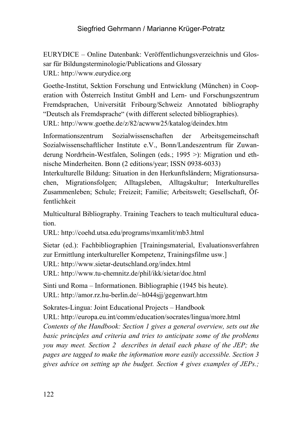EURYDICE – Online Datenbank: Veröffentlichungsverzeichnis und Glossar für Bildungsterminologie/Publications and Glossary URL: http://www.eurydice.org

Goethe-Institut, Sektion Forschung und Entwicklung (München) in Cooperation with Österreich Institut GmbH and Lern- und Forschungszentrum Fremdsprachen, Universität Fribourg/Schweiz Annotated bibliography "Deutsch als Fremdsprache" (with different selected bibliographies). URL: http://www.goethe.de/z/82/acwww25/katalog/deindex.htm

Informationszentrum Sozialwissenschaften der Arbeitsgemeinschaft Sozialwissenschaftlicher Institute e.V., Bonn/Landeszentrum für Zuwanderung Nordrhein-Westfalen, Solingen (eds.; 1995 >): Migration und ethnische Minderheiten. Bonn (2 editions/year; ISSN 0938-6033)

Interkulturelle Bildung: Situation in den Herkunftsländern; Migrationsursachen, Migrationsfolgen; Alltagsleben, Alltagskultur; Interkulturelles Zusammenleben; Schule; Freizeit; Familie; Arbeitswelt; Gesellschaft, Öffentlichkeit

Multicultural Bibliography. Training Teachers to teach multicultural education.

URL: http://coehd.utsa.edu/programs/mxamlit/mb3.html

Sietar (ed.): Fachbibliographien [Trainingsmaterial, Evaluationsverfahren zur Ermittlung interkultureller Kompetenz, Trainingsfilme usw.]

URL: http://www.sietar-deutschland.org/index.html

URL: http://www.tu-chemnitz.de/phil/ikk/sietar/doc.html

Sinti und Roma – Informationen. Bibliographie (1945 bis heute). URL: http://amor.rz.hu-berlin.de/~h044sjj/gegenwart.htm

Sokrates-Lingua: Joint Educational Projects – Handbook

URL: http://europa.eu.int/comm/education/socrates/lingua/more.html *Contents of the Handbook: Section 1 gives a general overview, sets out the basic principles and criteria and tries to anticipate some of the problems you may meet. Section 2 describes in detail each phase of the JEP; the pages are tagged to make the information more easily accessible. Section 3 gives advice on setting up the budget. Section 4 gives examples of JEPs.;*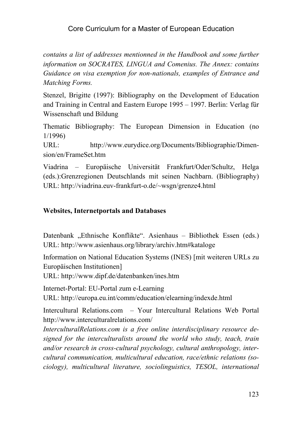*contains a list of addresses mentionned in the Handbook and some further information on SOCRATES, LINGUA and Comenius. The Annex: contains Guidance on visa exemption for non-nationals, examples of Entrance and Matching Forms.* 

Stenzel, Brigitte (1997): Bibliography on the Development of Education and Training in Central and Eastern Europe 1995 – 1997. Berlin: Verlag für Wissenschaft und Bildung

Thematic Bibliography: The European Dimension in Education (no 1/1996)

URL: http://www.eurydice.org/Documents/Bibliographie/Dimension/en/FrameSet.htm

Viadrina – Europäische Universität Frankfurt/Oder/Schultz, Helga (eds.):Grenzregionen Deutschlands mit seinen Nachbarn. (Bibliography) URL: http://viadrina.euv-frankfurt-o.de/~wsgn/grenze4.html

#### **Websites, Internetportals and Databases**

Datenbank "Ethnische Konflikte". Asienhaus – Bibliothek Essen (eds.) URL: http://www.asienhaus.org/library/archiv.htm#kataloge

Information on National Education Systems (INES) [mit weiteren URLs zu Europäischen Institutionen]

URL: http://www.dipf.de/datenbanken/ines.htm

Internet-Portal: EU-Portal zum e-Learning

URL: http://europa.eu.int/comm/education/elearning/indexde.html

Intercultural Relations.com – Your Intercultural Relations Web Portal http://www.interculturalrelations.com/

*InterculturalRelations.com is a free online interdisciplinary resource designed for the interculturalists around the world who study, teach, train and/or research in cross-cultural psychology, cultural anthropology, intercultural communication, multicultural education, race/ethnic relations (sociology), multicultural literature, sociolinguistics, TESOL, international*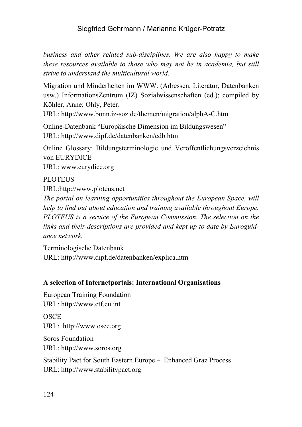*business and other related sub-disciplines. We are also happy to make these resources available to those who may not be in academia, but still strive to understand the multicultural world.*

Migration und Minderheiten im WWW. (Adressen, Literatur, Datenbanken usw.) InformationsZentrum (IZ) Sozialwissenschaften (ed.); compiled by Köhler, Anne; Ohly, Peter.

URL: http://www.bonn.iz-soz.de/themen/migration/alphA-C.htm

Online-Datenbank "Europäische Dimension im Bildungswesen" URL: http://www.dipf.de/datenbanken/edb.htm

Online Glossary: Bildungsterminologie und Veröffentlichungsverzeichnis von EURYDICE

URL: www.eurydice.org

**PLOTEUS** 

URL:http://www.ploteus.net

*The portal on learning opportunities throughout the European Space, will help to find out about education and training available throughout Europe. PLOTEUS is a service of the European Commission. The selection on the links and their descriptions are provided and kept up to date by Euroguidance network.* 

Terminologische Datenbank URL: http://www.dipf.de/datenbanken/explica.htm

#### **A selection of Internetportals: International Organisations**

European Training Foundation URL: http://www.etf.eu.int

**OSCE** URL: http://www.osce.org

Soros Foundation URL: http://www.soros.org

Stability Pact for South Eastern Europe – Enhanced Graz Process URL: http://www.stabilitypact.org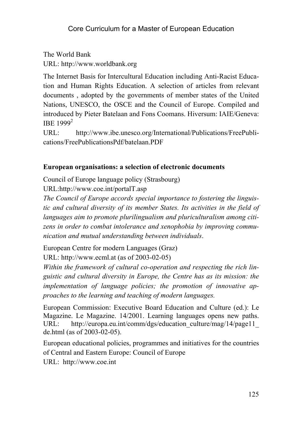The World Bank URL: http://www.worldbank.org

The Internet Basis for Intercultural Education including Anti-Racist Education and Human Rights Education. A selection of articles from relevant documents , adopted by the governments of member states of the United Nations, UNESCO, the OSCE and the Council of Europe. Compiled and introduced by Pieter Batelaan and Fons Coomans. Hiversum: IAIE/Geneva: IBE 1999<sup>2</sup>

URL: http://www.ibe.unesco.org/International/Publications/FreePublications/FreePublicationsPdf/batelaan.PDF

# **European organisations: a selection of electronic documents**

Council of Europe language policy (Strasbourg)

URL:http://www.coe.int/portalT.asp

*The Council of Europe accords special importance to fostering the linguistic and cultural diversity of its member States. Its activities in the field of languages aim to promote plurilingualism and pluriculturalism among citizens in order to combat intolerance and xenophobia by improving communication and mutual understanding between individuals*.

European Centre for modern Languages (Graz) URL: http://www.ecml.at (as of 2003-02-05)

*Within the framework of cultural co-operation and respecting the rich linguistic and cultural diversity in Europe, the Centre has as its mission: the implementation of language policies; the promotion of innovative approaches to the learning and teaching of modern languages.* 

European Commission: Executive Board Education and Culture (ed.): Le Magazine. Le Magazine. 14/2001. Learning languages opens new paths. URL: http://europa.eu.int/comm/dgs/education\_culture/mag/14/page11\_ de.html (as of 2003-02-05).

European educational policies, programmes and initiatives for the countries of Central and Eastern Europe: Council of Europe URL: http://www.coe.int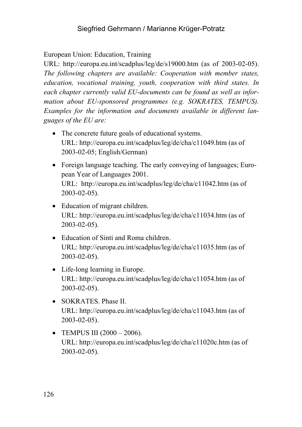European Union: Education, Training

URL: http://europa.eu.int/scadplus/leg/de/s19000.htm (as of 2003-02-05). *The following chapters are available: Cooperation with member states, education, vocational training, youth, cooperation with third states. In each chapter currently valid EU-documents can be found as well as information about EU-sponsored programmes (e.g. SOKRATES, TEMPUS). Examples for the information and documents available in different languages of the EU are:* 

- The concrete future goals of educational systems. URL: http://europa.eu.int/scadplus/leg/de/cha/c11049.htm (as of 2003-02-05; English/German)
- Foreign language teaching. The early conveying of languages; European Year of Languages 2001. URL: http://europa.eu.int/scadplus/leg/de/cha/c11042.htm (as of 2003-02-05).
- Education of migrant children. URL: http://europa.eu.int/scadplus/leg/de/cha/c11034.htm (as of 2003-02-05).
- Education of Sinti and Roma children URL: http://europa.eu.int/scadplus/leg/de/cha/c11035.htm (as of 2003-02-05).
- Life-long learning in Europe. URL: http://europa.eu.int/scadplus/leg/de/cha/c11054.htm (as of 2003-02-05).
- SOKRATES. Phase II. URL: http://europa.eu.int/scadplus/leg/de/cha/c11043.htm (as of 2003-02-05).
- TEMPUS III  $(2000 2006)$ . URL: http://europa.eu.int/scadplus/leg/de/cha/c11020c.htm (as of 2003-02-05).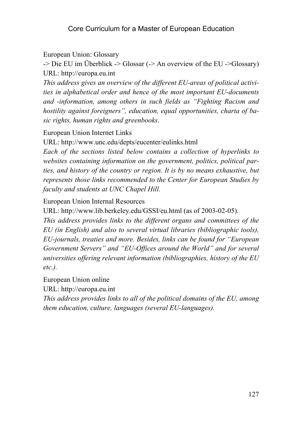European Union: Glossary

 $\sim$  Die EU im Überblick  $\sim$  Glossar ( $\sim$  An overview of the EU  $\sim$  Glossary) URL: http://europa.eu.int

*This address gives an overview of the different EU-areas of political activities in alphabetical order and hence of the most important EU-documents and -information, among others in such fields as "Fighting Racism and hostility against foreigners", education, equal opportunities, charta of basic rights, human rights and greenbooks*.

European Union Internet Links

URL: http://www.unc.edu/depts/eucenter/eulinks.html

*Each of the sections listed below contains a collection of hyperlinks to websites containing information on the government, politics, political parties, and history of the country or region. It is by no means exhaustive, but represents those links recommended to the Center for European Studies by faculty and students at UNC Chapel Hill.* 

European Union Internal Resources

URL: http://www.lib.berkeley.edu/GSSI/eu.html (as of 2003-02-05).

*This address provides links to the different organs and committees of the EU (in English) and also to several virtual libraries (bibliographic tools), EU-journals, treaties and more. Besides, links can be found for "European Government Servers" and "EU-Offices around the World" and for several universities offering relevant information (bibliographies, history of the EU etc.).*

European Union online

URL: http://europa.eu.int

*This address provides links to all of the political domains of the EU, among them education, culture, languages (several EU-languages).*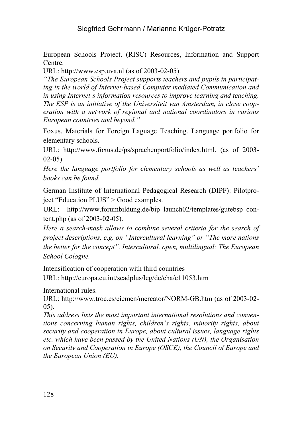European Schools Project. (RISC) Resources, Information and Support Centre.

URL: http://www.esp.uva.nl (as of 2003-02-05).

*"The European Schools Project supports teachers and pupils in participating in the world of Internet-based Computer mediated Communication and in using Internet´s information resources to improve learning and teaching. The ESP is an initiative of the Universiteit van Amsterdam, in close cooperation with a network of regional and national coordinators in various European countries and beyond."* 

Foxus. Materials for Foreign Laguage Teaching. Language portfolio for elementary schools.

URL: http://www.foxus.de/ps/sprachenportfolio/index.html. (as of 2003- 02-05)

*Here the language portfolio for elementary schools as well as teachers' books can be found.*

German Institute of International Pedagogical Research (DIPF): Pilotproject "Education PLUS" > Good examples.

URL: http://www.forumbildung.de/bip\_launch02/templates/gutebsp\_content.php (as of 2003-02-05).

*Here a search-mask allows to combine several criteria for the search of project descriptions, e.g. on "Intercultural learning" or "The more nations the better for the concept". Intercultural, open, multilingual: The European School Cologne.* 

Intensification of cooperation with third countries

URL: http://europa.eu.int/scadplus/leg/de/cha/c11053.htm

International rules.

URL: http://www.troc.es/ciemen/mercator/NORM-GB.htm (as of 2003-02- 05).

*This address lists the most important international resolutions and conventions concerning human rights, children's rights, minority rights, about security and cooperation in Europe, about cultural issues, language rights etc. which have been passed by the United Nations (UN), the Organisation on Security and Cooperation in Europe (OSCE), the Council of Europe and the European Union (EU).*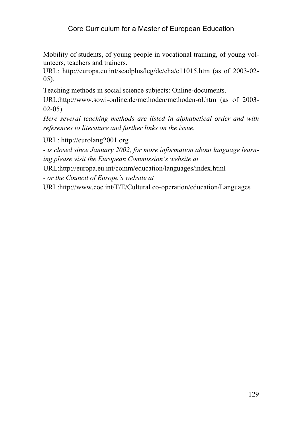Mobility of students, of young people in vocational training, of young volunteers, teachers and trainers.

URL: http://europa.eu.int/scadplus/leg/de/cha/c11015.htm (as of 2003-02- 05).

Teaching methods in social science subjects: Online-documents.

URL:http://www.sowi-online.de/methoden/methoden-ol.htm (as of 2003-  $02-05$ ).

*Here several teaching methods are listed in alphabetical order and with references to literature and further links on the issue.* 

URL: http://eurolang2001.org

*- is closed since January 2002, for more information about language learning please visit the European Commission's website at* 

URL:http://europa.eu.int/comm/education/languages/index.html

*- or the Council of Europe's website at* 

URL:http://www.coe.int/T/E/Cultural co-operation/education/Languages